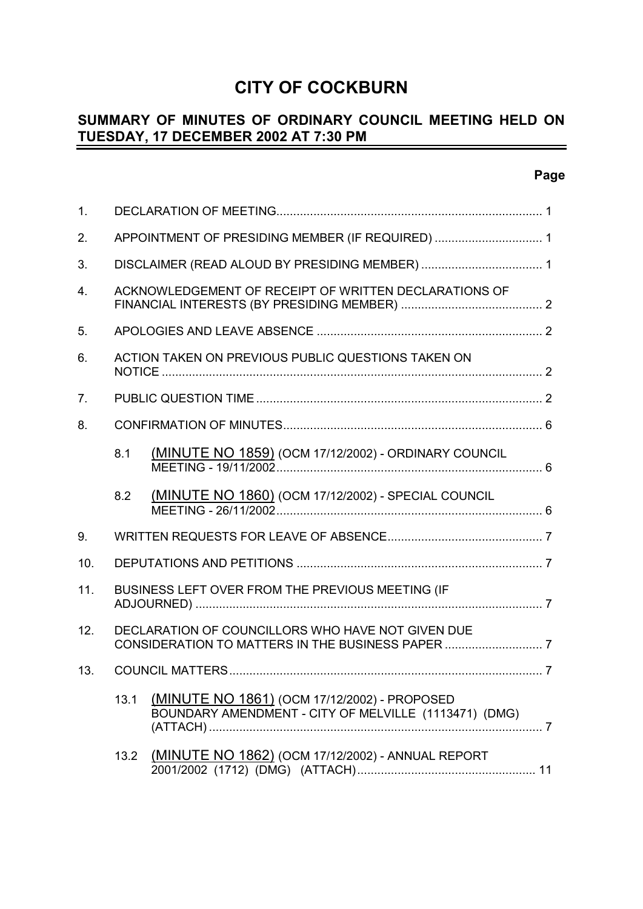# **CITY OF COCKBURN**

#### **SUMMARY OF MINUTES OF ORDINARY COUNCIL MEETING HELD ON TUESDAY, 17 DECEMBER 2002 AT 7:30 PM** -

| 1.             |                                                       |                                                                                                       |  |  |  |
|----------------|-------------------------------------------------------|-------------------------------------------------------------------------------------------------------|--|--|--|
| 2.             | APPOINTMENT OF PRESIDING MEMBER (IF REQUIRED)  1      |                                                                                                       |  |  |  |
| 3.             |                                                       |                                                                                                       |  |  |  |
| $\mathbf{4}$ . | ACKNOWLEDGEMENT OF RECEIPT OF WRITTEN DECLARATIONS OF |                                                                                                       |  |  |  |
| 5 <sub>1</sub> |                                                       |                                                                                                       |  |  |  |
| 6.             |                                                       | ACTION TAKEN ON PREVIOUS PUBLIC QUESTIONS TAKEN ON                                                    |  |  |  |
| 7 <sub>1</sub> |                                                       |                                                                                                       |  |  |  |
| 8.             |                                                       |                                                                                                       |  |  |  |
|                | 8.1                                                   | <b>(MINUTE NO 1859)</b> (OCM 17/12/2002) - ORDINARY COUNCIL                                           |  |  |  |
|                | 8.2                                                   | (MINUTE NO 1860) (OCM 17/12/2002) - SPECIAL COUNCIL                                                   |  |  |  |
| 9.             |                                                       |                                                                                                       |  |  |  |
| 10.            |                                                       |                                                                                                       |  |  |  |
| 11.            |                                                       | BUSINESS LEFT OVER FROM THE PREVIOUS MEETING (IF                                                      |  |  |  |
| 12.            |                                                       | DECLARATION OF COUNCILLORS WHO HAVE NOT GIVEN DUE                                                     |  |  |  |
| 13.            |                                                       |                                                                                                       |  |  |  |
|                | 13.1                                                  | (MINUTE NO 1861) (OCM 17/12/2002) - PROPOSED<br>BOUNDARY AMENDMENT - CITY OF MELVILLE (1113471) (DMG) |  |  |  |
|                |                                                       | 13.2 (MINUTE NO 1862) (OCM 17/12/2002) - ANNUAL REPORT                                                |  |  |  |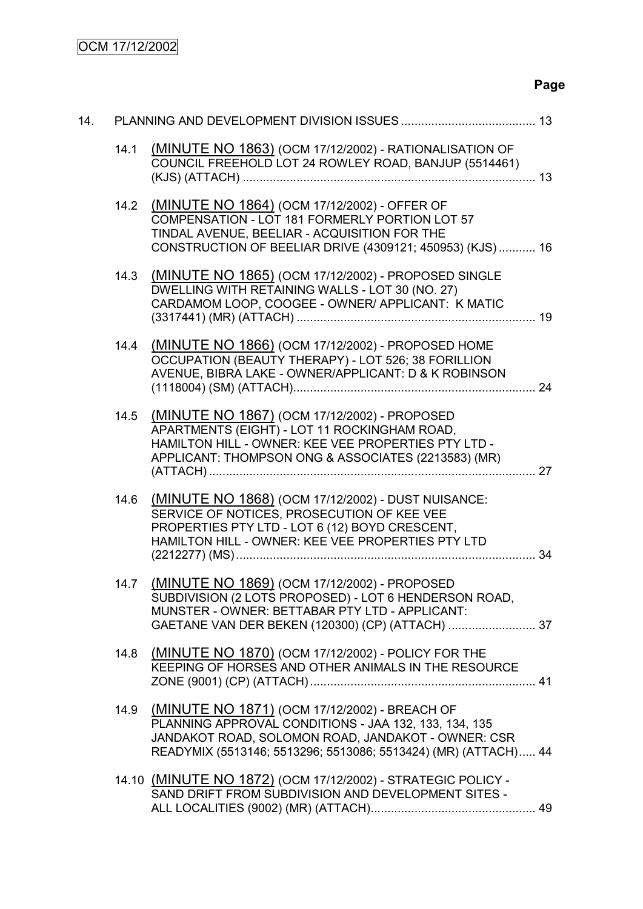# OCM 17/12/2002

| 14. |      |                                                                                                                                                                                                                                     |  |
|-----|------|-------------------------------------------------------------------------------------------------------------------------------------------------------------------------------------------------------------------------------------|--|
|     | 14.1 | (MINUTE NO 1863) (OCM 17/12/2002) - RATIONALISATION OF<br>COUNCIL FREEHOLD LOT 24 ROWLEY ROAD, BANJUP (5514461)                                                                                                                     |  |
|     | 14.2 | (MINUTE NO 1864) (OCM 17/12/2002) - OFFER OF<br>COMPENSATION - LOT 181 FORMERLY PORTION LOT 57<br>TINDAL AVENUE, BEELIAR - ACQUISITION FOR THE<br>CONSTRUCTION OF BEELIAR DRIVE (4309121; 450953) (KJS)  16                         |  |
|     | 14.3 | (MINUTE NO 1865) (OCM 17/12/2002) - PROPOSED SINGLE<br>DWELLING WITH RETAINING WALLS - LOT 30 (NO. 27)<br>CARDAMOM LOOP, COOGEE - OWNER/ APPLICANT: K MATIC                                                                         |  |
|     | 14.4 | (MINUTE NO 1866) (OCM 17/12/2002) - PROPOSED HOME<br>OCCUPATION (BEAUTY THERAPY) - LOT 526; 38 FORILLION<br>AVENUE, BIBRA LAKE - OWNER/APPLICANT: D & K ROBINSON                                                                    |  |
|     | 14.5 | (MINUTE NO 1867) (OCM 17/12/2002) - PROPOSED<br>APARTMENTS (EIGHT) - LOT 11 ROCKINGHAM ROAD,<br>HAMILTON HILL - OWNER: KEE VEE PROPERTIES PTY LTD -<br>APPLICANT: THOMPSON ONG & ASSOCIATES (2213583) (MR)                          |  |
|     | 14.6 | (MINUTE NO 1868) (OCM 17/12/2002) - DUST NUISANCE:<br>SERVICE OF NOTICES, PROSECUTION OF KEE VEE<br>PROPERTIES PTY LTD - LOT 6 (12) BOYD CRESCENT,<br>HAMILTON HILL - OWNER: KEE VEE PROPERTIES PTY LTD                             |  |
|     | 14.7 | <u>(MINUTE NO 1869)</u> (OCM 17/12/2002) - PROPOSED<br>SUBDIVISION (2 LOTS PROPOSED) - LOT 6 HENDERSON ROAD,<br>MUNSTER - OWNER: BETTABAR PTY LTD - APPLICANT:                                                                      |  |
|     | 14.8 | <b>(MINUTE NO 1870)</b> (OCM 17/12/2002) - POLICY FOR THE<br>KEEPING OF HORSES AND OTHER ANIMALS IN THE RESOURCE                                                                                                                    |  |
|     |      | 14.9 (MINUTE NO 1871) (OCM 17/12/2002) - BREACH OF<br>PLANNING APPROVAL CONDITIONS - JAA 132, 133, 134, 135<br>JANDAKOT ROAD, SOLOMON ROAD, JANDAKOT - OWNER: CSR<br>READYMIX (5513146; 5513296; 5513086; 5513424) (MR) (ATTACH) 44 |  |
|     |      | 14.10 (MINUTE NO 1872) (OCM 17/12/2002) - STRATEGIC POLICY -<br>SAND DRIFT FROM SUBDIVISION AND DEVELOPMENT SITES -                                                                                                                 |  |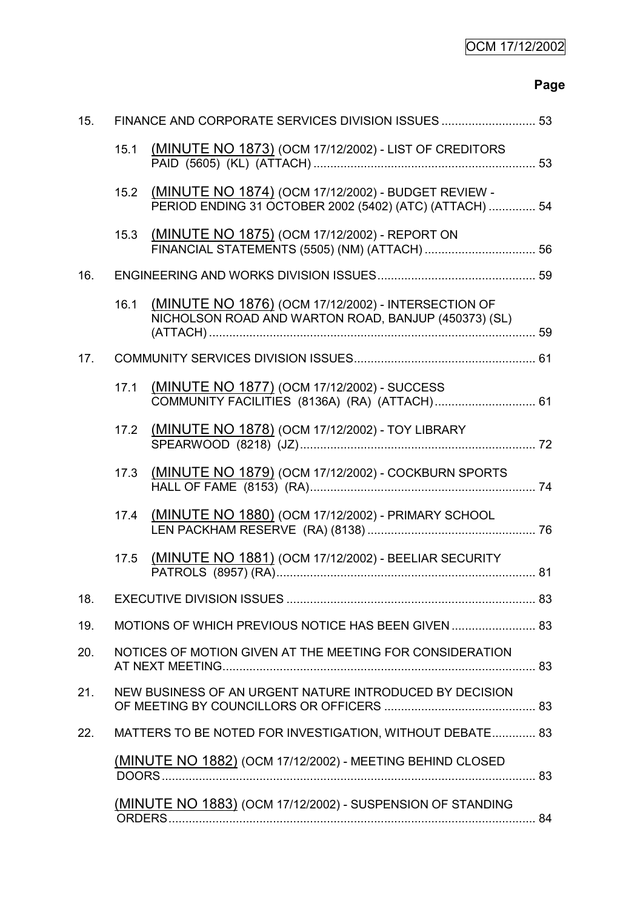| 15. |      | FINANCE AND CORPORATE SERVICES DIVISION ISSUES  53                                                                  |  |
|-----|------|---------------------------------------------------------------------------------------------------------------------|--|
|     | 15.1 | (MINUTE NO 1873) (OCM 17/12/2002) - LIST OF CREDITORS                                                               |  |
|     |      | 15.2 (MINUTE NO 1874) (OCM 17/12/2002) - BUDGET REVIEW -<br>PERIOD ENDING 31 OCTOBER 2002 (5402) (ATC) (ATTACH)  54 |  |
|     | 15.3 | (MINUTE NO 1875) (OCM 17/12/2002) - REPORT ON                                                                       |  |
| 16. |      |                                                                                                                     |  |
|     | 16.1 | (MINUTE NO 1876) (OCM 17/12/2002) - INTERSECTION OF<br>NICHOLSON ROAD AND WARTON ROAD, BANJUP (450373) (SL)         |  |
| 17. |      |                                                                                                                     |  |
|     | 17.1 | (MINUTE NO 1877) (OCM 17/12/2002) - SUCCESS                                                                         |  |
|     | 17.2 | (MINUTE NO 1878) (OCM 17/12/2002) - TOY LIBRARY                                                                     |  |
|     | 17.3 | (MINUTE NO 1879) (OCM 17/12/2002) - COCKBURN SPORTS                                                                 |  |
|     | 17.4 | (MINUTE NO 1880) (OCM 17/12/2002) - PRIMARY SCHOOL                                                                  |  |
|     | 17.5 | (MINUTE NO 1881) (OCM 17/12/2002) - BEELIAR SECURITY                                                                |  |
| 18. |      |                                                                                                                     |  |
| 19. |      | MOTIONS OF WHICH PREVIOUS NOTICE HAS BEEN GIVEN  83                                                                 |  |
| 20. |      | NOTICES OF MOTION GIVEN AT THE MEETING FOR CONSIDERATION                                                            |  |
| 21. |      | NEW BUSINESS OF AN URGENT NATURE INTRODUCED BY DECISION                                                             |  |
| 22. |      | MATTERS TO BE NOTED FOR INVESTIGATION, WITHOUT DEBATE 83                                                            |  |
|     |      | (MINUTE NO 1882) (OCM 17/12/2002) - MEETING BEHIND CLOSED                                                           |  |
|     |      | (MINUTE NO 1883) (OCM 17/12/2002) - SUSPENSION OF STANDING                                                          |  |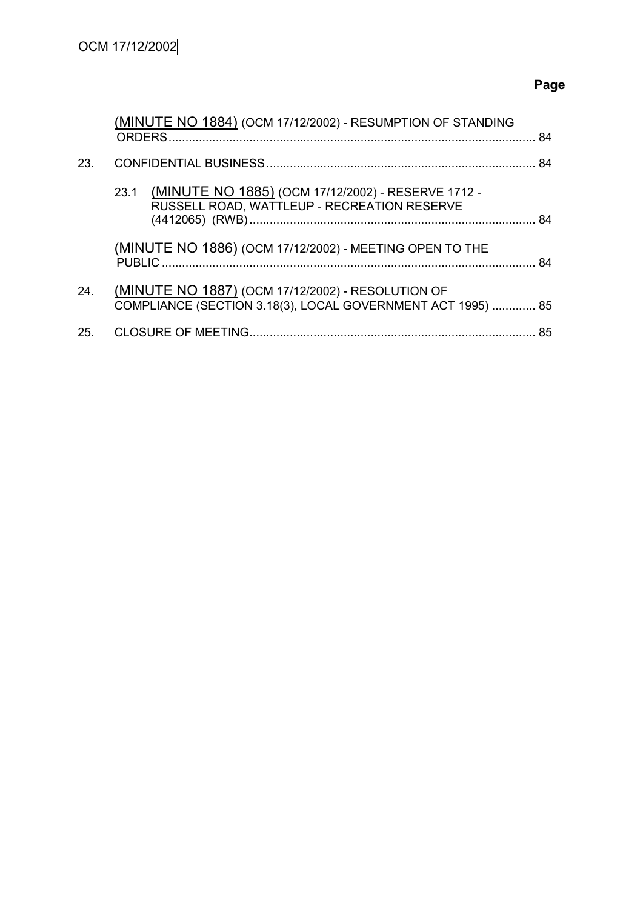|     | (MINUTE NO 1884) (OCM 17/12/2002) - RESUMPTION OF STANDING                                                       |    |
|-----|------------------------------------------------------------------------------------------------------------------|----|
| 23. |                                                                                                                  |    |
|     | 23.1 (MINUTE NO 1885) (OCM 17/12/2002) - RESERVE 1712 -<br>RUSSELL ROAD, WATTLEUP - RECREATION RESERVE           |    |
|     | (MINUTE NO 1886) (OCM 17/12/2002) - MEETING OPEN TO THE                                                          |    |
| 24. | (MINUTE NO 1887) (OCM 17/12/2002) - RESOLUTION OF<br>COMPLIANCE (SECTION 3.18(3), LOCAL GOVERNMENT ACT 1995)  85 |    |
| 25. |                                                                                                                  | 85 |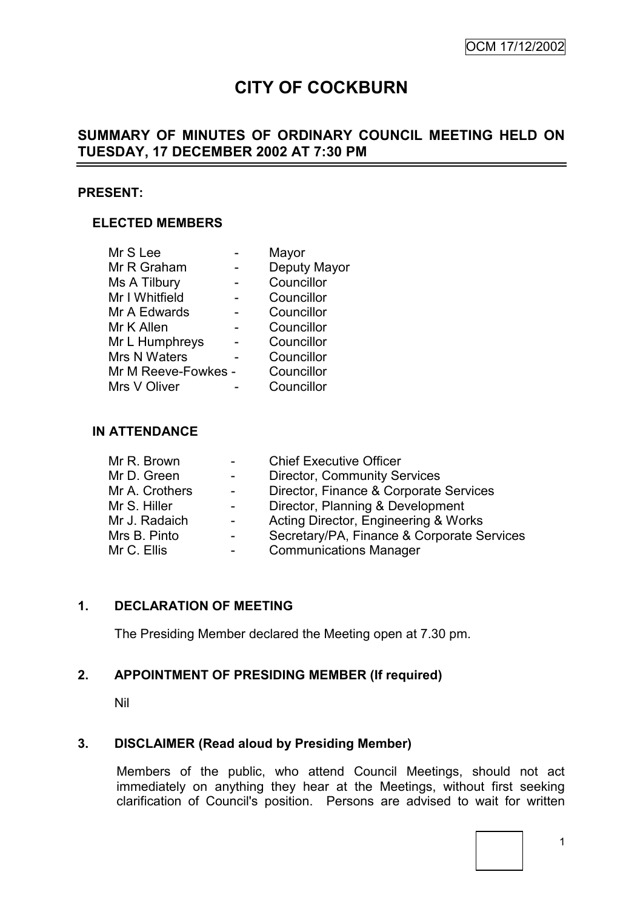# **CITY OF COCKBURN**

# **SUMMARY OF MINUTES OF ORDINARY COUNCIL MEETING HELD ON TUESDAY, 17 DECEMBER 2002 AT 7:30 PM**

#### **PRESENT:**

#### **ELECTED MEMBERS**

| Mr S Lee            | Mayor        |
|---------------------|--------------|
| Mr R Graham         | Deputy Mayor |
| Ms A Tilbury        | Councillor   |
| Mr I Whitfield      | Councillor   |
| Mr A Edwards        | Councillor   |
| Mr K Allen          | Councillor   |
| Mr L Humphreys      | Councillor   |
| Mrs N Waters        | Councillor   |
| Mr M Reeve-Fowkes - | Councillor   |
| Mrs V Oliver        | Councillor   |
|                     |              |

### **IN ATTENDANCE**

| Mr R. Brown    | $\blacksquare$           | <b>Chief Executive Officer</b>             |
|----------------|--------------------------|--------------------------------------------|
| Mr D. Green    | $\sim$                   | <b>Director, Community Services</b>        |
| Mr A. Crothers | $\sim$                   | Director, Finance & Corporate Services     |
| Mr S. Hiller   | $\sim$                   | Director, Planning & Development           |
| Mr J. Radaich  | $\sim$                   | Acting Director, Engineering & Works       |
| Mrs B. Pinto   | $\overline{\phantom{a}}$ | Secretary/PA, Finance & Corporate Services |
| Mr C. Ellis    | -                        | <b>Communications Manager</b>              |
|                |                          |                                            |

#### **1. DECLARATION OF MEETING**

The Presiding Member declared the Meeting open at 7.30 pm.

#### **2. APPOINTMENT OF PRESIDING MEMBER (If required)**

Nil

# **3. DISCLAIMER (Read aloud by Presiding Member)**

Members of the public, who attend Council Meetings, should not act immediately on anything they hear at the Meetings, without first seeking clarification of Council's position. Persons are advised to wait for written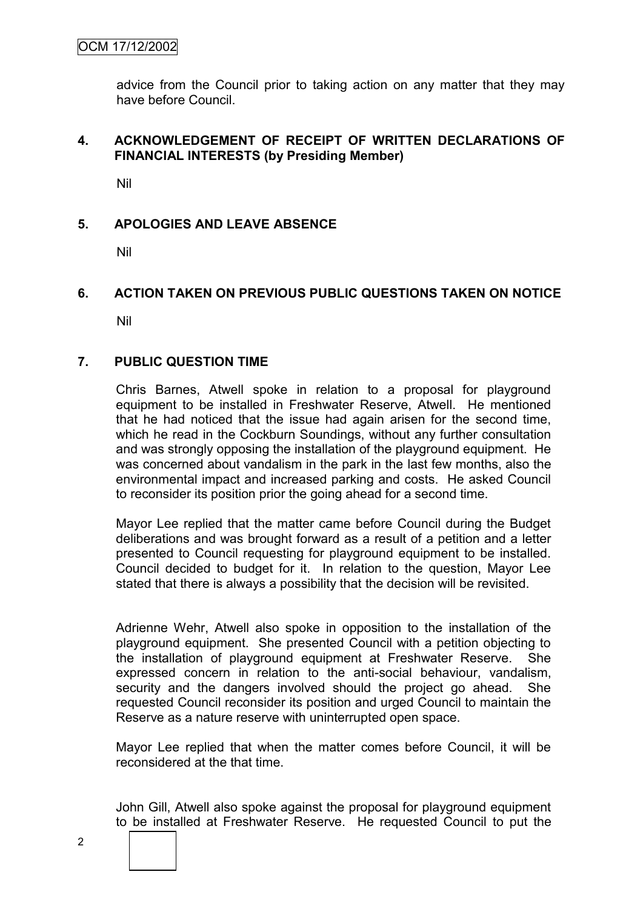advice from the Council prior to taking action on any matter that they may have before Council.

## **4. ACKNOWLEDGEMENT OF RECEIPT OF WRITTEN DECLARATIONS OF FINANCIAL INTERESTS (by Presiding Member)**

Nil

# **5. APOLOGIES AND LEAVE ABSENCE**

Nil

# **6. ACTION TAKEN ON PREVIOUS PUBLIC QUESTIONS TAKEN ON NOTICE**

Nil

### **7. PUBLIC QUESTION TIME**

Chris Barnes, Atwell spoke in relation to a proposal for playground equipment to be installed in Freshwater Reserve, Atwell. He mentioned that he had noticed that the issue had again arisen for the second time, which he read in the Cockburn Soundings, without any further consultation and was strongly opposing the installation of the playground equipment. He was concerned about vandalism in the park in the last few months, also the environmental impact and increased parking and costs. He asked Council to reconsider its position prior the going ahead for a second time.

Mayor Lee replied that the matter came before Council during the Budget deliberations and was brought forward as a result of a petition and a letter presented to Council requesting for playground equipment to be installed. Council decided to budget for it. In relation to the question, Mayor Lee stated that there is always a possibility that the decision will be revisited.

Adrienne Wehr, Atwell also spoke in opposition to the installation of the playground equipment. She presented Council with a petition objecting to the installation of playground equipment at Freshwater Reserve. She expressed concern in relation to the anti-social behaviour, vandalism, security and the dangers involved should the project go ahead. She requested Council reconsider its position and urged Council to maintain the Reserve as a nature reserve with uninterrupted open space.

Mayor Lee replied that when the matter comes before Council, it will be reconsidered at the that time.

John Gill, Atwell also spoke against the proposal for playground equipment to be installed at Freshwater Reserve. He requested Council to put the

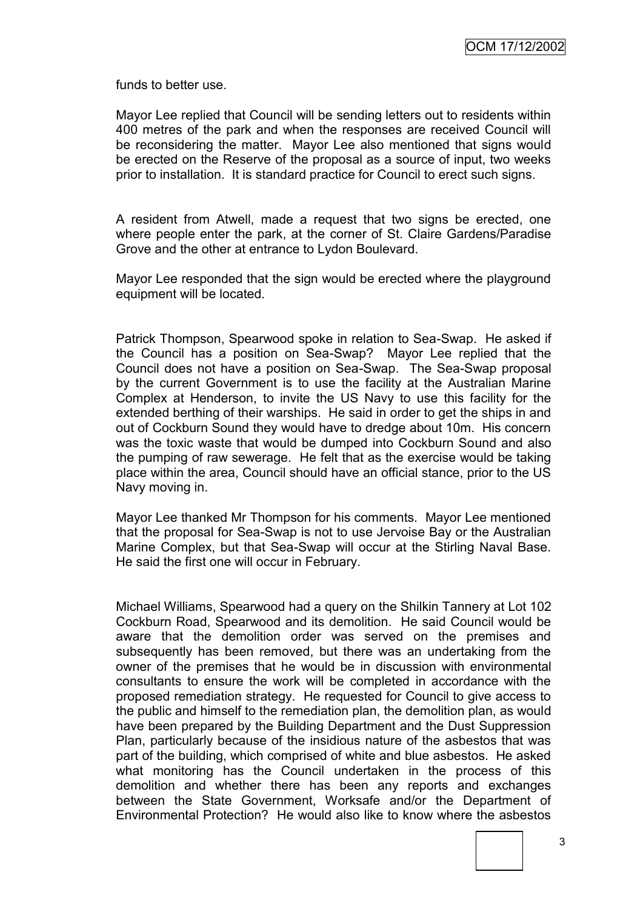funds to better use.

Mayor Lee replied that Council will be sending letters out to residents within 400 metres of the park and when the responses are received Council will be reconsidering the matter. Mayor Lee also mentioned that signs would be erected on the Reserve of the proposal as a source of input, two weeks prior to installation. It is standard practice for Council to erect such signs.

A resident from Atwell, made a request that two signs be erected, one where people enter the park, at the corner of St. Claire Gardens/Paradise Grove and the other at entrance to Lydon Boulevard.

Mayor Lee responded that the sign would be erected where the playground equipment will be located.

Patrick Thompson, Spearwood spoke in relation to Sea-Swap. He asked if the Council has a position on Sea-Swap? Mayor Lee replied that the Council does not have a position on Sea-Swap. The Sea-Swap proposal by the current Government is to use the facility at the Australian Marine Complex at Henderson, to invite the US Navy to use this facility for the extended berthing of their warships. He said in order to get the ships in and out of Cockburn Sound they would have to dredge about 10m. His concern was the toxic waste that would be dumped into Cockburn Sound and also the pumping of raw sewerage. He felt that as the exercise would be taking place within the area, Council should have an official stance, prior to the US Navy moving in.

Mayor Lee thanked Mr Thompson for his comments. Mayor Lee mentioned that the proposal for Sea-Swap is not to use Jervoise Bay or the Australian Marine Complex, but that Sea-Swap will occur at the Stirling Naval Base. He said the first one will occur in February.

Michael Williams, Spearwood had a query on the Shilkin Tannery at Lot 102 Cockburn Road, Spearwood and its demolition. He said Council would be aware that the demolition order was served on the premises and subsequently has been removed, but there was an undertaking from the owner of the premises that he would be in discussion with environmental consultants to ensure the work will be completed in accordance with the proposed remediation strategy. He requested for Council to give access to the public and himself to the remediation plan, the demolition plan, as would have been prepared by the Building Department and the Dust Suppression Plan, particularly because of the insidious nature of the asbestos that was part of the building, which comprised of white and blue asbestos. He asked what monitoring has the Council undertaken in the process of this demolition and whether there has been any reports and exchanges between the State Government, Worksafe and/or the Department of Environmental Protection? He would also like to know where the asbestos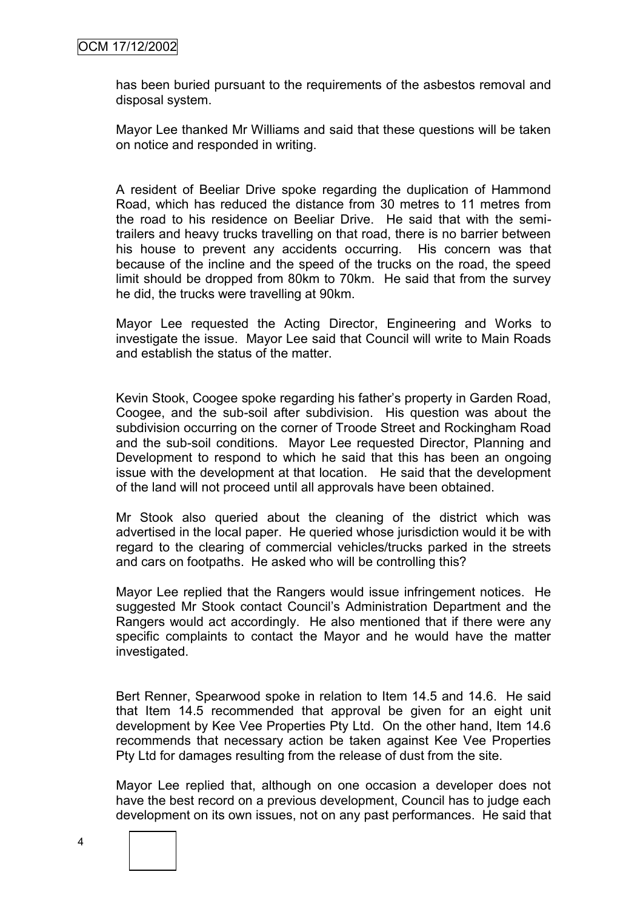# OCM 17/12/2002

has been buried pursuant to the requirements of the asbestos removal and disposal system.

Mayor Lee thanked Mr Williams and said that these questions will be taken on notice and responded in writing.

A resident of Beeliar Drive spoke regarding the duplication of Hammond Road, which has reduced the distance from 30 metres to 11 metres from the road to his residence on Beeliar Drive. He said that with the semitrailers and heavy trucks travelling on that road, there is no barrier between his house to prevent any accidents occurring. His concern was that because of the incline and the speed of the trucks on the road, the speed limit should be dropped from 80km to 70km. He said that from the survey he did, the trucks were travelling at 90km.

Mayor Lee requested the Acting Director, Engineering and Works to investigate the issue. Mayor Lee said that Council will write to Main Roads and establish the status of the matter.

Kevin Stook, Coogee spoke regarding his father"s property in Garden Road, Coogee, and the sub-soil after subdivision. His question was about the subdivision occurring on the corner of Troode Street and Rockingham Road and the sub-soil conditions. Mayor Lee requested Director, Planning and Development to respond to which he said that this has been an ongoing issue with the development at that location. He said that the development of the land will not proceed until all approvals have been obtained.

Mr Stook also queried about the cleaning of the district which was advertised in the local paper. He queried whose jurisdiction would it be with regard to the clearing of commercial vehicles/trucks parked in the streets and cars on footpaths. He asked who will be controlling this?

Mayor Lee replied that the Rangers would issue infringement notices. He suggested Mr Stook contact Council"s Administration Department and the Rangers would act accordingly. He also mentioned that if there were any specific complaints to contact the Mayor and he would have the matter investigated.

Bert Renner, Spearwood spoke in relation to Item 14.5 and 14.6. He said that Item 14.5 recommended that approval be given for an eight unit development by Kee Vee Properties Pty Ltd. On the other hand, Item 14.6 recommends that necessary action be taken against Kee Vee Properties Pty Ltd for damages resulting from the release of dust from the site.

Mayor Lee replied that, although on one occasion a developer does not have the best record on a previous development, Council has to judge each development on its own issues, not on any past performances. He said that

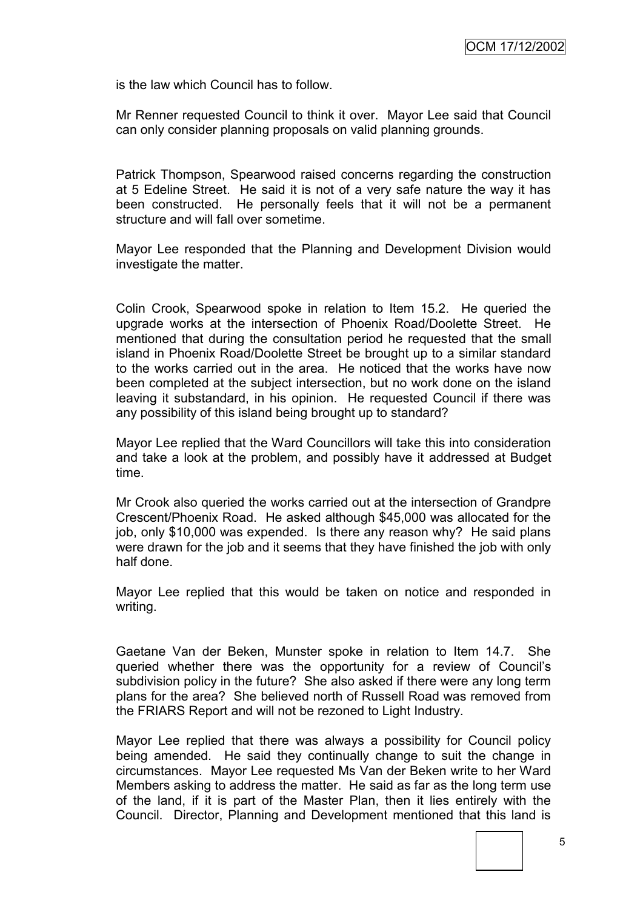is the law which Council has to follow.

Mr Renner requested Council to think it over. Mayor Lee said that Council can only consider planning proposals on valid planning grounds.

Patrick Thompson, Spearwood raised concerns regarding the construction at 5 Edeline Street. He said it is not of a very safe nature the way it has been constructed. He personally feels that it will not be a permanent structure and will fall over sometime.

Mayor Lee responded that the Planning and Development Division would investigate the matter.

Colin Crook, Spearwood spoke in relation to Item 15.2. He queried the upgrade works at the intersection of Phoenix Road/Doolette Street. He mentioned that during the consultation period he requested that the small island in Phoenix Road/Doolette Street be brought up to a similar standard to the works carried out in the area. He noticed that the works have now been completed at the subject intersection, but no work done on the island leaving it substandard, in his opinion. He requested Council if there was any possibility of this island being brought up to standard?

Mayor Lee replied that the Ward Councillors will take this into consideration and take a look at the problem, and possibly have it addressed at Budget time.

Mr Crook also queried the works carried out at the intersection of Grandpre Crescent/Phoenix Road. He asked although \$45,000 was allocated for the job, only \$10,000 was expended. Is there any reason why? He said plans were drawn for the job and it seems that they have finished the job with only half done.

Mayor Lee replied that this would be taken on notice and responded in writing.

Gaetane Van der Beken, Munster spoke in relation to Item 14.7. She queried whether there was the opportunity for a review of Council"s subdivision policy in the future? She also asked if there were any long term plans for the area? She believed north of Russell Road was removed from the FRIARS Report and will not be rezoned to Light Industry.

Mayor Lee replied that there was always a possibility for Council policy being amended. He said they continually change to suit the change in circumstances. Mayor Lee requested Ms Van der Beken write to her Ward Members asking to address the matter. He said as far as the long term use of the land, if it is part of the Master Plan, then it lies entirely with the Council. Director, Planning and Development mentioned that this land is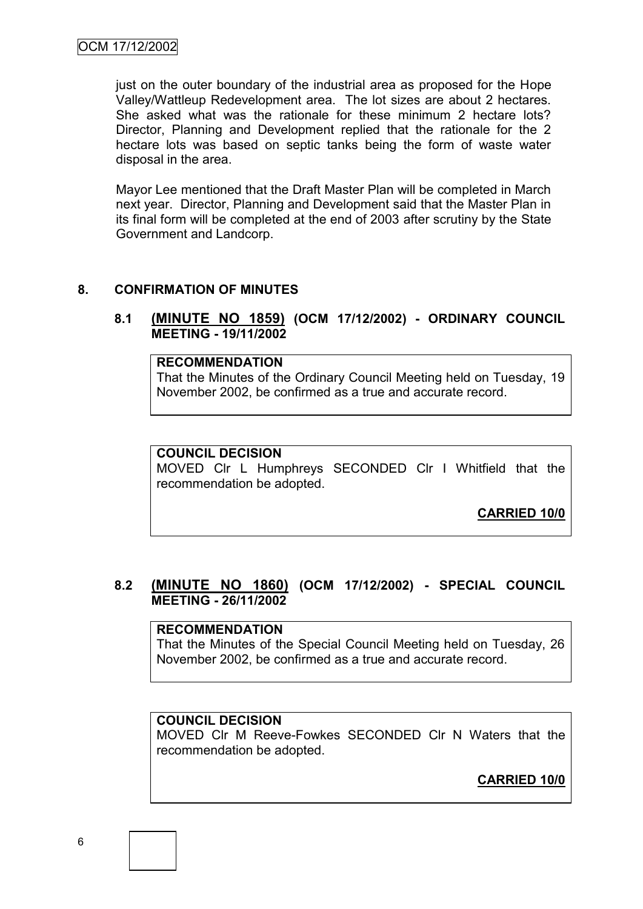### OCM 17/12/2002

just on the outer boundary of the industrial area as proposed for the Hope Valley/Wattleup Redevelopment area. The lot sizes are about 2 hectares. She asked what was the rationale for these minimum 2 hectare lots? Director, Planning and Development replied that the rationale for the 2 hectare lots was based on septic tanks being the form of waste water disposal in the area.

Mayor Lee mentioned that the Draft Master Plan will be completed in March next year. Director, Planning and Development said that the Master Plan in its final form will be completed at the end of 2003 after scrutiny by the State Government and Landcorp.

#### **8. CONFIRMATION OF MINUTES**

#### **8.1 (MINUTE NO 1859) (OCM 17/12/2002) - ORDINARY COUNCIL MEETING - 19/11/2002**

**RECOMMENDATION** That the Minutes of the Ordinary Council Meeting held on Tuesday, 19 November 2002, be confirmed as a true and accurate record.

#### **COUNCIL DECISION**

MOVED Clr L Humphreys SECONDED Clr I Whitfield that the recommendation be adopted.

**CARRIED 10/0**

#### **8.2 (MINUTE NO 1860) (OCM 17/12/2002) - SPECIAL COUNCIL MEETING - 26/11/2002**

#### **RECOMMENDATION**

That the Minutes of the Special Council Meeting held on Tuesday, 26 November 2002, be confirmed as a true and accurate record.

#### **COUNCIL DECISION**

MOVED Clr M Reeve-Fowkes SECONDED Clr N Waters that the recommendation be adopted.

**CARRIED 10/0**

6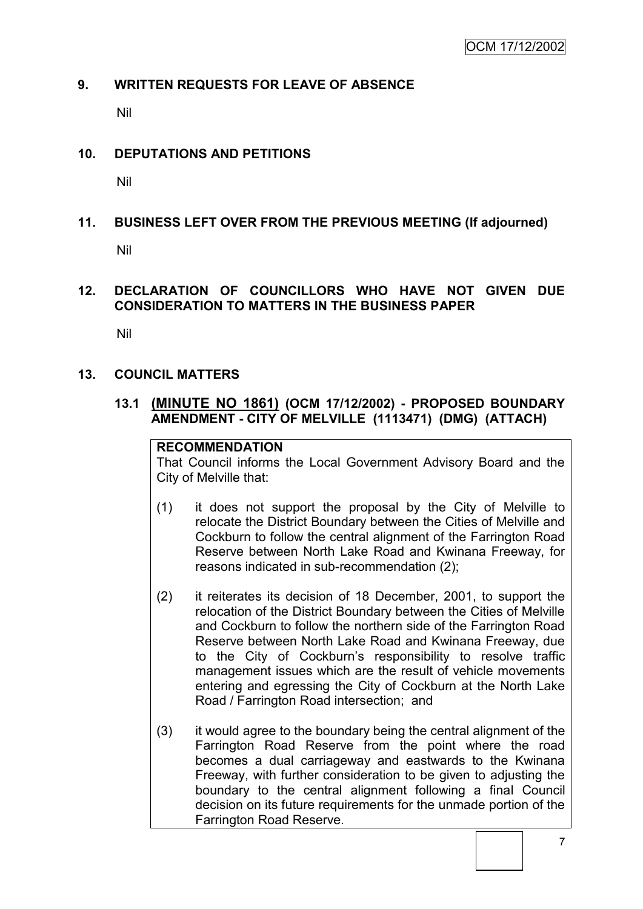### **9. WRITTEN REQUESTS FOR LEAVE OF ABSENCE**

Nil

#### **10. DEPUTATIONS AND PETITIONS**

Nil

# **11. BUSINESS LEFT OVER FROM THE PREVIOUS MEETING (If adjourned)**

Nil

## **12. DECLARATION OF COUNCILLORS WHO HAVE NOT GIVEN DUE CONSIDERATION TO MATTERS IN THE BUSINESS PAPER**

Nil

### **13. COUNCIL MATTERS**

## **13.1 (MINUTE NO 1861) (OCM 17/12/2002) - PROPOSED BOUNDARY AMENDMENT - CITY OF MELVILLE (1113471) (DMG) (ATTACH)**

# **RECOMMENDATION**

That Council informs the Local Government Advisory Board and the City of Melville that:

- (1) it does not support the proposal by the City of Melville to relocate the District Boundary between the Cities of Melville and Cockburn to follow the central alignment of the Farrington Road Reserve between North Lake Road and Kwinana Freeway, for reasons indicated in sub-recommendation (2);
- (2) it reiterates its decision of 18 December, 2001, to support the relocation of the District Boundary between the Cities of Melville and Cockburn to follow the northern side of the Farrington Road Reserve between North Lake Road and Kwinana Freeway, due to the City of Cockburn"s responsibility to resolve traffic management issues which are the result of vehicle movements entering and egressing the City of Cockburn at the North Lake Road / Farrington Road intersection; and
- (3) it would agree to the boundary being the central alignment of the Farrington Road Reserve from the point where the road becomes a dual carriageway and eastwards to the Kwinana Freeway, with further consideration to be given to adjusting the boundary to the central alignment following a final Council decision on its future requirements for the unmade portion of the Farrington Road Reserve.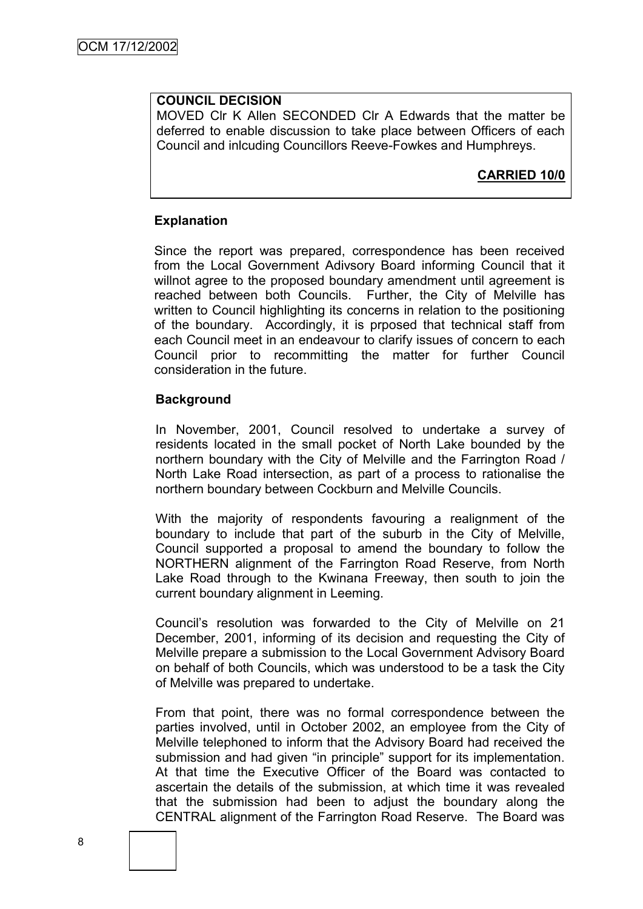### **COUNCIL DECISION**

MOVED Clr K Allen SECONDED Clr A Edwards that the matter be deferred to enable discussion to take place between Officers of each Council and inlcuding Councillors Reeve-Fowkes and Humphreys.

# **CARRIED 10/0**

#### **Explanation**

Since the report was prepared, correspondence has been received from the Local Government Adivsory Board informing Council that it willnot agree to the proposed boundary amendment until agreement is reached between both Councils. Further, the City of Melville has written to Council highlighting its concerns in relation to the positioning of the boundary. Accordingly, it is prposed that technical staff from each Council meet in an endeavour to clarify issues of concern to each Council prior to recommitting the matter for further Council consideration in the future.

#### **Background**

In November, 2001, Council resolved to undertake a survey of residents located in the small pocket of North Lake bounded by the northern boundary with the City of Melville and the Farrington Road / North Lake Road intersection, as part of a process to rationalise the northern boundary between Cockburn and Melville Councils.

With the majority of respondents favouring a realignment of the boundary to include that part of the suburb in the City of Melville, Council supported a proposal to amend the boundary to follow the NORTHERN alignment of the Farrington Road Reserve, from North Lake Road through to the Kwinana Freeway, then south to join the current boundary alignment in Leeming.

Council"s resolution was forwarded to the City of Melville on 21 December, 2001, informing of its decision and requesting the City of Melville prepare a submission to the Local Government Advisory Board on behalf of both Councils, which was understood to be a task the City of Melville was prepared to undertake.

From that point, there was no formal correspondence between the parties involved, until in October 2002, an employee from the City of Melville telephoned to inform that the Advisory Board had received the submission and had given "in principle" support for its implementation. At that time the Executive Officer of the Board was contacted to ascertain the details of the submission, at which time it was revealed that the submission had been to adjust the boundary along the CENTRAL alignment of the Farrington Road Reserve. The Board was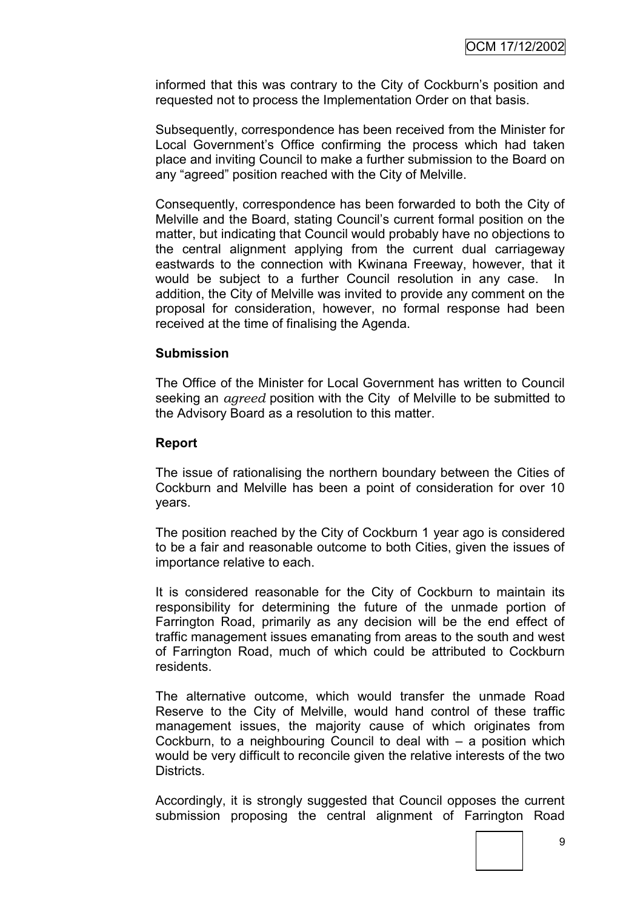informed that this was contrary to the City of Cockburn"s position and requested not to process the Implementation Order on that basis.

Subsequently, correspondence has been received from the Minister for Local Government"s Office confirming the process which had taken place and inviting Council to make a further submission to the Board on any "agreed" position reached with the City of Melville.

Consequently, correspondence has been forwarded to both the City of Melville and the Board, stating Council"s current formal position on the matter, but indicating that Council would probably have no objections to the central alignment applying from the current dual carriageway eastwards to the connection with Kwinana Freeway, however, that it would be subject to a further Council resolution in any case. In addition, the City of Melville was invited to provide any comment on the proposal for consideration, however, no formal response had been received at the time of finalising the Agenda.

#### **Submission**

The Office of the Minister for Local Government has written to Council seeking an *agreed* position with the City of Melville to be submitted to the Advisory Board as a resolution to this matter.

#### **Report**

The issue of rationalising the northern boundary between the Cities of Cockburn and Melville has been a point of consideration for over 10 years.

The position reached by the City of Cockburn 1 year ago is considered to be a fair and reasonable outcome to both Cities, given the issues of importance relative to each.

It is considered reasonable for the City of Cockburn to maintain its responsibility for determining the future of the unmade portion of Farrington Road, primarily as any decision will be the end effect of traffic management issues emanating from areas to the south and west of Farrington Road, much of which could be attributed to Cockburn residents.

The alternative outcome, which would transfer the unmade Road Reserve to the City of Melville, would hand control of these traffic management issues, the majority cause of which originates from Cockburn, to a neighbouring Council to deal with – a position which would be very difficult to reconcile given the relative interests of the two Districts.

Accordingly, it is strongly suggested that Council opposes the current submission proposing the central alignment of Farrington Road



9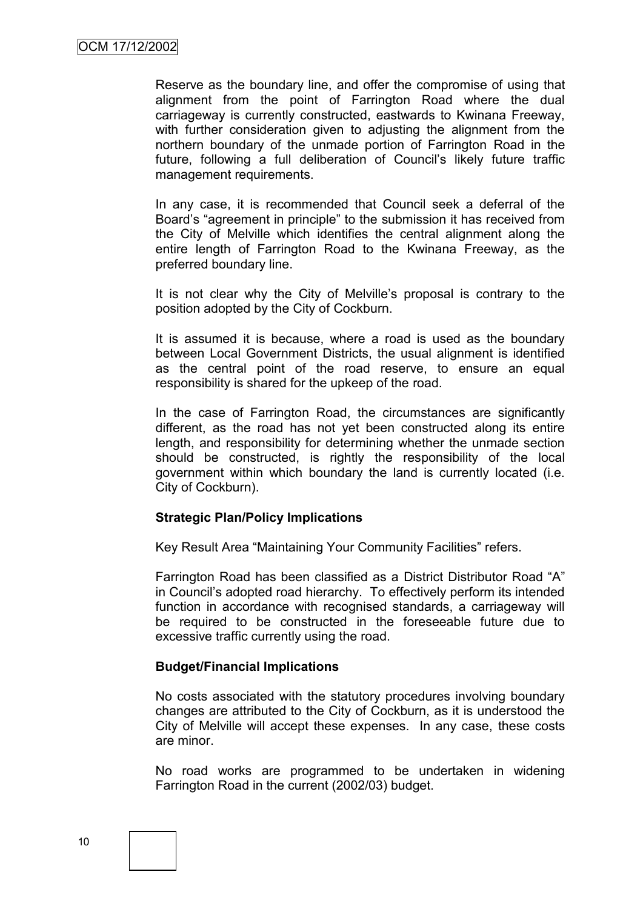Reserve as the boundary line, and offer the compromise of using that alignment from the point of Farrington Road where the dual carriageway is currently constructed, eastwards to Kwinana Freeway, with further consideration given to adjusting the alignment from the northern boundary of the unmade portion of Farrington Road in the future, following a full deliberation of Council's likely future traffic management requirements.

In any case, it is recommended that Council seek a deferral of the Board"s "agreement in principle" to the submission it has received from the City of Melville which identifies the central alignment along the entire length of Farrington Road to the Kwinana Freeway, as the preferred boundary line.

It is not clear why the City of Melville's proposal is contrary to the position adopted by the City of Cockburn.

It is assumed it is because, where a road is used as the boundary between Local Government Districts, the usual alignment is identified as the central point of the road reserve, to ensure an equal responsibility is shared for the upkeep of the road.

In the case of Farrington Road, the circumstances are significantly different, as the road has not yet been constructed along its entire length, and responsibility for determining whether the unmade section should be constructed, is rightly the responsibility of the local government within which boundary the land is currently located (i.e. City of Cockburn).

#### **Strategic Plan/Policy Implications**

Key Result Area "Maintaining Your Community Facilities" refers.

Farrington Road has been classified as a District Distributor Road "A" in Council"s adopted road hierarchy. To effectively perform its intended function in accordance with recognised standards, a carriageway will be required to be constructed in the foreseeable future due to excessive traffic currently using the road.

#### **Budget/Financial Implications**

No costs associated with the statutory procedures involving boundary changes are attributed to the City of Cockburn, as it is understood the City of Melville will accept these expenses. In any case, these costs are minor.

No road works are programmed to be undertaken in widening Farrington Road in the current (2002/03) budget.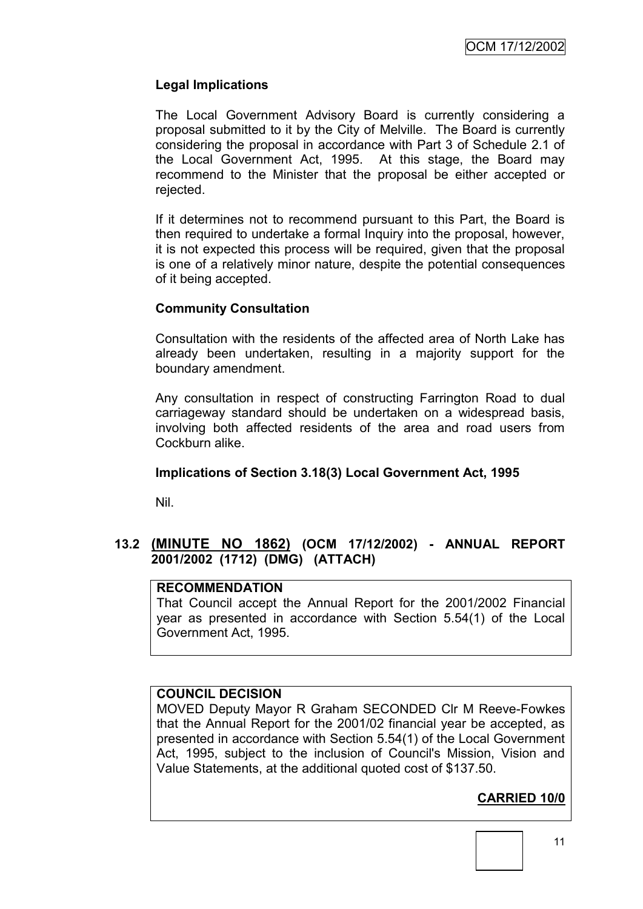# **Legal Implications**

The Local Government Advisory Board is currently considering a proposal submitted to it by the City of Melville. The Board is currently considering the proposal in accordance with Part 3 of Schedule 2.1 of the Local Government Act, 1995. At this stage, the Board may recommend to the Minister that the proposal be either accepted or rejected.

If it determines not to recommend pursuant to this Part, the Board is then required to undertake a formal Inquiry into the proposal, however, it is not expected this process will be required, given that the proposal is one of a relatively minor nature, despite the potential consequences of it being accepted.

### **Community Consultation**

Consultation with the residents of the affected area of North Lake has already been undertaken, resulting in a majority support for the boundary amendment.

Any consultation in respect of constructing Farrington Road to dual carriageway standard should be undertaken on a widespread basis, involving both affected residents of the area and road users from Cockburn alike.

# **Implications of Section 3.18(3) Local Government Act, 1995**

Nil.

# **13.2 (MINUTE NO 1862) (OCM 17/12/2002) - ANNUAL REPORT 2001/2002 (1712) (DMG) (ATTACH)**

## **RECOMMENDATION**

That Council accept the Annual Report for the 2001/2002 Financial year as presented in accordance with Section 5.54(1) of the Local Government Act, 1995.

#### **COUNCIL DECISION**

MOVED Deputy Mayor R Graham SECONDED Clr M Reeve-Fowkes that the Annual Report for the 2001/02 financial year be accepted, as presented in accordance with Section 5.54(1) of the Local Government Act, 1995, subject to the inclusion of Council's Mission, Vision and Value Statements, at the additional quoted cost of \$137.50.

# **CARRIED 10/0**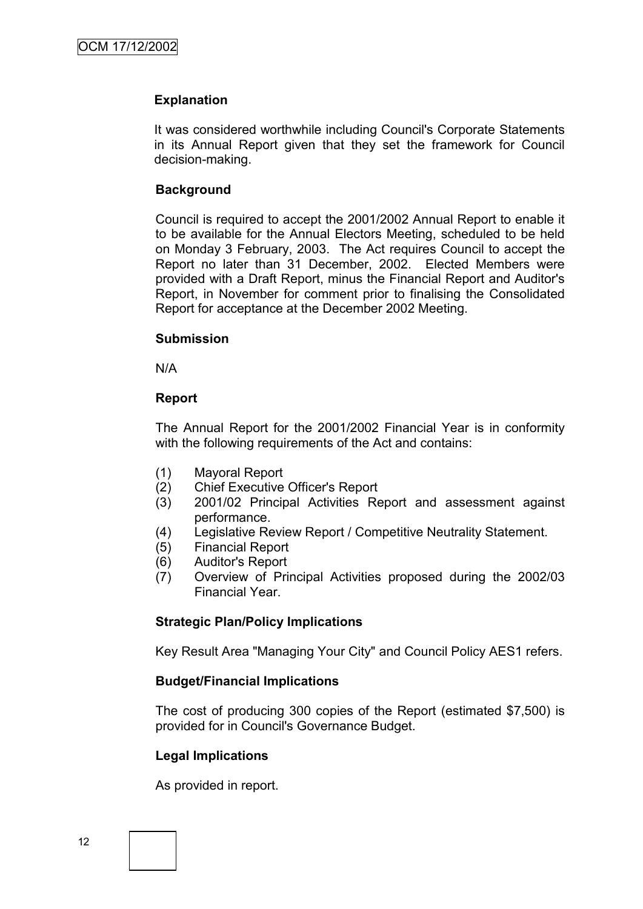#### **Explanation**

It was considered worthwhile including Council's Corporate Statements in its Annual Report given that they set the framework for Council decision-making.

#### **Background**

Council is required to accept the 2001/2002 Annual Report to enable it to be available for the Annual Electors Meeting, scheduled to be held on Monday 3 February, 2003. The Act requires Council to accept the Report no later than 31 December, 2002. Elected Members were provided with a Draft Report, minus the Financial Report and Auditor's Report, in November for comment prior to finalising the Consolidated Report for acceptance at the December 2002 Meeting.

#### **Submission**

N/A

#### **Report**

The Annual Report for the 2001/2002 Financial Year is in conformity with the following requirements of the Act and contains:

- (1) Mayoral Report
- (2) Chief Executive Officer's Report
- (3) 2001/02 Principal Activities Report and assessment against performance.
- (4) Legislative Review Report / Competitive Neutrality Statement.
- (5) Financial Report
- (6) Auditor's Report
- (7) Overview of Principal Activities proposed during the 2002/03 Financial Year.

#### **Strategic Plan/Policy Implications**

Key Result Area "Managing Your City" and Council Policy AES1 refers.

#### **Budget/Financial Implications**

The cost of producing 300 copies of the Report (estimated \$7,500) is provided for in Council's Governance Budget.

#### **Legal Implications**

As provided in report.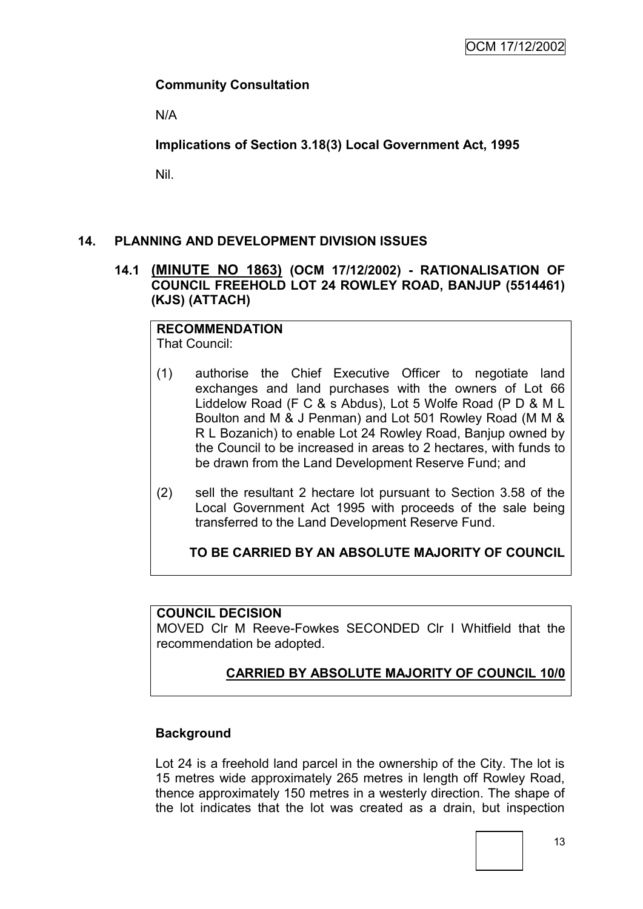## **Community Consultation**

N/A

**Implications of Section 3.18(3) Local Government Act, 1995**

Nil.

# **14. PLANNING AND DEVELOPMENT DIVISION ISSUES**

### **14.1 (MINUTE NO 1863) (OCM 17/12/2002) - RATIONALISATION OF COUNCIL FREEHOLD LOT 24 ROWLEY ROAD, BANJUP (5514461) (KJS) (ATTACH)**

#### **RECOMMENDATION** That Council:

- (1) authorise the Chief Executive Officer to negotiate land exchanges and land purchases with the owners of Lot 66 Liddelow Road (F C & s Abdus), Lot 5 Wolfe Road (P D & M L Boulton and M & J Penman) and Lot 501 Rowley Road (M M & R L Bozanich) to enable Lot 24 Rowley Road, Banjup owned by the Council to be increased in areas to 2 hectares, with funds to be drawn from the Land Development Reserve Fund; and
- (2) sell the resultant 2 hectare lot pursuant to Section 3.58 of the Local Government Act 1995 with proceeds of the sale being transferred to the Land Development Reserve Fund.

**TO BE CARRIED BY AN ABSOLUTE MAJORITY OF COUNCIL**

#### **COUNCIL DECISION**

MOVED Clr M Reeve-Fowkes SECONDED Clr I Whitfield that the recommendation be adopted.

# **CARRIED BY ABSOLUTE MAJORITY OF COUNCIL 10/0**

# **Background**

Lot 24 is a freehold land parcel in the ownership of the City. The lot is 15 metres wide approximately 265 metres in length off Rowley Road, thence approximately 150 metres in a westerly direction. The shape of the lot indicates that the lot was created as a drain, but inspection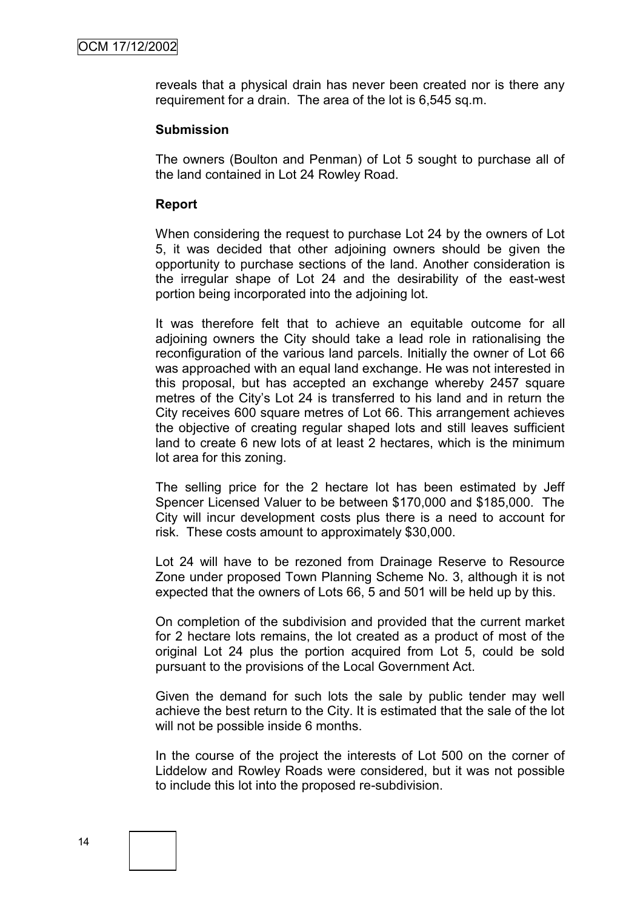reveals that a physical drain has never been created nor is there any requirement for a drain. The area of the lot is 6,545 sq.m.

#### **Submission**

The owners (Boulton and Penman) of Lot 5 sought to purchase all of the land contained in Lot 24 Rowley Road.

#### **Report**

When considering the request to purchase Lot 24 by the owners of Lot 5, it was decided that other adjoining owners should be given the opportunity to purchase sections of the land. Another consideration is the irregular shape of Lot 24 and the desirability of the east-west portion being incorporated into the adjoining lot.

It was therefore felt that to achieve an equitable outcome for all adjoining owners the City should take a lead role in rationalising the reconfiguration of the various land parcels. Initially the owner of Lot 66 was approached with an equal land exchange. He was not interested in this proposal, but has accepted an exchange whereby 2457 square metres of the City"s Lot 24 is transferred to his land and in return the City receives 600 square metres of Lot 66. This arrangement achieves the objective of creating regular shaped lots and still leaves sufficient land to create 6 new lots of at least 2 hectares, which is the minimum lot area for this zoning.

The selling price for the 2 hectare lot has been estimated by Jeff Spencer Licensed Valuer to be between \$170,000 and \$185,000. The City will incur development costs plus there is a need to account for risk. These costs amount to approximately \$30,000.

Lot 24 will have to be rezoned from Drainage Reserve to Resource Zone under proposed Town Planning Scheme No. 3, although it is not expected that the owners of Lots 66, 5 and 501 will be held up by this.

On completion of the subdivision and provided that the current market for 2 hectare lots remains, the lot created as a product of most of the original Lot 24 plus the portion acquired from Lot 5, could be sold pursuant to the provisions of the Local Government Act.

Given the demand for such lots the sale by public tender may well achieve the best return to the City. It is estimated that the sale of the lot will not be possible inside 6 months.

In the course of the project the interests of Lot 500 on the corner of Liddelow and Rowley Roads were considered, but it was not possible to include this lot into the proposed re-subdivision.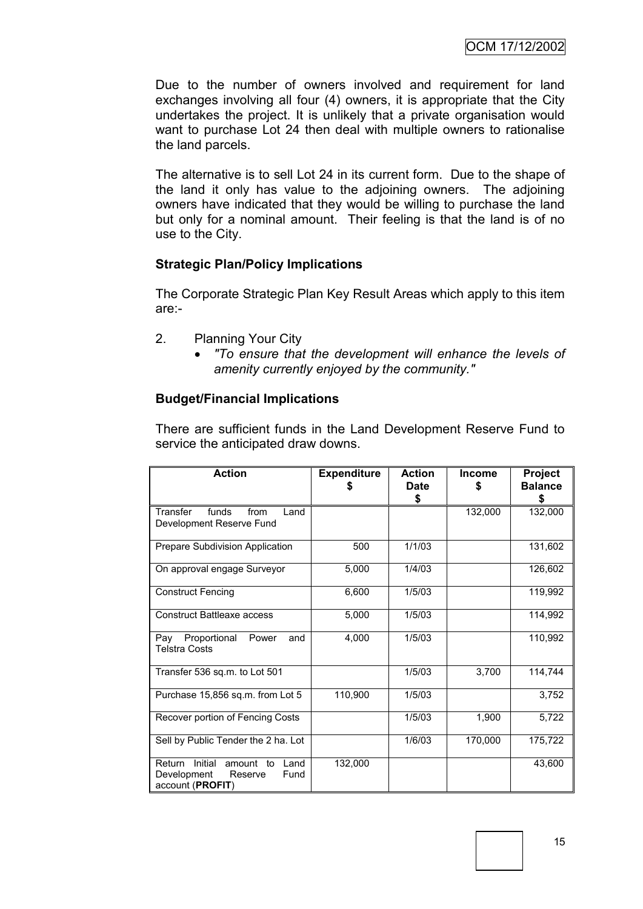Due to the number of owners involved and requirement for land exchanges involving all four (4) owners, it is appropriate that the City undertakes the project. It is unlikely that a private organisation would want to purchase Lot 24 then deal with multiple owners to rationalise the land parcels.

The alternative is to sell Lot 24 in its current form. Due to the shape of the land it only has value to the adjoining owners. The adjoining owners have indicated that they would be willing to purchase the land but only for a nominal amount. Their feeling is that the land is of no use to the City.

### **Strategic Plan/Policy Implications**

The Corporate Strategic Plan Key Result Areas which apply to this item are:-

- 2. Planning Your City
	- *"To ensure that the development will enhance the levels of amenity currently enjoyed by the community."*

### **Budget/Financial Implications**

There are sufficient funds in the Land Development Reserve Fund to service the anticipated draw downs.

| <b>Action</b>                                                                                   | <b>Expenditure</b> | <b>Action</b><br><b>Date</b> | <b>Income</b><br>S | <b>Project</b><br><b>Balance</b> |
|-------------------------------------------------------------------------------------------------|--------------------|------------------------------|--------------------|----------------------------------|
|                                                                                                 |                    | \$                           |                    | S                                |
| Transfer<br>funds<br>from<br>Land<br>Development Reserve Fund                                   |                    |                              | 132,000            | 132,000                          |
| Prepare Subdivision Application                                                                 | 500                | 1/1/03                       |                    | 131,602                          |
| On approval engage Surveyor                                                                     | 5,000              | 1/4/03                       |                    | 126,602                          |
| <b>Construct Fencing</b>                                                                        | 6,600              | 1/5/03                       |                    | 119,992                          |
| <b>Construct Battleaxe access</b>                                                               | 5,000              | 1/5/03                       |                    | 114,992                          |
| Proportional<br>Pay<br>Power<br>and<br><b>Telstra Costs</b>                                     | 4,000              | 1/5/03                       |                    | 110,992                          |
| Transfer 536 sq.m. to Lot 501                                                                   |                    | 1/5/03                       | 3,700              | 114,744                          |
| Purchase 15,856 sq.m. from Lot 5                                                                | 110,900            | 1/5/03                       |                    | 3,752                            |
| Recover portion of Fencing Costs                                                                |                    | 1/5/03                       | 1,900              | 5,722                            |
| Sell by Public Tender the 2 ha. Lot                                                             |                    | 1/6/03                       | 170,000            | 175,722                          |
| Initial<br>Land<br>Return<br>amount<br>to<br>Development<br>Fund<br>Reserve<br>account (PROFIT) | 132,000            |                              |                    | 43,600                           |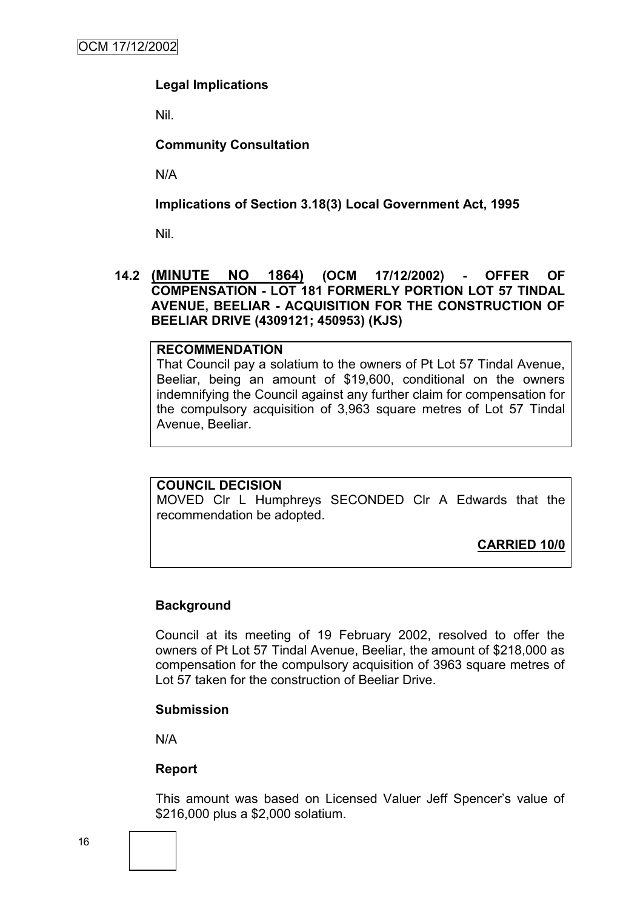## **Legal Implications**

Nil.

#### **Community Consultation**

N/A

#### **Implications of Section 3.18(3) Local Government Act, 1995**

Nil.

#### **14.2 (MINUTE NO 1864) (OCM 17/12/2002) - OFFER OF COMPENSATION - LOT 181 FORMERLY PORTION LOT 57 TINDAL AVENUE, BEELIAR - ACQUISITION FOR THE CONSTRUCTION OF BEELIAR DRIVE (4309121; 450953) (KJS)**

#### **RECOMMENDATION**

That Council pay a solatium to the owners of Pt Lot 57 Tindal Avenue, Beeliar, being an amount of \$19,600, conditional on the owners indemnifying the Council against any further claim for compensation for the compulsory acquisition of 3,963 square metres of Lot 57 Tindal Avenue, Beeliar.

#### **COUNCIL DECISION**

MOVED Clr L Humphreys SECONDED Clr A Edwards that the recommendation be adopted.

**CARRIED 10/0**

#### **Background**

Council at its meeting of 19 February 2002, resolved to offer the owners of Pt Lot 57 Tindal Avenue, Beeliar, the amount of \$218,000 as compensation for the compulsory acquisition of 3963 square metres of Lot 57 taken for the construction of Beeliar Drive.

#### **Submission**

N/A

#### **Report**

This amount was based on Licensed Valuer Jeff Spencer"s value of \$216,000 plus a \$2,000 solatium.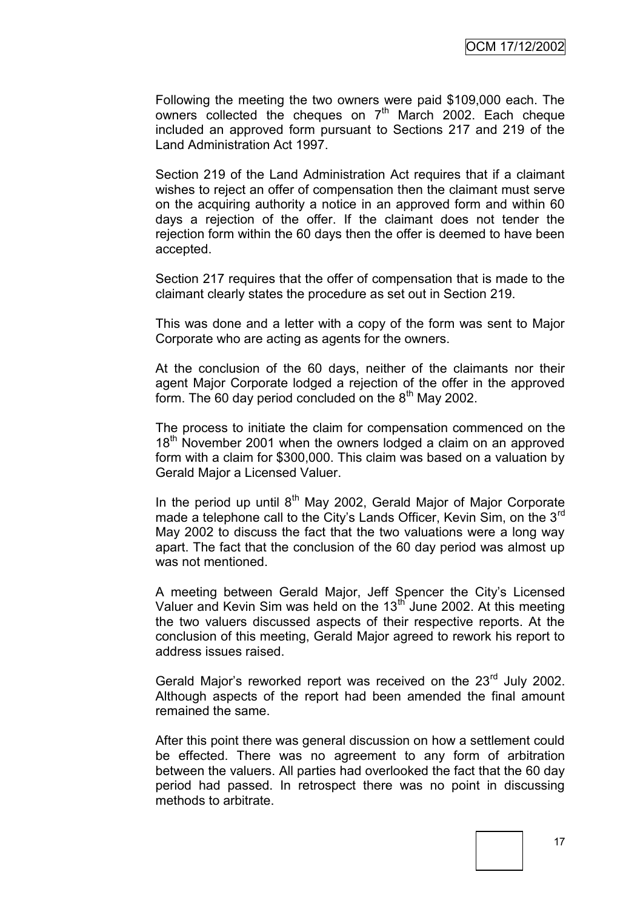Following the meeting the two owners were paid \$109,000 each. The owners collected the cheques on  $7<sup>th</sup>$  March 2002. Each cheque included an approved form pursuant to Sections 217 and 219 of the Land Administration Act 1997.

Section 219 of the Land Administration Act requires that if a claimant wishes to reject an offer of compensation then the claimant must serve on the acquiring authority a notice in an approved form and within 60 days a rejection of the offer. If the claimant does not tender the rejection form within the 60 days then the offer is deemed to have been accepted.

Section 217 requires that the offer of compensation that is made to the claimant clearly states the procedure as set out in Section 219.

This was done and a letter with a copy of the form was sent to Major Corporate who are acting as agents for the owners.

At the conclusion of the 60 days, neither of the claimants nor their agent Major Corporate lodged a rejection of the offer in the approved form. The 60 day period concluded on the  $8<sup>th</sup>$  May 2002.

The process to initiate the claim for compensation commenced on the 18<sup>th</sup> November 2001 when the owners lodged a claim on an approved form with a claim for \$300,000. This claim was based on a valuation by Gerald Major a Licensed Valuer.

In the period up until  $8<sup>th</sup>$  May 2002, Gerald Major of Major Corporate made a telephone call to the City's Lands Officer, Kevin Sim, on the 3<sup>rd</sup> May 2002 to discuss the fact that the two valuations were a long way apart. The fact that the conclusion of the 60 day period was almost up was not mentioned.

A meeting between Gerald Major, Jeff Spencer the City"s Licensed Valuer and Kevin Sim was held on the  $13<sup>th</sup>$  June 2002. At this meeting the two valuers discussed aspects of their respective reports. At the conclusion of this meeting, Gerald Major agreed to rework his report to address issues raised.

Gerald Major's reworked report was received on the 23<sup>rd</sup> July 2002. Although aspects of the report had been amended the final amount remained the same.

After this point there was general discussion on how a settlement could be effected. There was no agreement to any form of arbitration between the valuers. All parties had overlooked the fact that the 60 day period had passed. In retrospect there was no point in discussing methods to arbitrate.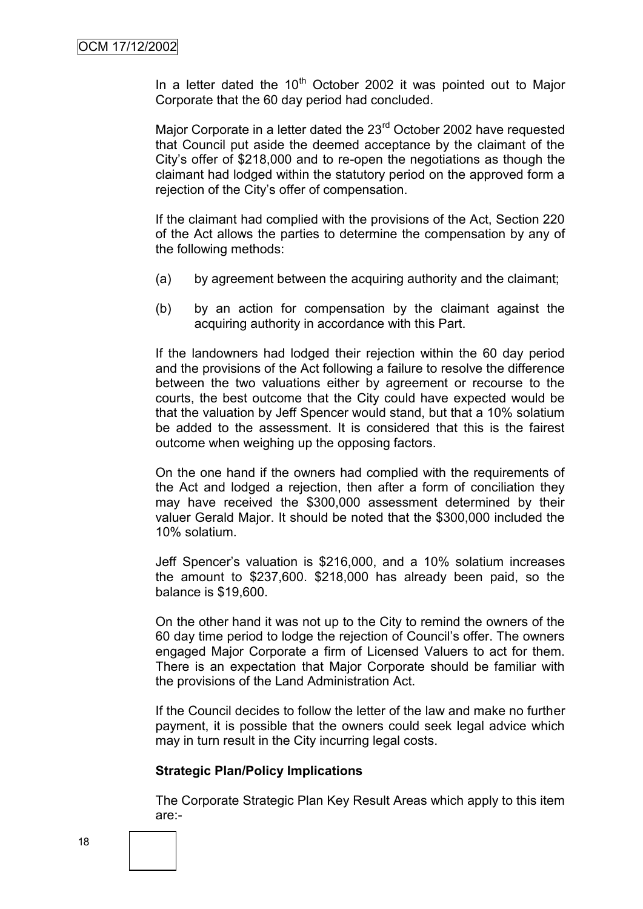In a letter dated the  $10<sup>th</sup>$  October 2002 it was pointed out to Major Corporate that the 60 day period had concluded.

Major Corporate in a letter dated the 23<sup>rd</sup> October 2002 have requested that Council put aside the deemed acceptance by the claimant of the City"s offer of \$218,000 and to re-open the negotiations as though the claimant had lodged within the statutory period on the approved form a rejection of the City"s offer of compensation.

If the claimant had complied with the provisions of the Act, Section 220 of the Act allows the parties to determine the compensation by any of the following methods:

- (a) by agreement between the acquiring authority and the claimant;
- (b) by an action for compensation by the claimant against the acquiring authority in accordance with this Part.

If the landowners had lodged their rejection within the 60 day period and the provisions of the Act following a failure to resolve the difference between the two valuations either by agreement or recourse to the courts, the best outcome that the City could have expected would be that the valuation by Jeff Spencer would stand, but that a 10% solatium be added to the assessment. It is considered that this is the fairest outcome when weighing up the opposing factors.

On the one hand if the owners had complied with the requirements of the Act and lodged a rejection, then after a form of conciliation they may have received the \$300,000 assessment determined by their valuer Gerald Major. It should be noted that the \$300,000 included the 10% solatium.

Jeff Spencer"s valuation is \$216,000, and a 10% solatium increases the amount to \$237,600. \$218,000 has already been paid, so the balance is \$19,600.

On the other hand it was not up to the City to remind the owners of the 60 day time period to lodge the rejection of Council"s offer. The owners engaged Major Corporate a firm of Licensed Valuers to act for them. There is an expectation that Major Corporate should be familiar with the provisions of the Land Administration Act.

If the Council decides to follow the letter of the law and make no further payment, it is possible that the owners could seek legal advice which may in turn result in the City incurring legal costs.

#### **Strategic Plan/Policy Implications**

The Corporate Strategic Plan Key Result Areas which apply to this item are:-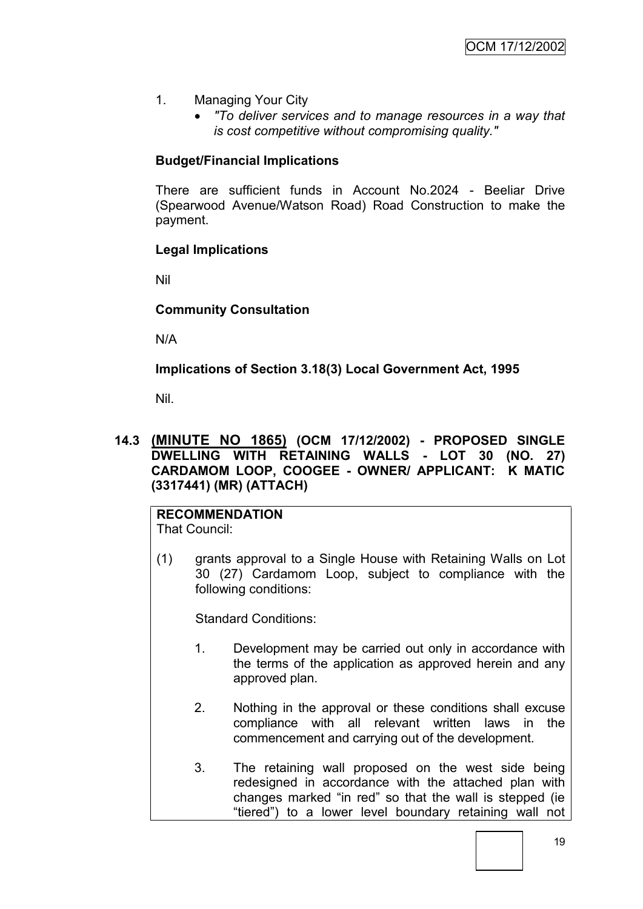- 1. Managing Your City
	- *"To deliver services and to manage resources in a way that is cost competitive without compromising quality."*

## **Budget/Financial Implications**

There are sufficient funds in Account No.2024 - Beeliar Drive (Spearwood Avenue/Watson Road) Road Construction to make the payment.

### **Legal Implications**

Nil

### **Community Consultation**

N/A

### **Implications of Section 3.18(3) Local Government Act, 1995**

Nil.

#### **14.3 (MINUTE NO 1865) (OCM 17/12/2002) - PROPOSED SINGLE DWELLING WITH RETAINING WALLS - LOT 30 (NO. 27) CARDAMOM LOOP, COOGEE - OWNER/ APPLICANT: K MATIC (3317441) (MR) (ATTACH)**

**RECOMMENDATION** That Council:

(1) grants approval to a Single House with Retaining Walls on Lot 30 (27) Cardamom Loop, subject to compliance with the following conditions:

Standard Conditions:

- 1. Development may be carried out only in accordance with the terms of the application as approved herein and any approved plan.
- 2. Nothing in the approval or these conditions shall excuse compliance with all relevant written laws in the commencement and carrying out of the development.
- 3. The retaining wall proposed on the west side being redesigned in accordance with the attached plan with changes marked "in red" so that the wall is stepped (ie "tiered") to a lower level boundary retaining wall not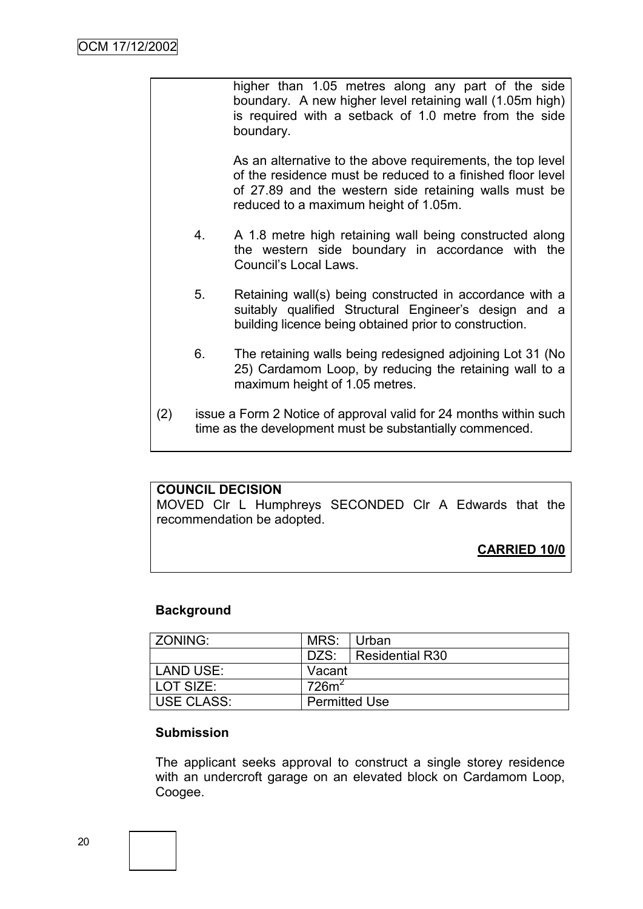|     |    | higher than 1.05 metres along any part of the side<br>boundary. A new higher level retaining wall (1.05m high)<br>is required with a setback of 1.0 metre from the side<br>boundary.                                       |
|-----|----|----------------------------------------------------------------------------------------------------------------------------------------------------------------------------------------------------------------------------|
|     |    | As an alternative to the above requirements, the top level<br>of the residence must be reduced to a finished floor level<br>of 27.89 and the western side retaining walls must be<br>reduced to a maximum height of 1.05m. |
|     | 4. | A 1.8 metre high retaining wall being constructed along<br>the western side boundary in accordance with the<br>Council's Local Laws.                                                                                       |
|     | 5. | Retaining wall(s) being constructed in accordance with a<br>suitably qualified Structural Engineer's design and a<br>building licence being obtained prior to construction.                                                |
|     | 6. | The retaining walls being redesigned adjoining Lot 31 (No<br>25) Cardamom Loop, by reducing the retaining wall to a<br>maximum height of 1.05 metres.                                                                      |
| (2) |    | issue a Form 2 Notice of approval valid for 24 months within such<br>time as the development must be substantially commenced.                                                                                              |

### **COUNCIL DECISION**

MOVED Clr L Humphreys SECONDED Clr A Edwards that the recommendation be adopted.

**CARRIED 10/0**

### **Background**

| l ZONING:    | MRS:                 | Urban           |
|--------------|----------------------|-----------------|
|              | DZS:                 | Residential R30 |
| LAND USE:    | Vacant               |                 |
| l LOT SIZE:  | 726m <sup>2</sup>    |                 |
| I USE CLASS: | <b>Permitted Use</b> |                 |

# **Submission**

The applicant seeks approval to construct a single storey residence with an undercroft garage on an elevated block on Cardamom Loop, Coogee.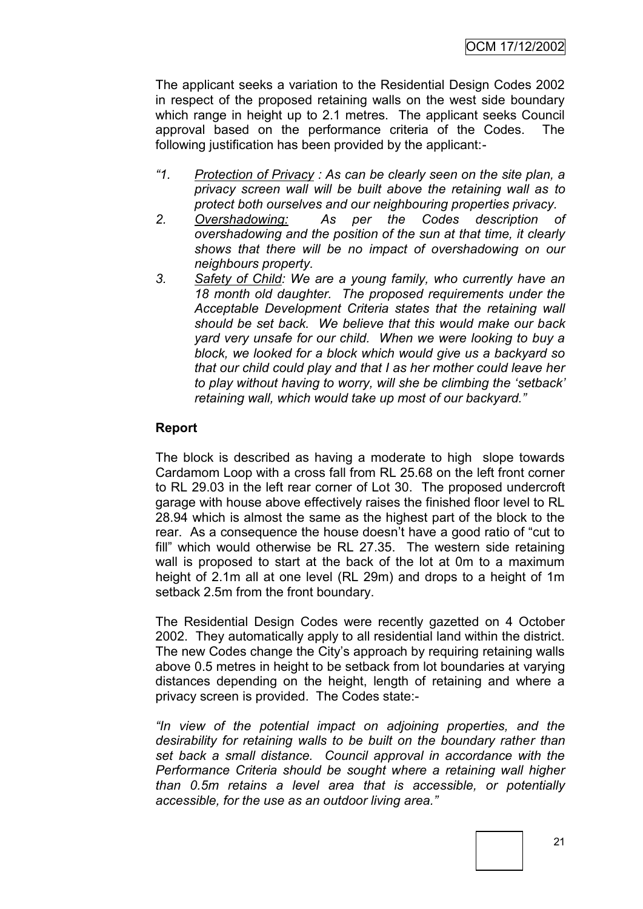The applicant seeks a variation to the Residential Design Codes 2002 in respect of the proposed retaining walls on the west side boundary which range in height up to 2.1 metres. The applicant seeks Council approval based on the performance criteria of the Codes. The following justification has been provided by the applicant:-

- *"1. Protection of Privacy : As can be clearly seen on the site plan, a privacy screen wall will be built above the retaining wall as to protect both ourselves and our neighbouring properties privacy.*
- *2. Overshadowing: As per the Codes description of overshadowing and the position of the sun at that time, it clearly shows that there will be no impact of overshadowing on our neighbours property.*
- *3. Safety of Child: We are a young family, who currently have an 18 month old daughter. The proposed requirements under the Acceptable Development Criteria states that the retaining wall should be set back. We believe that this would make our back yard very unsafe for our child. When we were looking to buy a block, we looked for a block which would give us a backyard so that our child could play and that I as her mother could leave her to play without having to worry, will she be climbing the "setback" retaining wall, which would take up most of our backyard."*

#### **Report**

The block is described as having a moderate to high slope towards Cardamom Loop with a cross fall from RL 25.68 on the left front corner to RL 29.03 in the left rear corner of Lot 30. The proposed undercroft garage with house above effectively raises the finished floor level to RL 28.94 which is almost the same as the highest part of the block to the rear. As a consequence the house doesn"t have a good ratio of "cut to fill" which would otherwise be RL 27.35. The western side retaining wall is proposed to start at the back of the lot at 0m to a maximum height of 2.1m all at one level (RL 29m) and drops to a height of 1m setback 2.5m from the front boundary.

The Residential Design Codes were recently gazetted on 4 October 2002. They automatically apply to all residential land within the district. The new Codes change the City"s approach by requiring retaining walls above 0.5 metres in height to be setback from lot boundaries at varying distances depending on the height, length of retaining and where a privacy screen is provided. The Codes state:-

*"In view of the potential impact on adjoining properties, and the desirability for retaining walls to be built on the boundary rather than set back a small distance. Council approval in accordance with the Performance Criteria should be sought where a retaining wall higher than 0.5m retains a level area that is accessible, or potentially accessible, for the use as an outdoor living area."*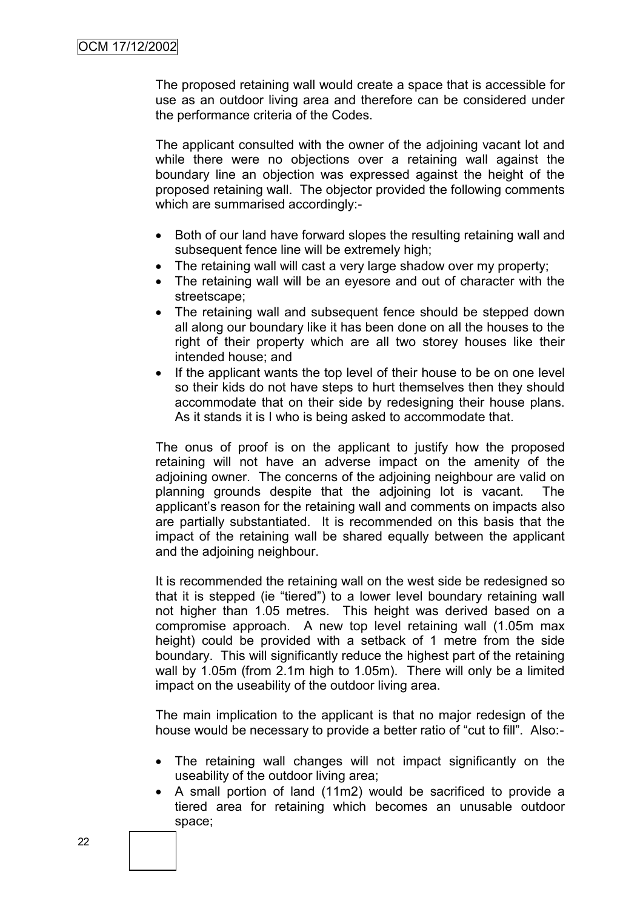The proposed retaining wall would create a space that is accessible for use as an outdoor living area and therefore can be considered under the performance criteria of the Codes.

The applicant consulted with the owner of the adjoining vacant lot and while there were no objections over a retaining wall against the boundary line an objection was expressed against the height of the proposed retaining wall. The objector provided the following comments which are summarised accordingly:-

- Both of our land have forward slopes the resulting retaining wall and subsequent fence line will be extremely high;
- The retaining wall will cast a very large shadow over my property;
- The retaining wall will be an eyesore and out of character with the streetscape;
- The retaining wall and subsequent fence should be stepped down all along our boundary like it has been done on all the houses to the right of their property which are all two storey houses like their intended house; and
- If the applicant wants the top level of their house to be on one level so their kids do not have steps to hurt themselves then they should accommodate that on their side by redesigning their house plans. As it stands it is I who is being asked to accommodate that.

The onus of proof is on the applicant to justify how the proposed retaining will not have an adverse impact on the amenity of the adjoining owner. The concerns of the adjoining neighbour are valid on planning grounds despite that the adjoining lot is vacant. The applicant"s reason for the retaining wall and comments on impacts also are partially substantiated. It is recommended on this basis that the impact of the retaining wall be shared equally between the applicant and the adjoining neighbour.

It is recommended the retaining wall on the west side be redesigned so that it is stepped (ie "tiered") to a lower level boundary retaining wall not higher than 1.05 metres. This height was derived based on a compromise approach. A new top level retaining wall (1.05m max height) could be provided with a setback of 1 metre from the side boundary. This will significantly reduce the highest part of the retaining wall by 1.05m (from 2.1m high to 1.05m). There will only be a limited impact on the useability of the outdoor living area.

The main implication to the applicant is that no major redesign of the house would be necessary to provide a better ratio of "cut to fill". Also:-

- The retaining wall changes will not impact significantly on the useability of the outdoor living area;
- A small portion of land (11m2) would be sacrificed to provide a tiered area for retaining which becomes an unusable outdoor space;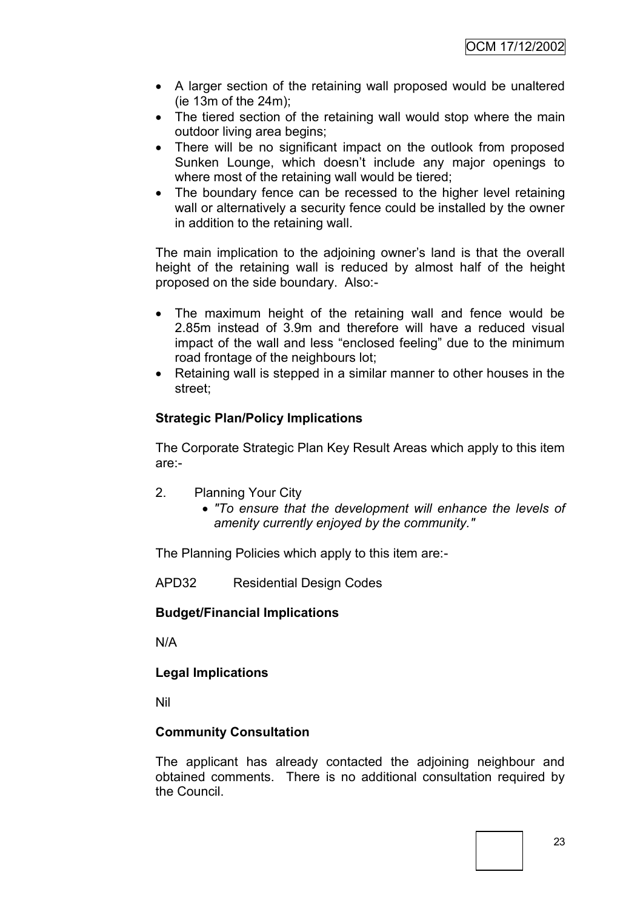- A larger section of the retaining wall proposed would be unaltered (ie 13m of the 24m);
- The tiered section of the retaining wall would stop where the main outdoor living area begins;
- There will be no significant impact on the outlook from proposed Sunken Lounge, which doesn't include any major openings to where most of the retaining wall would be tiered;
- The boundary fence can be recessed to the higher level retaining wall or alternatively a security fence could be installed by the owner in addition to the retaining wall.

The main implication to the adjoining owner's land is that the overall height of the retaining wall is reduced by almost half of the height proposed on the side boundary. Also:-

- The maximum height of the retaining wall and fence would be 2.85m instead of 3.9m and therefore will have a reduced visual impact of the wall and less "enclosed feeling" due to the minimum road frontage of the neighbours lot;
- Retaining wall is stepped in a similar manner to other houses in the street;

### **Strategic Plan/Policy Implications**

The Corporate Strategic Plan Key Result Areas which apply to this item are:-

- 2. Planning Your City
	- *"To ensure that the development will enhance the levels of amenity currently enjoyed by the community."*

The Planning Policies which apply to this item are:-

APD32 Residential Design Codes

#### **Budget/Financial Implications**

N/A

**Legal Implications**

Nil

#### **Community Consultation**

The applicant has already contacted the adjoining neighbour and obtained comments. There is no additional consultation required by the Council.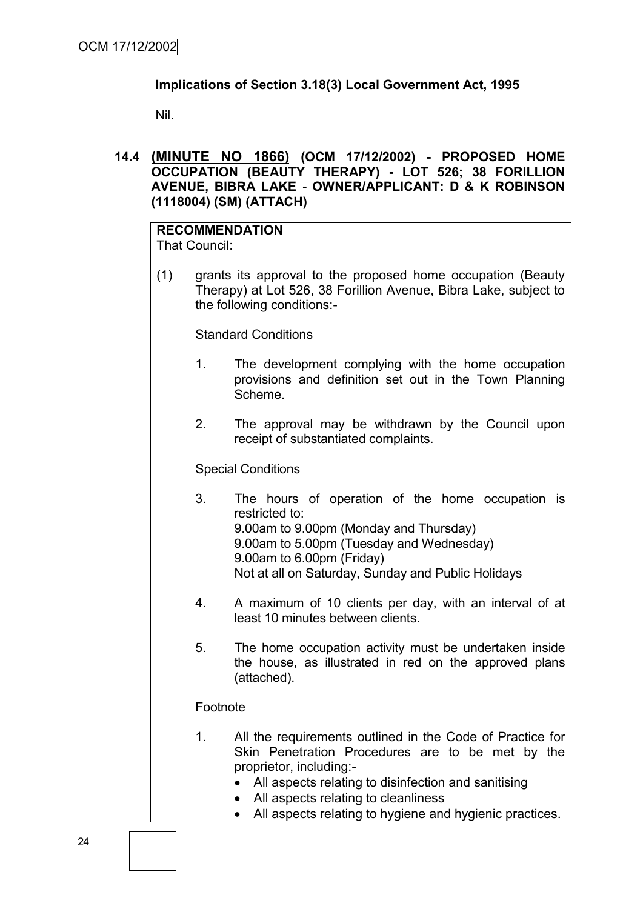## **Implications of Section 3.18(3) Local Government Act, 1995**

Nil.

**14.4 (MINUTE NO 1866) (OCM 17/12/2002) - PROPOSED HOME OCCUPATION (BEAUTY THERAPY) - LOT 526; 38 FORILLION AVENUE, BIBRA LAKE - OWNER/APPLICANT: D & K ROBINSON (1118004) (SM) (ATTACH)**

# **RECOMMENDATION**

That Council:

(1) grants its approval to the proposed home occupation (Beauty Therapy) at Lot 526, 38 Forillion Avenue, Bibra Lake, subject to the following conditions:-

Standard Conditions

- 1. The development complying with the home occupation provisions and definition set out in the Town Planning Scheme.
- 2. The approval may be withdrawn by the Council upon receipt of substantiated complaints.

Special Conditions

- 3. The hours of operation of the home occupation is restricted to: 9.00am to 9.00pm (Monday and Thursday) 9.00am to 5.00pm (Tuesday and Wednesday) 9.00am to 6.00pm (Friday) Not at all on Saturday, Sunday and Public Holidays
- 4. A maximum of 10 clients per day, with an interval of at least 10 minutes between clients.
- 5. The home occupation activity must be undertaken inside the house, as illustrated in red on the approved plans (attached).

#### Footnote

- 1. All the requirements outlined in the Code of Practice for Skin Penetration Procedures are to be met by the proprietor, including:-
	- All aspects relating to disinfection and sanitising
	- All aspects relating to cleanliness
	- All aspects relating to hygiene and hygienic practices.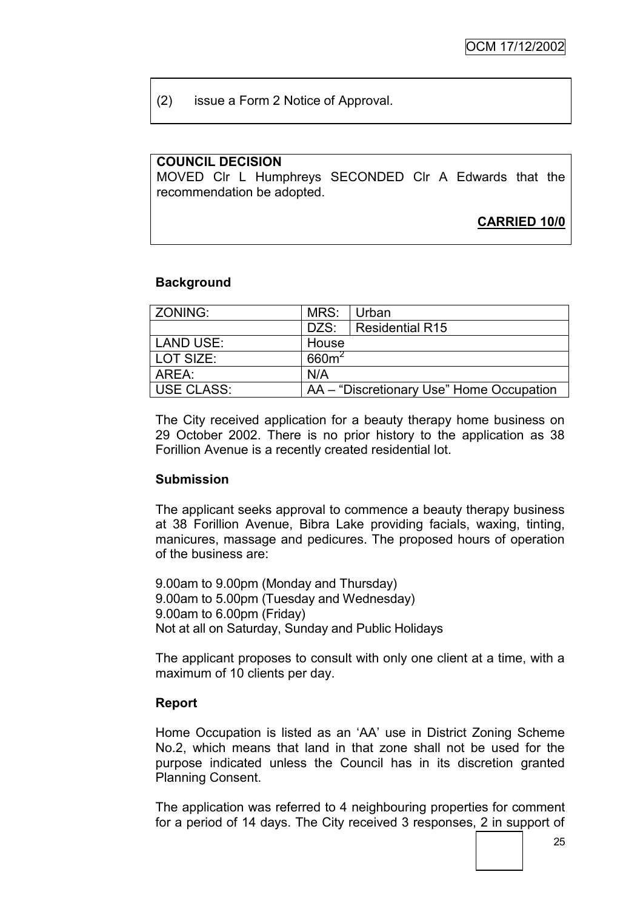(2) issue a Form 2 Notice of Approval.

### **COUNCIL DECISION**

MOVED Clr L Humphreys SECONDED Clr A Edwards that the recommendation be adopted.

**CARRIED 10/0**

### **Background**

| ZONING:           | MRS:              | Urban                                    |  |
|-------------------|-------------------|------------------------------------------|--|
|                   | DZS:              | <b>Residential R15</b>                   |  |
| <b>LAND USE:</b>  | House             |                                          |  |
| LOT SIZE:         | 660m <sup>2</sup> |                                          |  |
| ARFA :            | N/A               |                                          |  |
| <b>USE CLASS:</b> |                   | AA – "Discretionary Use" Home Occupation |  |

The City received application for a beauty therapy home business on 29 October 2002. There is no prior history to the application as 38 Forillion Avenue is a recently created residential lot.

#### **Submission**

The applicant seeks approval to commence a beauty therapy business at 38 Forillion Avenue, Bibra Lake providing facials, waxing, tinting, manicures, massage and pedicures. The proposed hours of operation of the business are:

9.00am to 9.00pm (Monday and Thursday) 9.00am to 5.00pm (Tuesday and Wednesday) 9.00am to 6.00pm (Friday) Not at all on Saturday, Sunday and Public Holidays

The applicant proposes to consult with only one client at a time, with a maximum of 10 clients per day.

#### **Report**

Home Occupation is listed as an "AA" use in District Zoning Scheme No.2, which means that land in that zone shall not be used for the purpose indicated unless the Council has in its discretion granted Planning Consent.

The application was referred to 4 neighbouring properties for comment for a period of 14 days. The City received 3 responses, 2 in support of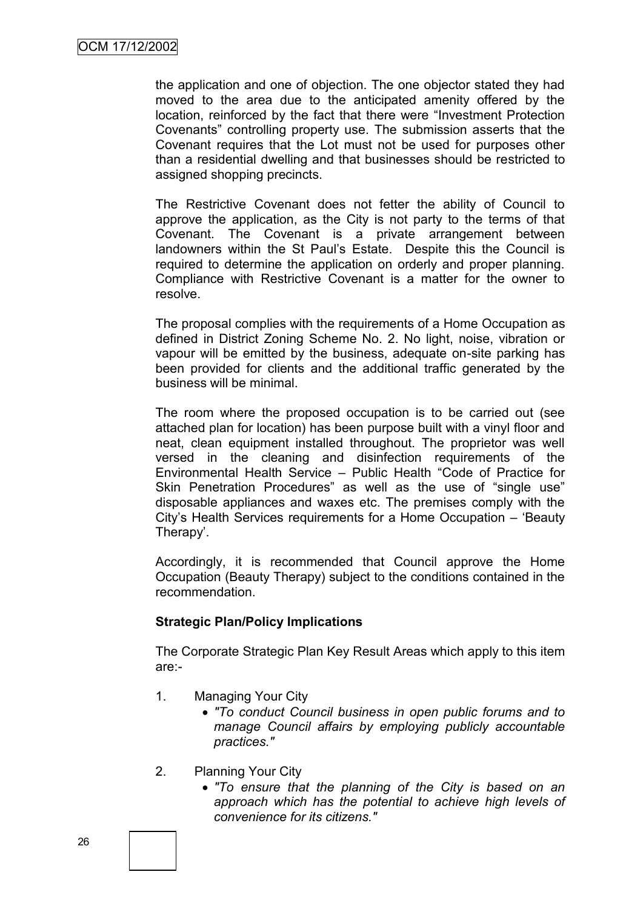the application and one of objection. The one objector stated they had moved to the area due to the anticipated amenity offered by the location, reinforced by the fact that there were "Investment Protection Covenants" controlling property use. The submission asserts that the Covenant requires that the Lot must not be used for purposes other than a residential dwelling and that businesses should be restricted to assigned shopping precincts.

The Restrictive Covenant does not fetter the ability of Council to approve the application, as the City is not party to the terms of that Covenant. The Covenant is a private arrangement between landowners within the St Paul"s Estate. Despite this the Council is required to determine the application on orderly and proper planning. Compliance with Restrictive Covenant is a matter for the owner to resolve.

The proposal complies with the requirements of a Home Occupation as defined in District Zoning Scheme No. 2. No light, noise, vibration or vapour will be emitted by the business, adequate on-site parking has been provided for clients and the additional traffic generated by the business will be minimal.

The room where the proposed occupation is to be carried out (see attached plan for location) has been purpose built with a vinyl floor and neat, clean equipment installed throughout. The proprietor was well versed in the cleaning and disinfection requirements of the Environmental Health Service – Public Health "Code of Practice for Skin Penetration Procedures" as well as the use of "single use" disposable appliances and waxes etc. The premises comply with the City"s Health Services requirements for a Home Occupation – "Beauty Therapy'.

Accordingly, it is recommended that Council approve the Home Occupation (Beauty Therapy) subject to the conditions contained in the recommendation.

#### **Strategic Plan/Policy Implications**

The Corporate Strategic Plan Key Result Areas which apply to this item are:-

- 1. Managing Your City
	- *"To conduct Council business in open public forums and to manage Council affairs by employing publicly accountable practices."*
- 2. Planning Your City
	- *"To ensure that the planning of the City is based on an approach which has the potential to achieve high levels of convenience for its citizens."*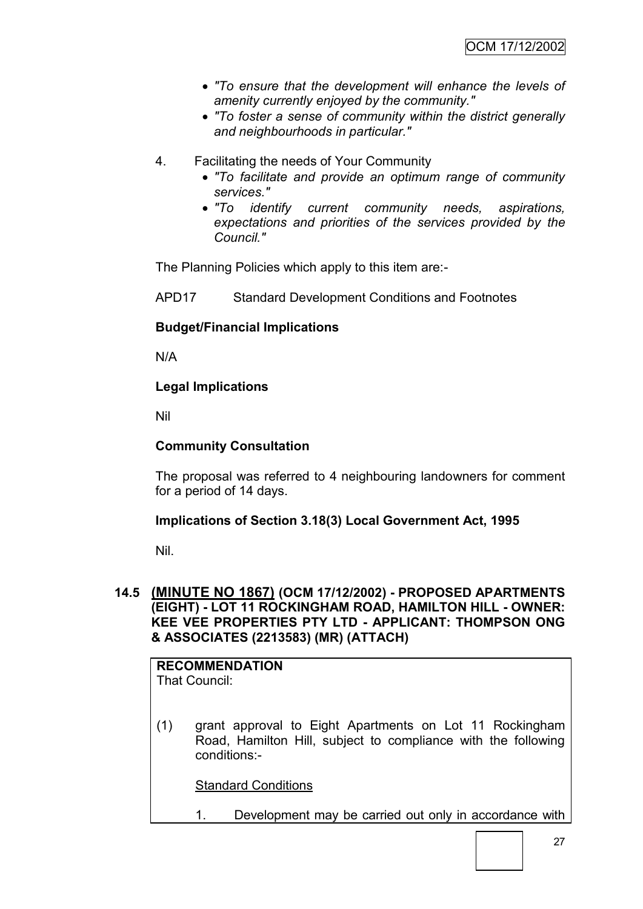- *"To ensure that the development will enhance the levels of amenity currently enjoyed by the community."*
- *"To foster a sense of community within the district generally and neighbourhoods in particular."*
- 4. Facilitating the needs of Your Community
	- *"To facilitate and provide an optimum range of community services."*
	- *"To identify current community needs, aspirations, expectations and priorities of the services provided by the Council."*

The Planning Policies which apply to this item are:-

APD17 Standard Development Conditions and Footnotes

### **Budget/Financial Implications**

N/A

### **Legal Implications**

Nil

#### **Community Consultation**

The proposal was referred to 4 neighbouring landowners for comment for a period of 14 days.

#### **Implications of Section 3.18(3) Local Government Act, 1995**

Nil.

#### **14.5 (MINUTE NO 1867) (OCM 17/12/2002) - PROPOSED APARTMENTS (EIGHT) - LOT 11 ROCKINGHAM ROAD, HAMILTON HILL - OWNER: KEE VEE PROPERTIES PTY LTD - APPLICANT: THOMPSON ONG & ASSOCIATES (2213583) (MR) (ATTACH)**

**RECOMMENDATION** That Council:

(1) grant approval to Eight Apartments on Lot 11 Rockingham Road, Hamilton Hill, subject to compliance with the following conditions:-

Standard Conditions

1. Development may be carried out only in accordance with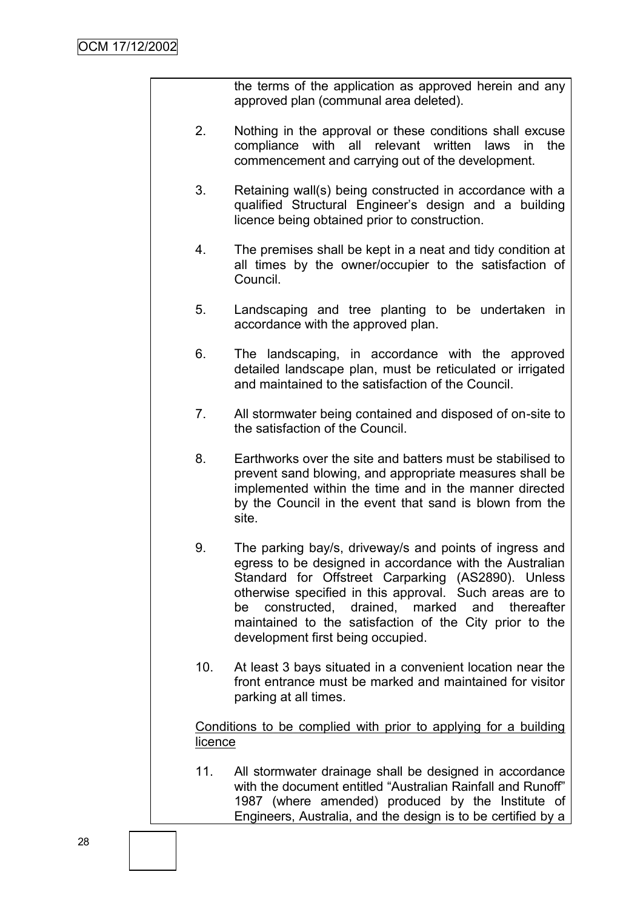the terms of the application as approved herein and any approved plan (communal area deleted).

- 2. Nothing in the approval or these conditions shall excuse compliance with all relevant written laws in the commencement and carrying out of the development.
- 3. Retaining wall(s) being constructed in accordance with a qualified Structural Engineer"s design and a building licence being obtained prior to construction.
- 4. The premises shall be kept in a neat and tidy condition at all times by the owner/occupier to the satisfaction of Council.
- 5. Landscaping and tree planting to be undertaken in accordance with the approved plan.
- 6. The landscaping, in accordance with the approved detailed landscape plan, must be reticulated or irrigated and maintained to the satisfaction of the Council.
- 7. All stormwater being contained and disposed of on-site to the satisfaction of the Council.
- 8. Earthworks over the site and batters must be stabilised to prevent sand blowing, and appropriate measures shall be implemented within the time and in the manner directed by the Council in the event that sand is blown from the site.
- 9. The parking bay/s, driveway/s and points of ingress and egress to be designed in accordance with the Australian Standard for Offstreet Carparking (AS2890). Unless otherwise specified in this approval. Such areas are to be constructed, drained, marked and thereafter maintained to the satisfaction of the City prior to the development first being occupied.
- 10. At least 3 bays situated in a convenient location near the front entrance must be marked and maintained for visitor parking at all times.

Conditions to be complied with prior to applying for a building licence

11. All stormwater drainage shall be designed in accordance with the document entitled "Australian Rainfall and Runoff" 1987 (where amended) produced by the Institute of Engineers, Australia, and the design is to be certified by a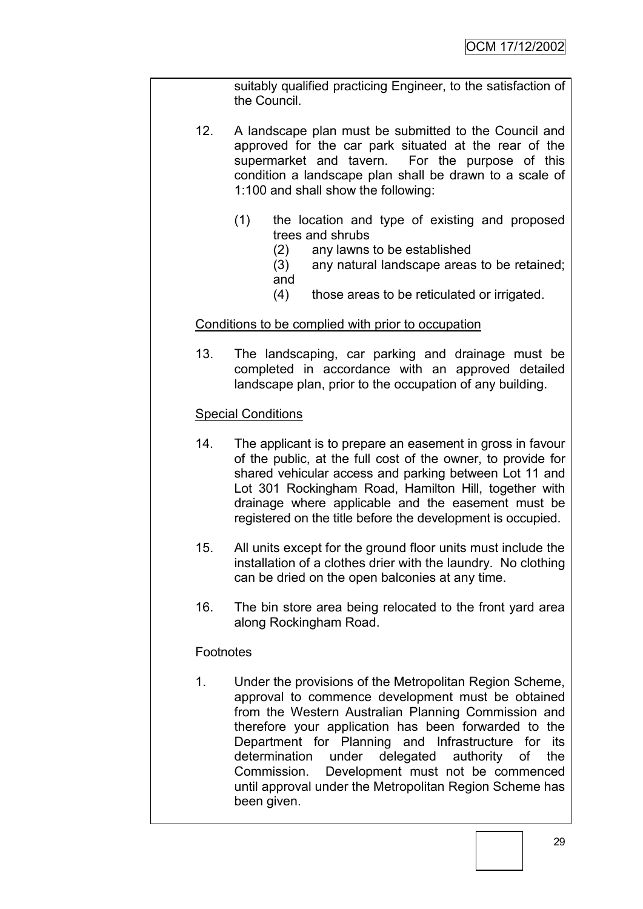suitably qualified practicing Engineer, to the satisfaction of the Council.

- 12. A landscape plan must be submitted to the Council and approved for the car park situated at the rear of the supermarket and tavern. For the purpose of this condition a landscape plan shall be drawn to a scale of 1:100 and shall show the following:
	- (1) the location and type of existing and proposed trees and shrubs
		- (2) any lawns to be established
		- (3) any natural landscape areas to be retained; and
		- (4) those areas to be reticulated or irrigated.

### Conditions to be complied with prior to occupation

13. The landscaping, car parking and drainage must be completed in accordance with an approved detailed landscape plan, prior to the occupation of any building.

### Special Conditions

- 14. The applicant is to prepare an easement in gross in favour of the public, at the full cost of the owner, to provide for shared vehicular access and parking between Lot 11 and Lot 301 Rockingham Road, Hamilton Hill, together with drainage where applicable and the easement must be registered on the title before the development is occupied.
- 15. All units except for the ground floor units must include the installation of a clothes drier with the laundry. No clothing can be dried on the open balconies at any time.
- 16. The bin store area being relocated to the front yard area along Rockingham Road.

# **Footnotes**

1. Under the provisions of the Metropolitan Region Scheme, approval to commence development must be obtained from the Western Australian Planning Commission and therefore your application has been forwarded to the Department for Planning and Infrastructure for its determination under delegated authority of the Commission. Development must not be commenced until approval under the Metropolitan Region Scheme has been given.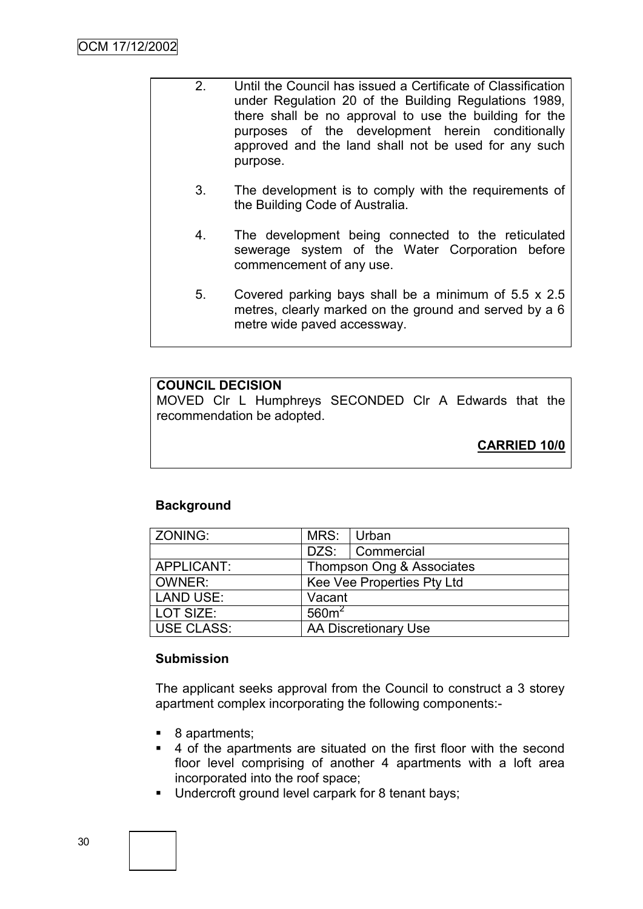| 2 <sup>1</sup> | Until the Council has issued a Certificate of Classification<br>under Regulation 20 of the Building Regulations 1989,<br>there shall be no approval to use the building for the<br>purposes of the development herein conditionally<br>approved and the land shall not be used for any such<br>purpose. |
|----------------|---------------------------------------------------------------------------------------------------------------------------------------------------------------------------------------------------------------------------------------------------------------------------------------------------------|
| 3.             | The development is to comply with the requirements of<br>the Building Code of Australia.                                                                                                                                                                                                                |

- 4. The development being connected to the reticulated sewerage system of the Water Corporation before commencement of any use.
- 5. Covered parking bays shall be a minimum of 5.5 x 2.5 metres, clearly marked on the ground and served by a 6 metre wide paved accessway.

### **COUNCIL DECISION**

MOVED Clr L Humphreys SECONDED Clr A Edwards that the recommendation be adopted.

**CARRIED 10/0**

# **Background**

| ZONING:          | MRS:                       | Urban                       |  |
|------------------|----------------------------|-----------------------------|--|
|                  | DZS:                       | Commercial                  |  |
| APPLICANT:       |                            | Thompson Ong & Associates   |  |
| <b>OWNER:</b>    | Kee Vee Properties Pty Ltd |                             |  |
| <b>LAND USE:</b> | Vacant                     |                             |  |
| LOT SIZE:        | 560m <sup>2</sup>          |                             |  |
| USE CLASS:       |                            | <b>AA Discretionary Use</b> |  |

#### **Submission**

The applicant seeks approval from the Council to construct a 3 storey apartment complex incorporating the following components:-

- 8 apartments;
- 4 of the apartments are situated on the first floor with the second floor level comprising of another 4 apartments with a loft area incorporated into the roof space;
- Undercroft ground level carpark for 8 tenant bays;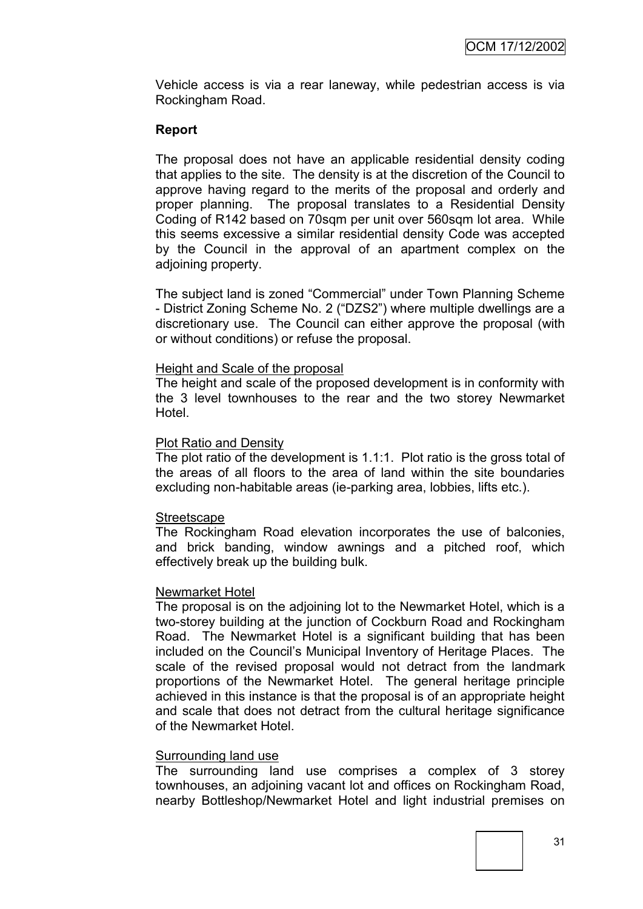Vehicle access is via a rear laneway, while pedestrian access is via Rockingham Road.

#### **Report**

The proposal does not have an applicable residential density coding that applies to the site. The density is at the discretion of the Council to approve having regard to the merits of the proposal and orderly and proper planning. The proposal translates to a Residential Density Coding of R142 based on 70sqm per unit over 560sqm lot area. While this seems excessive a similar residential density Code was accepted by the Council in the approval of an apartment complex on the adjoining property.

The subject land is zoned "Commercial" under Town Planning Scheme - District Zoning Scheme No. 2 ("DZS2") where multiple dwellings are a discretionary use. The Council can either approve the proposal (with or without conditions) or refuse the proposal.

#### Height and Scale of the proposal

The height and scale of the proposed development is in conformity with the 3 level townhouses to the rear and the two storey Newmarket Hotel.

#### Plot Ratio and Density

The plot ratio of the development is 1.1:1. Plot ratio is the gross total of the areas of all floors to the area of land within the site boundaries excluding non-habitable areas (ie-parking area, lobbies, lifts etc.).

#### **Streetscape**

The Rockingham Road elevation incorporates the use of balconies, and brick banding, window awnings and a pitched roof, which effectively break up the building bulk.

#### Newmarket Hotel

The proposal is on the adjoining lot to the Newmarket Hotel, which is a two-storey building at the junction of Cockburn Road and Rockingham Road. The Newmarket Hotel is a significant building that has been included on the Council"s Municipal Inventory of Heritage Places. The scale of the revised proposal would not detract from the landmark proportions of the Newmarket Hotel. The general heritage principle achieved in this instance is that the proposal is of an appropriate height and scale that does not detract from the cultural heritage significance of the Newmarket Hotel.

#### Surrounding land use

The surrounding land use comprises a complex of 3 storey townhouses, an adjoining vacant lot and offices on Rockingham Road, nearby Bottleshop/Newmarket Hotel and light industrial premises on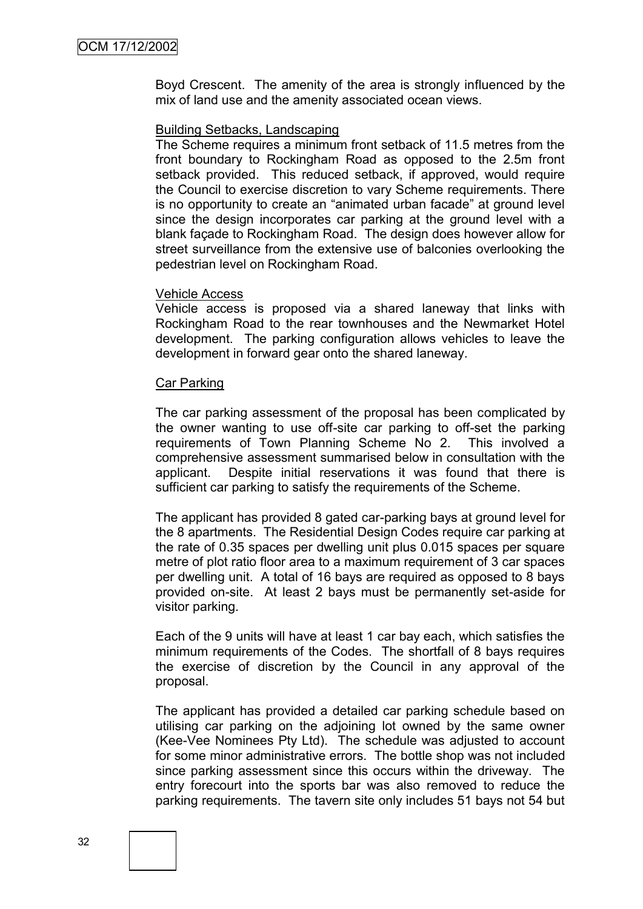Boyd Crescent. The amenity of the area is strongly influenced by the mix of land use and the amenity associated ocean views.

#### Building Setbacks, Landscaping

The Scheme requires a minimum front setback of 11.5 metres from the front boundary to Rockingham Road as opposed to the 2.5m front setback provided. This reduced setback, if approved, would require the Council to exercise discretion to vary Scheme requirements. There is no opportunity to create an "animated urban facade" at ground level since the design incorporates car parking at the ground level with a blank façade to Rockingham Road. The design does however allow for street surveillance from the extensive use of balconies overlooking the pedestrian level on Rockingham Road.

#### Vehicle Access

Vehicle access is proposed via a shared laneway that links with Rockingham Road to the rear townhouses and the Newmarket Hotel development. The parking configuration allows vehicles to leave the development in forward gear onto the shared laneway.

#### Car Parking

The car parking assessment of the proposal has been complicated by the owner wanting to use off-site car parking to off-set the parking requirements of Town Planning Scheme No 2. This involved a comprehensive assessment summarised below in consultation with the applicant. Despite initial reservations it was found that there is sufficient car parking to satisfy the requirements of the Scheme.

The applicant has provided 8 gated car-parking bays at ground level for the 8 apartments. The Residential Design Codes require car parking at the rate of 0.35 spaces per dwelling unit plus 0.015 spaces per square metre of plot ratio floor area to a maximum requirement of 3 car spaces per dwelling unit. A total of 16 bays are required as opposed to 8 bays provided on-site. At least 2 bays must be permanently set-aside for visitor parking.

Each of the 9 units will have at least 1 car bay each, which satisfies the minimum requirements of the Codes. The shortfall of 8 bays requires the exercise of discretion by the Council in any approval of the proposal.

The applicant has provided a detailed car parking schedule based on utilising car parking on the adjoining lot owned by the same owner (Kee-Vee Nominees Pty Ltd). The schedule was adjusted to account for some minor administrative errors. The bottle shop was not included since parking assessment since this occurs within the driveway. The entry forecourt into the sports bar was also removed to reduce the parking requirements. The tavern site only includes 51 bays not 54 but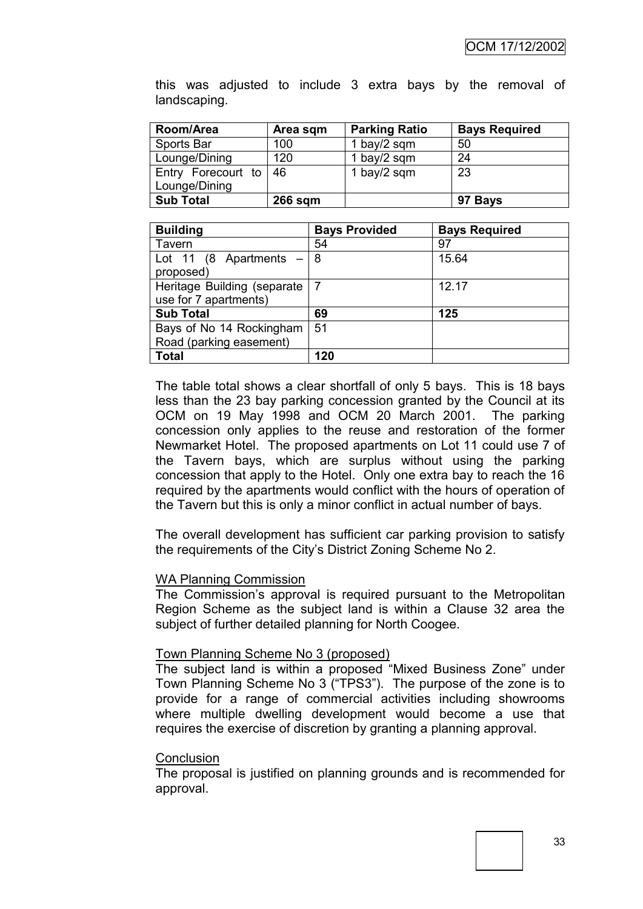| Room/Area          | Area sqm       | <b>Parking Ratio</b> | <b>Bays Required</b> |
|--------------------|----------------|----------------------|----------------------|
| Sports Bar         | 100            | 1 bay/2 sqm          | 50                   |
| Lounge/Dining      | 120            | 1 bay/2 sqm          | 24                   |
| Entry Forecourt to | 46             | 1 bay/2 sqm          | 23                   |
| Lounge/Dining      |                |                      |                      |
| <b>Sub Total</b>   | <b>266 sqm</b> |                      | 97 Bays              |

this was adjusted to include 3 extra bays by the removal of landscaping.

| <b>Building</b>                                      | <b>Bays Provided</b> | <b>Bays Required</b> |
|------------------------------------------------------|----------------------|----------------------|
| Tavern                                               | 54                   | 97                   |
| Lot 11 (8 Apartments $-18$<br>proposed)              |                      | 15.64                |
| Heritage Building (separate<br>use for 7 apartments) | 7                    | 12.17                |
| <b>Sub Total</b>                                     | 69                   | 125                  |
| Bays of No 14 Rockingham<br>Road (parking easement)  | 51                   |                      |
| <b>Total</b>                                         | 120                  |                      |

The table total shows a clear shortfall of only 5 bays. This is 18 bays less than the 23 bay parking concession granted by the Council at its OCM on 19 May 1998 and OCM 20 March 2001. The parking concession only applies to the reuse and restoration of the former Newmarket Hotel. The proposed apartments on Lot 11 could use 7 of the Tavern bays, which are surplus without using the parking concession that apply to the Hotel. Only one extra bay to reach the 16 required by the apartments would conflict with the hours of operation of the Tavern but this is only a minor conflict in actual number of bays.

The overall development has sufficient car parking provision to satisfy the requirements of the City"s District Zoning Scheme No 2.

## WA Planning Commission

The Commission's approval is required pursuant to the Metropolitan Region Scheme as the subject land is within a Clause 32 area the subject of further detailed planning for North Coogee.

#### Town Planning Scheme No 3 (proposed)

The subject land is within a proposed "Mixed Business Zone" under Town Planning Scheme No 3 ("TPS3"). The purpose of the zone is to provide for a range of commercial activities including showrooms where multiple dwelling development would become a use that requires the exercise of discretion by granting a planning approval.

#### **Conclusion**

The proposal is justified on planning grounds and is recommended for approval.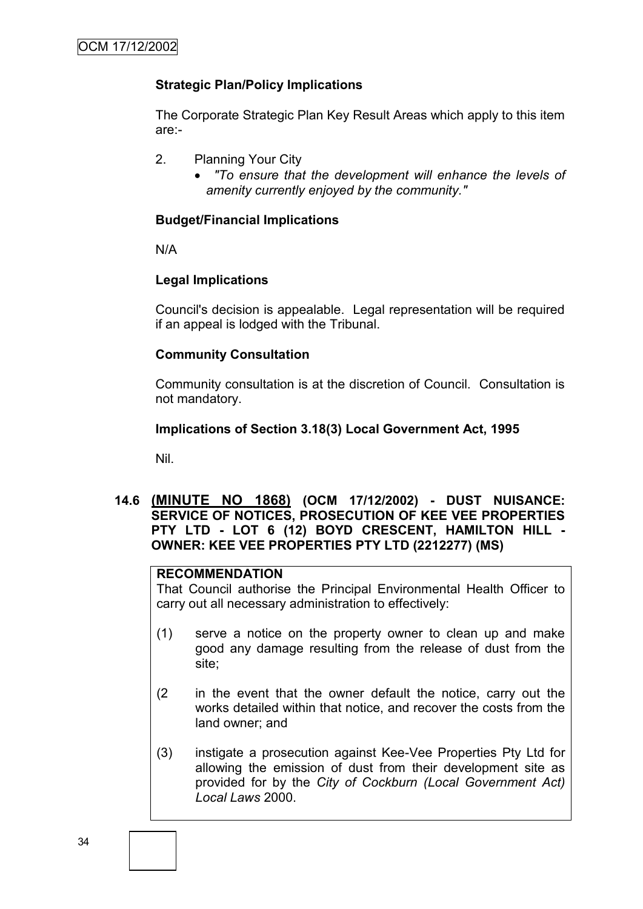# **Strategic Plan/Policy Implications**

The Corporate Strategic Plan Key Result Areas which apply to this item are:-

- 2. Planning Your City
	- *"To ensure that the development will enhance the levels of amenity currently enjoyed by the community."*

#### **Budget/Financial Implications**

N/A

## **Legal Implications**

Council's decision is appealable. Legal representation will be required if an appeal is lodged with the Tribunal.

## **Community Consultation**

Community consultation is at the discretion of Council. Consultation is not mandatory.

#### **Implications of Section 3.18(3) Local Government Act, 1995**

Nil.

## **14.6 (MINUTE NO 1868) (OCM 17/12/2002) - DUST NUISANCE: SERVICE OF NOTICES, PROSECUTION OF KEE VEE PROPERTIES PTY LTD - LOT 6 (12) BOYD CRESCENT, HAMILTON HILL - OWNER: KEE VEE PROPERTIES PTY LTD (2212277) (MS)**

## **RECOMMENDATION**

That Council authorise the Principal Environmental Health Officer to carry out all necessary administration to effectively:

- (1) serve a notice on the property owner to clean up and make good any damage resulting from the release of dust from the site;
- (2 in the event that the owner default the notice, carry out the works detailed within that notice, and recover the costs from the land owner; and
- (3) instigate a prosecution against Kee-Vee Properties Pty Ltd for allowing the emission of dust from their development site as provided for by the *City of Cockburn (Local Government Act) Local Laws* 2000.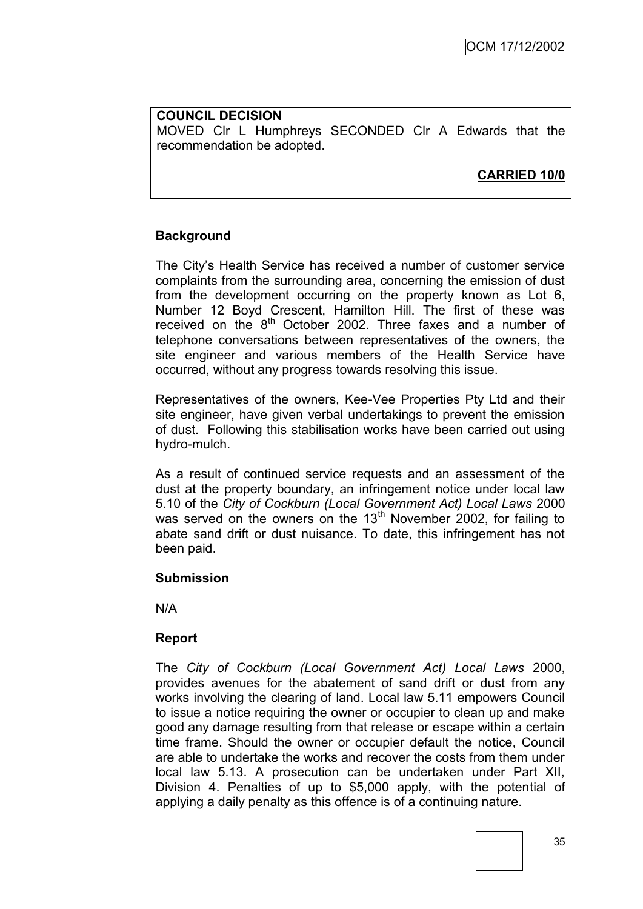**COUNCIL DECISION** MOVED Clr L Humphreys SECONDED Clr A Edwards that the recommendation be adopted.

**CARRIED 10/0**

# **Background**

The City"s Health Service has received a number of customer service complaints from the surrounding area, concerning the emission of dust from the development occurring on the property known as Lot 6, Number 12 Boyd Crescent, Hamilton Hill. The first of these was received on the  $8<sup>th</sup>$  October 2002. Three faxes and a number of telephone conversations between representatives of the owners, the site engineer and various members of the Health Service have occurred, without any progress towards resolving this issue.

Representatives of the owners, Kee-Vee Properties Pty Ltd and their site engineer, have given verbal undertakings to prevent the emission of dust. Following this stabilisation works have been carried out using hydro-mulch.

As a result of continued service requests and an assessment of the dust at the property boundary, an infringement notice under local law 5.10 of the *City of Cockburn (Local Government Act) Local Laws* 2000 was served on the owners on the 13<sup>th</sup> November 2002, for failing to abate sand drift or dust nuisance. To date, this infringement has not been paid.

## **Submission**

N/A

## **Report**

The *City of Cockburn (Local Government Act) Local Laws* 2000, provides avenues for the abatement of sand drift or dust from any works involving the clearing of land. Local law 5.11 empowers Council to issue a notice requiring the owner or occupier to clean up and make good any damage resulting from that release or escape within a certain time frame. Should the owner or occupier default the notice, Council are able to undertake the works and recover the costs from them under local law 5.13. A prosecution can be undertaken under Part XII, Division 4. Penalties of up to \$5,000 apply, with the potential of applying a daily penalty as this offence is of a continuing nature.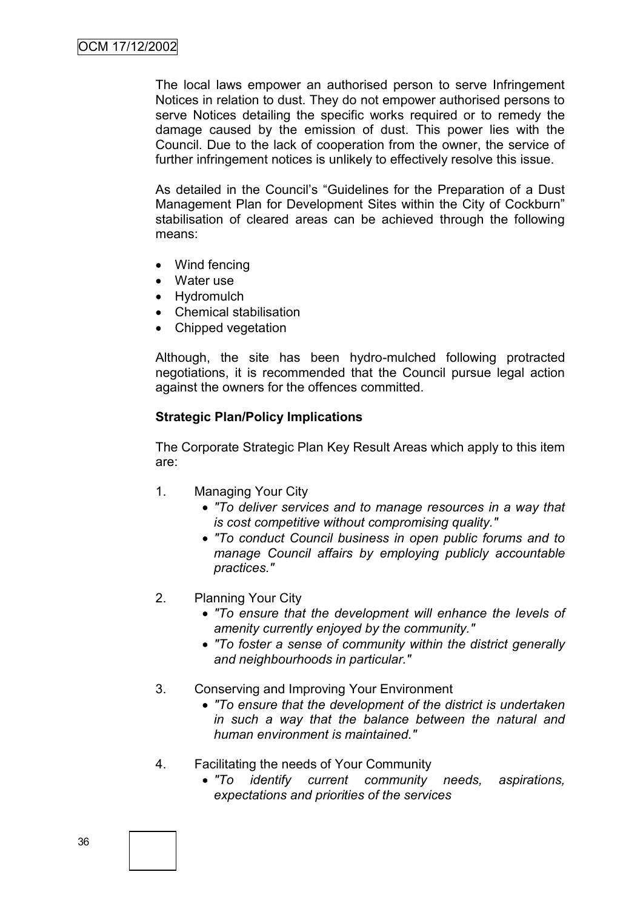The local laws empower an authorised person to serve Infringement Notices in relation to dust. They do not empower authorised persons to serve Notices detailing the specific works required or to remedy the damage caused by the emission of dust. This power lies with the Council. Due to the lack of cooperation from the owner, the service of further infringement notices is unlikely to effectively resolve this issue.

As detailed in the Council's "Guidelines for the Preparation of a Dust Management Plan for Development Sites within the City of Cockburn" stabilisation of cleared areas can be achieved through the following means:

- Wind fencing
- Water use
- Hydromulch
- Chemical stabilisation
- Chipped vegetation

Although, the site has been hydro-mulched following protracted negotiations, it is recommended that the Council pursue legal action against the owners for the offences committed.

## **Strategic Plan/Policy Implications**

The Corporate Strategic Plan Key Result Areas which apply to this item are:

- 1. Managing Your City
	- *"To deliver services and to manage resources in a way that is cost competitive without compromising quality."*
	- *"To conduct Council business in open public forums and to manage Council affairs by employing publicly accountable practices."*
- 2. Planning Your City
	- *"To ensure that the development will enhance the levels of amenity currently enjoyed by the community."*
	- *"To foster a sense of community within the district generally and neighbourhoods in particular."*
- 3. Conserving and Improving Your Environment
	- *"To ensure that the development of the district is undertaken in such a way that the balance between the natural and human environment is maintained."*
- 4. Facilitating the needs of Your Community
	- *"To identify current community needs, aspirations, expectations and priorities of the services*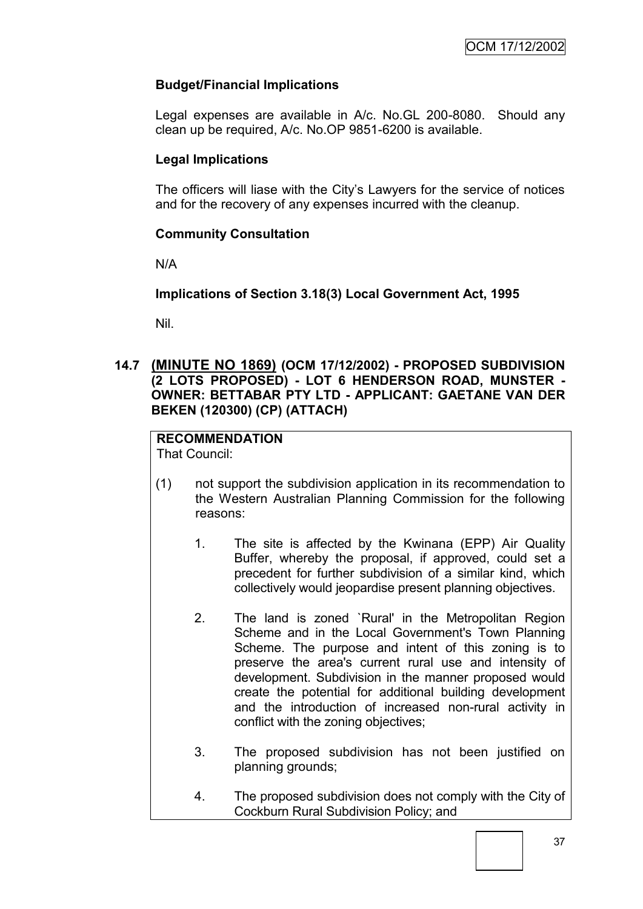## **Budget/Financial Implications**

Legal expenses are available in A/c. No.GL 200-8080. Should any clean up be required, A/c. No.OP 9851-6200 is available.

## **Legal Implications**

The officers will liase with the City"s Lawyers for the service of notices and for the recovery of any expenses incurred with the cleanup.

## **Community Consultation**

N/A

## **Implications of Section 3.18(3) Local Government Act, 1995**

Nil.

## **14.7 (MINUTE NO 1869) (OCM 17/12/2002) - PROPOSED SUBDIVISION (2 LOTS PROPOSED) - LOT 6 HENDERSON ROAD, MUNSTER - OWNER: BETTABAR PTY LTD - APPLICANT: GAETANE VAN DER BEKEN (120300) (CP) (ATTACH)**

# **RECOMMENDATION**

That Council:

- (1) not support the subdivision application in its recommendation to the Western Australian Planning Commission for the following reasons:
	- 1. The site is affected by the Kwinana (EPP) Air Quality Buffer, whereby the proposal, if approved, could set a precedent for further subdivision of a similar kind, which collectively would jeopardise present planning objectives.
	- 2. The land is zoned `Rural' in the Metropolitan Region Scheme and in the Local Government's Town Planning Scheme. The purpose and intent of this zoning is to preserve the area's current rural use and intensity of development. Subdivision in the manner proposed would create the potential for additional building development and the introduction of increased non-rural activity in conflict with the zoning objectives;
	- 3. The proposed subdivision has not been justified on planning grounds;
	- 4. The proposed subdivision does not comply with the City of Cockburn Rural Subdivision Policy; and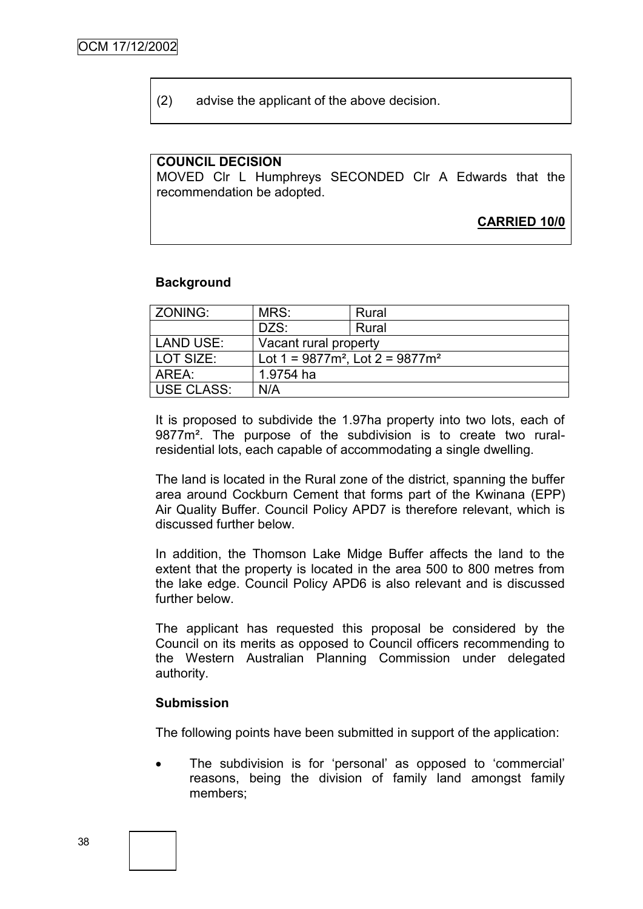(2) advise the applicant of the above decision.

#### **COUNCIL DECISION**

MOVED Clr L Humphreys SECONDED Clr A Edwards that the recommendation be adopted.

**CARRIED 10/0**

#### **Background**

| <b>ZONING:</b>    | MRS:                                  | Rural |  |
|-------------------|---------------------------------------|-------|--|
|                   | DZS:                                  | Rural |  |
| LAND USE:         | Vacant rural property                 |       |  |
| l LOT SIZE:       | Lot $1 = 9877m^2$ , Lot $2 = 9877m^2$ |       |  |
| AREA:             | 1.9754 ha                             |       |  |
| <b>USE CLASS:</b> | N/A                                   |       |  |

It is proposed to subdivide the 1.97ha property into two lots, each of 9877m². The purpose of the subdivision is to create two ruralresidential lots, each capable of accommodating a single dwelling.

The land is located in the Rural zone of the district, spanning the buffer area around Cockburn Cement that forms part of the Kwinana (EPP) Air Quality Buffer. Council Policy APD7 is therefore relevant, which is discussed further below.

In addition, the Thomson Lake Midge Buffer affects the land to the extent that the property is located in the area 500 to 800 metres from the lake edge. Council Policy APD6 is also relevant and is discussed further below.

The applicant has requested this proposal be considered by the Council on its merits as opposed to Council officers recommending to the Western Australian Planning Commission under delegated authority.

#### **Submission**

The following points have been submitted in support of the application:

 The subdivision is for "personal" as opposed to "commercial" reasons, being the division of family land amongst family members;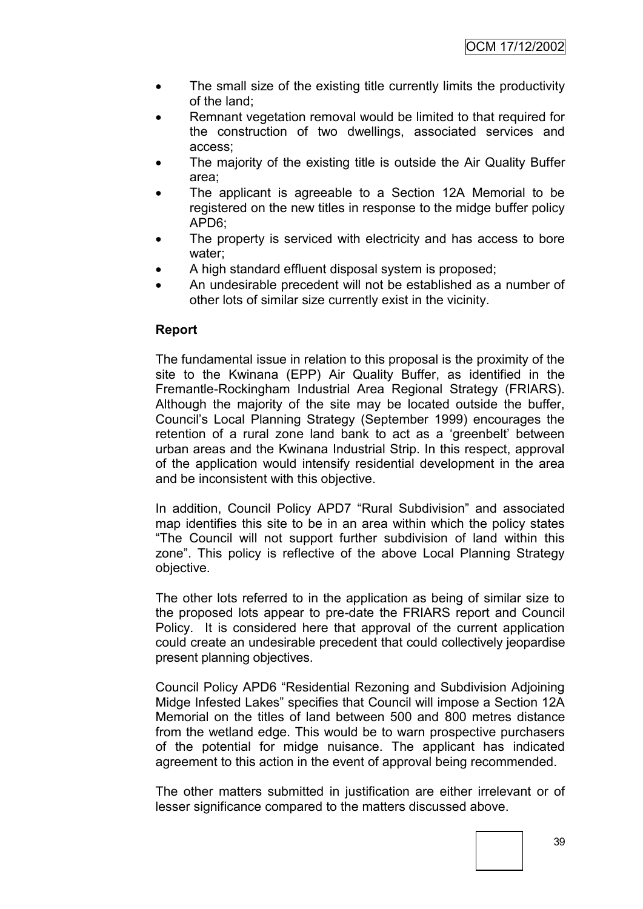- The small size of the existing title currently limits the productivity of the land;
- Remnant vegetation removal would be limited to that required for the construction of two dwellings, associated services and access;
- The majority of the existing title is outside the Air Quality Buffer area;
- The applicant is agreeable to a Section 12A Memorial to be registered on the new titles in response to the midge buffer policy APD6;
- The property is serviced with electricity and has access to bore water;
- A high standard effluent disposal system is proposed;
- An undesirable precedent will not be established as a number of other lots of similar size currently exist in the vicinity.

## **Report**

The fundamental issue in relation to this proposal is the proximity of the site to the Kwinana (EPP) Air Quality Buffer, as identified in the Fremantle-Rockingham Industrial Area Regional Strategy (FRIARS). Although the majority of the site may be located outside the buffer, Council"s Local Planning Strategy (September 1999) encourages the retention of a rural zone land bank to act as a "greenbelt" between urban areas and the Kwinana Industrial Strip. In this respect, approval of the application would intensify residential development in the area and be inconsistent with this objective.

In addition, Council Policy APD7 "Rural Subdivision" and associated map identifies this site to be in an area within which the policy states "The Council will not support further subdivision of land within this zone". This policy is reflective of the above Local Planning Strategy objective.

The other lots referred to in the application as being of similar size to the proposed lots appear to pre-date the FRIARS report and Council Policy. It is considered here that approval of the current application could create an undesirable precedent that could collectively jeopardise present planning objectives.

Council Policy APD6 "Residential Rezoning and Subdivision Adjoining Midge Infested Lakes" specifies that Council will impose a Section 12A Memorial on the titles of land between 500 and 800 metres distance from the wetland edge. This would be to warn prospective purchasers of the potential for midge nuisance. The applicant has indicated agreement to this action in the event of approval being recommended.

The other matters submitted in justification are either irrelevant or of lesser significance compared to the matters discussed above.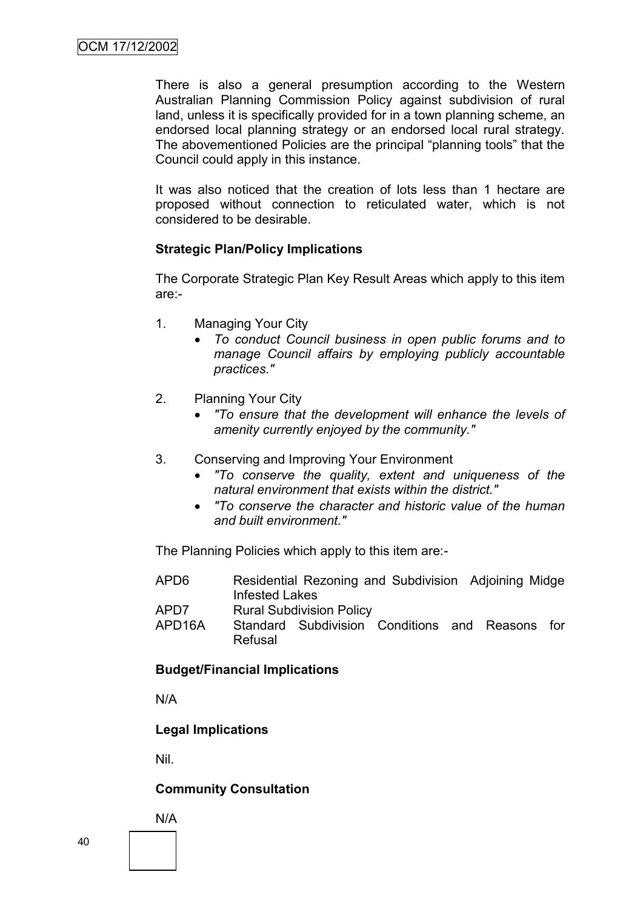There is also a general presumption according to the Western Australian Planning Commission Policy against subdivision of rural land, unless it is specifically provided for in a town planning scheme, an endorsed local planning strategy or an endorsed local rural strategy. The abovementioned Policies are the principal "planning tools" that the Council could apply in this instance.

It was also noticed that the creation of lots less than 1 hectare are proposed without connection to reticulated water, which is not considered to be desirable.

## **Strategic Plan/Policy Implications**

The Corporate Strategic Plan Key Result Areas which apply to this item are:-

- 1. Managing Your City
	- *To conduct Council business in open public forums and to manage Council affairs by employing publicly accountable practices."*
- 2. Planning Your City
	- *"To ensure that the development will enhance the levels of amenity currently enjoyed by the community."*
- 3. Conserving and Improving Your Environment
	- *"To conserve the quality, extent and uniqueness of the natural environment that exists within the district."*
	- *"To conserve the character and historic value of the human and built environment."*

The Planning Policies which apply to this item are:-

- APD6 Residential Rezoning and Subdivision Adjoining Midge Infested Lakes
- APD7 Rural Subdivision Policy
- APD16A Standard Subdivision Conditions and Reasons for Refusal

## **Budget/Financial Implications**

N/A

# **Legal Implications**

Nil.

# **Community Consultation**

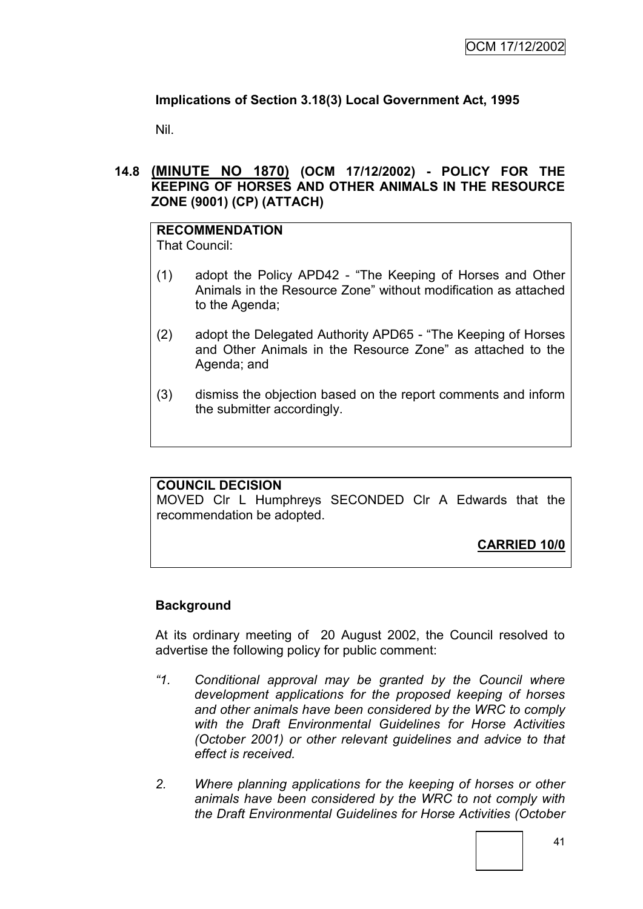# **Implications of Section 3.18(3) Local Government Act, 1995**

Nil.

## **14.8 (MINUTE NO 1870) (OCM 17/12/2002) - POLICY FOR THE KEEPING OF HORSES AND OTHER ANIMALS IN THE RESOURCE ZONE (9001) (CP) (ATTACH)**

# **RECOMMENDATION**

That Council:

- (1) adopt the Policy APD42 "The Keeping of Horses and Other Animals in the Resource Zone" without modification as attached to the Agenda;
- (2) adopt the Delegated Authority APD65 "The Keeping of Horses and Other Animals in the Resource Zone" as attached to the Agenda; and
- (3) dismiss the objection based on the report comments and inform the submitter accordingly.

# **COUNCIL DECISION**

MOVED Clr L Humphreys SECONDED Clr A Edwards that the recommendation be adopted.

**CARRIED 10/0**

# **Background**

At its ordinary meeting of 20 August 2002, the Council resolved to advertise the following policy for public comment:

- *"1. Conditional approval may be granted by the Council where development applications for the proposed keeping of horses and other animals have been considered by the WRC to comply with the Draft Environmental Guidelines for Horse Activities (October 2001) or other relevant guidelines and advice to that effect is received.*
- *2. Where planning applications for the keeping of horses or other animals have been considered by the WRC to not comply with the Draft Environmental Guidelines for Horse Activities (October*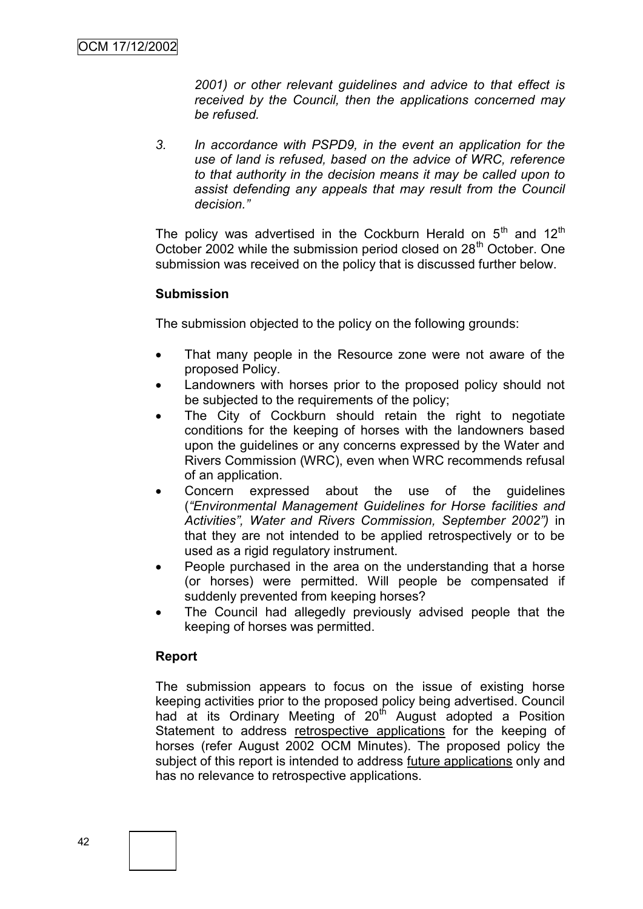*2001) or other relevant guidelines and advice to that effect is received by the Council, then the applications concerned may be refused.*

*3. In accordance with PSPD9, in the event an application for the use of land is refused, based on the advice of WRC, reference to that authority in the decision means it may be called upon to assist defending any appeals that may result from the Council decision."*

The policy was advertised in the Cockburn Herald on  $5<sup>th</sup>$  and  $12<sup>th</sup>$ October 2002 while the submission period closed on 28<sup>th</sup> October. One submission was received on the policy that is discussed further below.

#### **Submission**

The submission objected to the policy on the following grounds:

- That many people in the Resource zone were not aware of the proposed Policy.
- Landowners with horses prior to the proposed policy should not be subjected to the requirements of the policy;
- The City of Cockburn should retain the right to negotiate conditions for the keeping of horses with the landowners based upon the guidelines or any concerns expressed by the Water and Rivers Commission (WRC), even when WRC recommends refusal of an application.
- Concern expressed about the use of the guidelines (*"Environmental Management Guidelines for Horse facilities and Activities", Water and Rivers Commission, September 2002")* in that they are not intended to be applied retrospectively or to be used as a rigid regulatory instrument.
- People purchased in the area on the understanding that a horse (or horses) were permitted. Will people be compensated if suddenly prevented from keeping horses?
- The Council had allegedly previously advised people that the keeping of horses was permitted.

## **Report**

The submission appears to focus on the issue of existing horse keeping activities prior to the proposed policy being advertised. Council had at its Ordinary Meeting of 20<sup>th</sup> August adopted a Position Statement to address retrospective applications for the keeping of horses (refer August 2002 OCM Minutes). The proposed policy the subject of this report is intended to address future applications only and has no relevance to retrospective applications.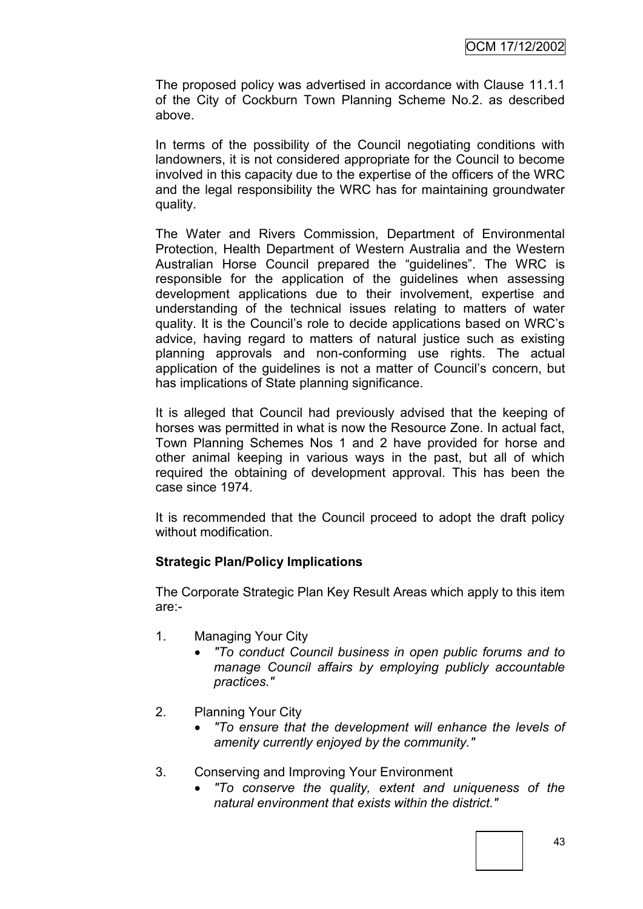The proposed policy was advertised in accordance with Clause 11.1.1 of the City of Cockburn Town Planning Scheme No.2. as described above.

In terms of the possibility of the Council negotiating conditions with landowners, it is not considered appropriate for the Council to become involved in this capacity due to the expertise of the officers of the WRC and the legal responsibility the WRC has for maintaining groundwater quality.

The Water and Rivers Commission, Department of Environmental Protection, Health Department of Western Australia and the Western Australian Horse Council prepared the "guidelines". The WRC is responsible for the application of the guidelines when assessing development applications due to their involvement, expertise and understanding of the technical issues relating to matters of water quality. It is the Council"s role to decide applications based on WRC"s advice, having regard to matters of natural justice such as existing planning approvals and non-conforming use rights. The actual application of the guidelines is not a matter of Council"s concern, but has implications of State planning significance.

It is alleged that Council had previously advised that the keeping of horses was permitted in what is now the Resource Zone. In actual fact, Town Planning Schemes Nos 1 and 2 have provided for horse and other animal keeping in various ways in the past, but all of which required the obtaining of development approval. This has been the case since 1974.

It is recommended that the Council proceed to adopt the draft policy without modification.

# **Strategic Plan/Policy Implications**

The Corporate Strategic Plan Key Result Areas which apply to this item are:-

- 1. Managing Your City
	- *"To conduct Council business in open public forums and to manage Council affairs by employing publicly accountable practices."*
- 2. Planning Your City
	- *"To ensure that the development will enhance the levels of amenity currently enjoyed by the community."*
- 3. Conserving and Improving Your Environment
	- *"To conserve the quality, extent and uniqueness of the natural environment that exists within the district."*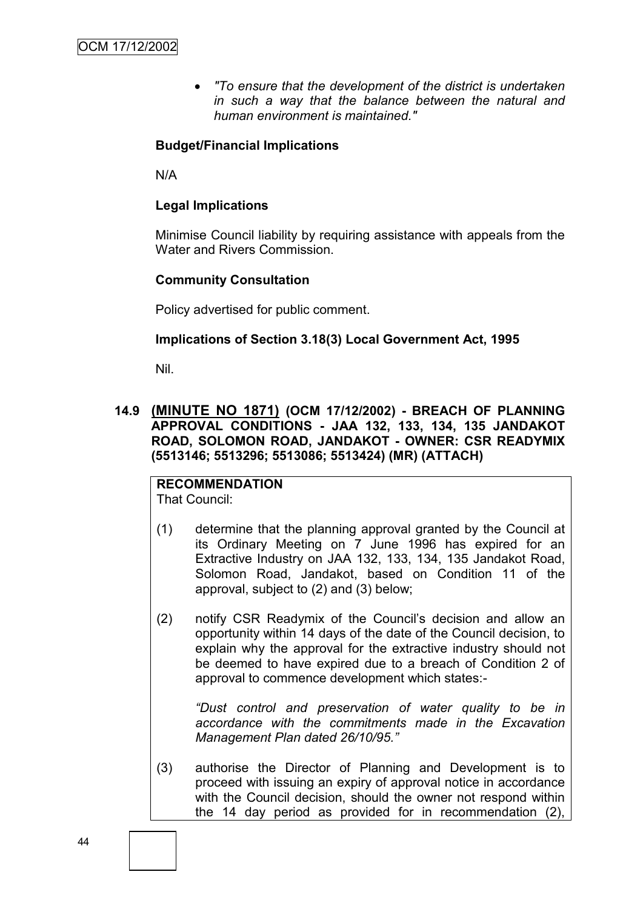*"To ensure that the development of the district is undertaken in such a way that the balance between the natural and human environment is maintained."*

## **Budget/Financial Implications**

N/A

## **Legal Implications**

Minimise Council liability by requiring assistance with appeals from the Water and Rivers Commission.

## **Community Consultation**

Policy advertised for public comment.

## **Implications of Section 3.18(3) Local Government Act, 1995**

Nil.

## **14.9 (MINUTE NO 1871) (OCM 17/12/2002) - BREACH OF PLANNING APPROVAL CONDITIONS - JAA 132, 133, 134, 135 JANDAKOT ROAD, SOLOMON ROAD, JANDAKOT - OWNER: CSR READYMIX (5513146; 5513296; 5513086; 5513424) (MR) (ATTACH)**

# **RECOMMENDATION**

That Council:

- (1) determine that the planning approval granted by the Council at its Ordinary Meeting on 7 June 1996 has expired for an Extractive Industry on JAA 132, 133, 134, 135 Jandakot Road, Solomon Road, Jandakot, based on Condition 11 of the approval, subject to (2) and (3) below;
- (2) notify CSR Readymix of the Council"s decision and allow an opportunity within 14 days of the date of the Council decision, to explain why the approval for the extractive industry should not be deemed to have expired due to a breach of Condition 2 of approval to commence development which states:-

*"Dust control and preservation of water quality to be in accordance with the commitments made in the Excavation Management Plan dated 26/10/95."*

(3) authorise the Director of Planning and Development is to proceed with issuing an expiry of approval notice in accordance with the Council decision, should the owner not respond within the 14 day period as provided for in recommendation (2),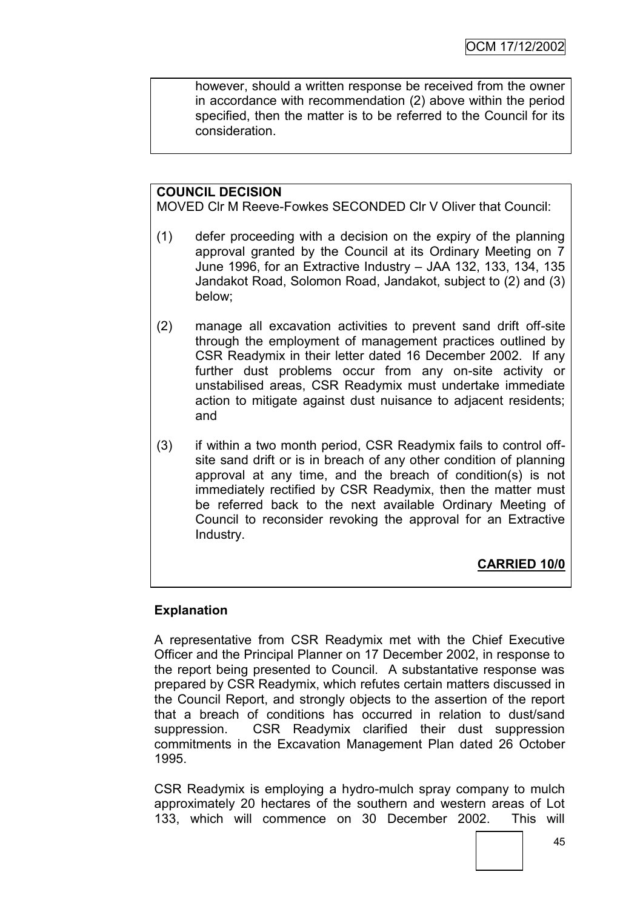however, should a written response be received from the owner in accordance with recommendation (2) above within the period specified, then the matter is to be referred to the Council for its consideration.

# **COUNCIL DECISION**

MOVED Clr M Reeve-Fowkes SECONDED Clr V Oliver that Council:

- (1) defer proceeding with a decision on the expiry of the planning approval granted by the Council at its Ordinary Meeting on 7 June 1996, for an Extractive Industry – JAA 132, 133, 134, 135 Jandakot Road, Solomon Road, Jandakot, subject to (2) and (3) below;
- (2) manage all excavation activities to prevent sand drift off-site through the employment of management practices outlined by CSR Readymix in their letter dated 16 December 2002. If any further dust problems occur from any on-site activity or unstabilised areas, CSR Readymix must undertake immediate action to mitigate against dust nuisance to adjacent residents; and
- (3) if within a two month period, CSR Readymix fails to control offsite sand drift or is in breach of any other condition of planning approval at any time, and the breach of condition(s) is not immediately rectified by CSR Readymix, then the matter must be referred back to the next available Ordinary Meeting of Council to reconsider revoking the approval for an Extractive Industry.

**CARRIED 10/0**

# **Explanation**

A representative from CSR Readymix met with the Chief Executive Officer and the Principal Planner on 17 December 2002, in response to the report being presented to Council. A substantative response was prepared by CSR Readymix, which refutes certain matters discussed in the Council Report, and strongly objects to the assertion of the report that a breach of conditions has occurred in relation to dust/sand suppression. CSR Readymix clarified their dust suppression commitments in the Excavation Management Plan dated 26 October 1995.

CSR Readymix is employing a hydro-mulch spray company to mulch approximately 20 hectares of the southern and western areas of Lot 133, which will commence on 30 December 2002. This will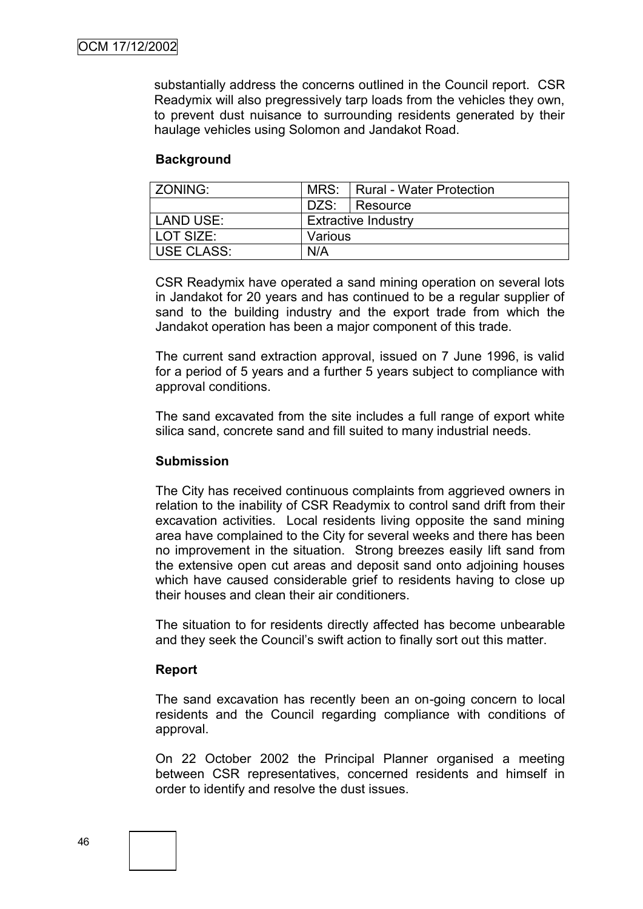substantially address the concerns outlined in the Council report. CSR Readymix will also pregressively tarp loads from the vehicles they own, to prevent dust nuisance to surrounding residents generated by their haulage vehicles using Solomon and Jandakot Road.

#### **Background**

| <b>ZONING:</b> | MRS:    | <b>Rural - Water Protection</b> |
|----------------|---------|---------------------------------|
|                | DZS:    | l Resource                      |
| LAND USE:      |         | <b>Extractive Industry</b>      |
| LOT SIZE:      | Various |                                 |
| USE CLASS:     | N/A     |                                 |

CSR Readymix have operated a sand mining operation on several lots in Jandakot for 20 years and has continued to be a regular supplier of sand to the building industry and the export trade from which the Jandakot operation has been a major component of this trade.

The current sand extraction approval, issued on 7 June 1996, is valid for a period of 5 years and a further 5 years subject to compliance with approval conditions.

The sand excavated from the site includes a full range of export white silica sand, concrete sand and fill suited to many industrial needs.

#### **Submission**

The City has received continuous complaints from aggrieved owners in relation to the inability of CSR Readymix to control sand drift from their excavation activities. Local residents living opposite the sand mining area have complained to the City for several weeks and there has been no improvement in the situation. Strong breezes easily lift sand from the extensive open cut areas and deposit sand onto adjoining houses which have caused considerable grief to residents having to close up their houses and clean their air conditioners.

The situation to for residents directly affected has become unbearable and they seek the Council"s swift action to finally sort out this matter.

#### **Report**

The sand excavation has recently been an on-going concern to local residents and the Council regarding compliance with conditions of approval.

On 22 October 2002 the Principal Planner organised a meeting between CSR representatives, concerned residents and himself in order to identify and resolve the dust issues.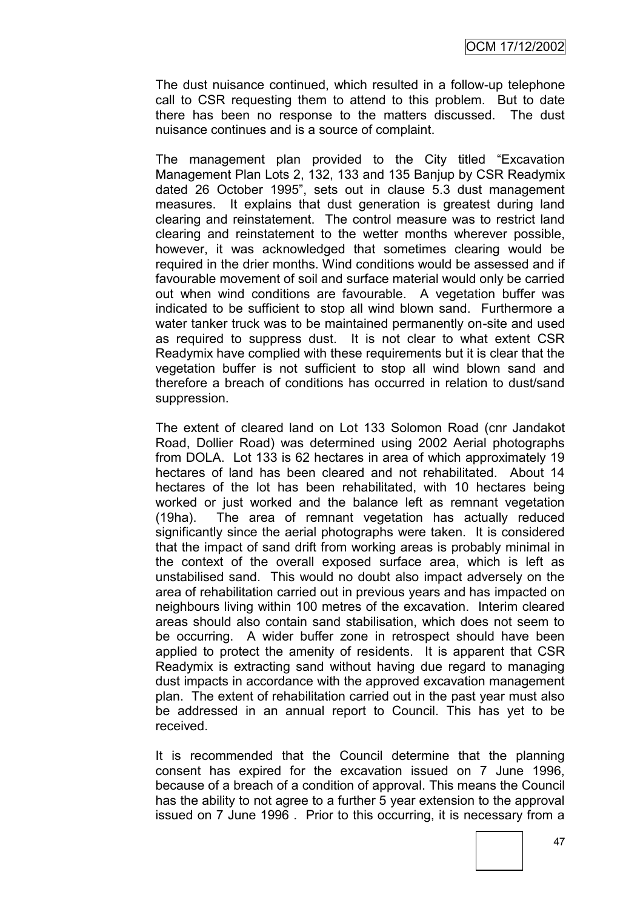The dust nuisance continued, which resulted in a follow-up telephone call to CSR requesting them to attend to this problem. But to date there has been no response to the matters discussed. The dust nuisance continues and is a source of complaint.

The management plan provided to the City titled "Excavation Management Plan Lots 2, 132, 133 and 135 Banjup by CSR Readymix dated 26 October 1995", sets out in clause 5.3 dust management measures. It explains that dust generation is greatest during land clearing and reinstatement. The control measure was to restrict land clearing and reinstatement to the wetter months wherever possible, however, it was acknowledged that sometimes clearing would be required in the drier months. Wind conditions would be assessed and if favourable movement of soil and surface material would only be carried out when wind conditions are favourable. A vegetation buffer was indicated to be sufficient to stop all wind blown sand. Furthermore a water tanker truck was to be maintained permanently on-site and used as required to suppress dust. It is not clear to what extent CSR Readymix have complied with these requirements but it is clear that the vegetation buffer is not sufficient to stop all wind blown sand and therefore a breach of conditions has occurred in relation to dust/sand suppression.

The extent of cleared land on Lot 133 Solomon Road (cnr Jandakot Road, Dollier Road) was determined using 2002 Aerial photographs from DOLA. Lot 133 is 62 hectares in area of which approximately 19 hectares of land has been cleared and not rehabilitated. About 14 hectares of the lot has been rehabilitated, with 10 hectares being worked or just worked and the balance left as remnant vegetation (19ha). The area of remnant vegetation has actually reduced significantly since the aerial photographs were taken. It is considered that the impact of sand drift from working areas is probably minimal in the context of the overall exposed surface area, which is left as unstabilised sand. This would no doubt also impact adversely on the area of rehabilitation carried out in previous years and has impacted on neighbours living within 100 metres of the excavation. Interim cleared areas should also contain sand stabilisation, which does not seem to be occurring. A wider buffer zone in retrospect should have been applied to protect the amenity of residents. It is apparent that CSR Readymix is extracting sand without having due regard to managing dust impacts in accordance with the approved excavation management plan. The extent of rehabilitation carried out in the past year must also be addressed in an annual report to Council. This has yet to be received.

It is recommended that the Council determine that the planning consent has expired for the excavation issued on 7 June 1996, because of a breach of a condition of approval. This means the Council has the ability to not agree to a further 5 year extension to the approval issued on 7 June 1996 . Prior to this occurring, it is necessary from a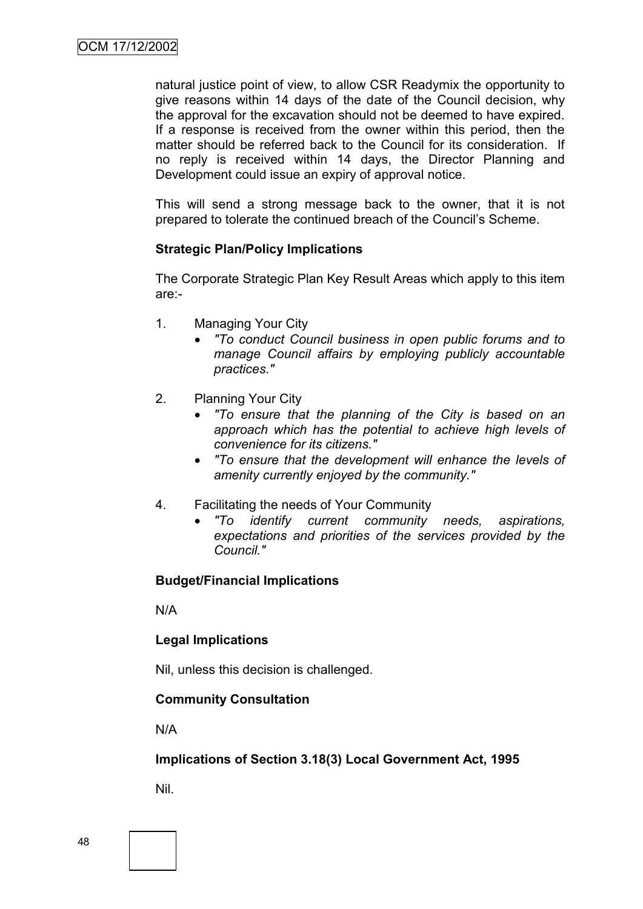natural justice point of view, to allow CSR Readymix the opportunity to give reasons within 14 days of the date of the Council decision, why the approval for the excavation should not be deemed to have expired. If a response is received from the owner within this period, then the matter should be referred back to the Council for its consideration. If no reply is received within 14 days, the Director Planning and Development could issue an expiry of approval notice.

This will send a strong message back to the owner, that it is not prepared to tolerate the continued breach of the Council"s Scheme.

## **Strategic Plan/Policy Implications**

The Corporate Strategic Plan Key Result Areas which apply to this item are:-

- 1. Managing Your City
	- *"To conduct Council business in open public forums and to manage Council affairs by employing publicly accountable practices."*
- 2. Planning Your City
	- *"To ensure that the planning of the City is based on an approach which has the potential to achieve high levels of convenience for its citizens."*
	- *"To ensure that the development will enhance the levels of amenity currently enjoyed by the community."*
- 4. Facilitating the needs of Your Community
	- *"To identify current community needs, aspirations, expectations and priorities of the services provided by the Council."*

## **Budget/Financial Implications**

N/A

## **Legal Implications**

Nil, unless this decision is challenged.

## **Community Consultation**

N/A

## **Implications of Section 3.18(3) Local Government Act, 1995**

Nil.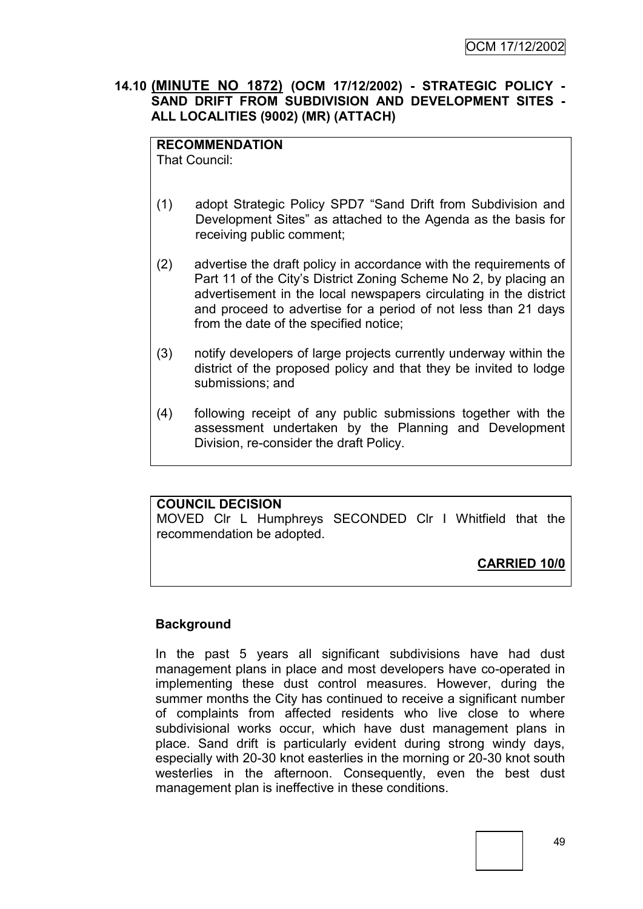## **14.10 (MINUTE NO 1872) (OCM 17/12/2002) - STRATEGIC POLICY - SAND DRIFT FROM SUBDIVISION AND DEVELOPMENT SITES - ALL LOCALITIES (9002) (MR) (ATTACH)**

# **RECOMMENDATION**

That Council:

- (1) adopt Strategic Policy SPD7 "Sand Drift from Subdivision and Development Sites" as attached to the Agenda as the basis for receiving public comment;
- (2) advertise the draft policy in accordance with the requirements of Part 11 of the City"s District Zoning Scheme No 2, by placing an advertisement in the local newspapers circulating in the district and proceed to advertise for a period of not less than 21 days from the date of the specified notice;
- (3) notify developers of large projects currently underway within the district of the proposed policy and that they be invited to lodge submissions; and
- (4) following receipt of any public submissions together with the assessment undertaken by the Planning and Development Division, re-consider the draft Policy.

## **COUNCIL DECISION**

MOVED Clr L Humphreys SECONDED Clr I Whitfield that the recommendation be adopted.

# **CARRIED 10/0**

# **Background**

In the past 5 years all significant subdivisions have had dust management plans in place and most developers have co-operated in implementing these dust control measures. However, during the summer months the City has continued to receive a significant number of complaints from affected residents who live close to where subdivisional works occur, which have dust management plans in place. Sand drift is particularly evident during strong windy days, especially with 20-30 knot easterlies in the morning or 20-30 knot south westerlies in the afternoon. Consequently, even the best dust management plan is ineffective in these conditions.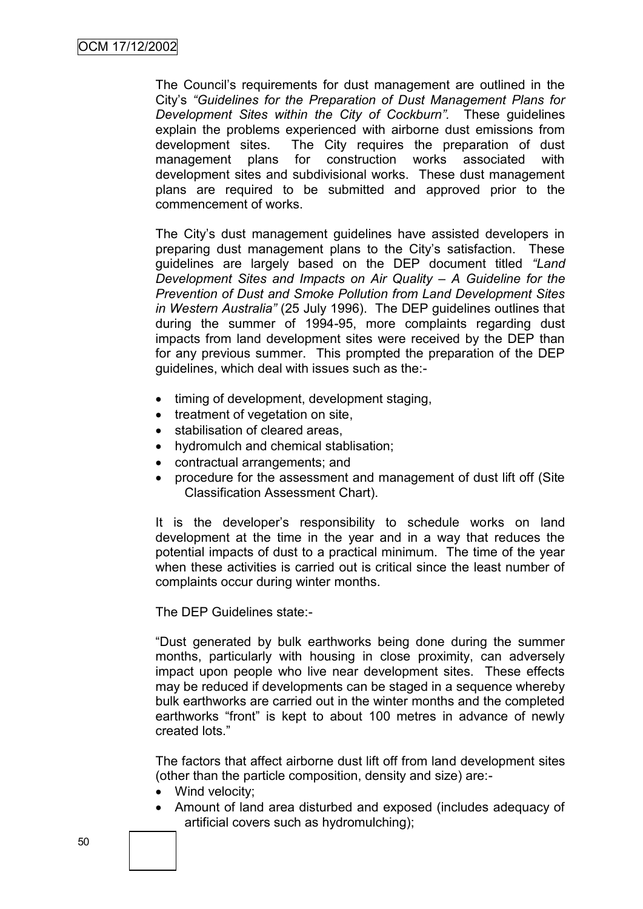The Council"s requirements for dust management are outlined in the City"s *"Guidelines for the Preparation of Dust Management Plans for Development Sites within the City of Cockburn".* These guidelines explain the problems experienced with airborne dust emissions from development sites. The City requires the preparation of dust management plans for construction works associated with development sites and subdivisional works. These dust management plans are required to be submitted and approved prior to the commencement of works.

The City"s dust management guidelines have assisted developers in preparing dust management plans to the City"s satisfaction. These guidelines are largely based on the DEP document titled *"Land Development Sites and Impacts on Air Quality – A Guideline for the Prevention of Dust and Smoke Pollution from Land Development Sites in Western Australia"* (25 July 1996). The DEP guidelines outlines that during the summer of 1994-95, more complaints regarding dust impacts from land development sites were received by the DEP than for any previous summer. This prompted the preparation of the DEP guidelines, which deal with issues such as the:-

- timing of development, development staging,
- treatment of vegetation on site,
- stabilisation of cleared areas,
- hydromulch and chemical stablisation;
- contractual arrangements; and
- procedure for the assessment and management of dust lift off (Site Classification Assessment Chart).

It is the developer"s responsibility to schedule works on land development at the time in the year and in a way that reduces the potential impacts of dust to a practical minimum. The time of the year when these activities is carried out is critical since the least number of complaints occur during winter months.

The DEP Guidelines state:-

"Dust generated by bulk earthworks being done during the summer months, particularly with housing in close proximity, can adversely impact upon people who live near development sites. These effects may be reduced if developments can be staged in a sequence whereby bulk earthworks are carried out in the winter months and the completed earthworks "front" is kept to about 100 metres in advance of newly created lots."

The factors that affect airborne dust lift off from land development sites (other than the particle composition, density and size) are:-

- Wind velocity;
- Amount of land area disturbed and exposed (includes adequacy of artificial covers such as hydromulching);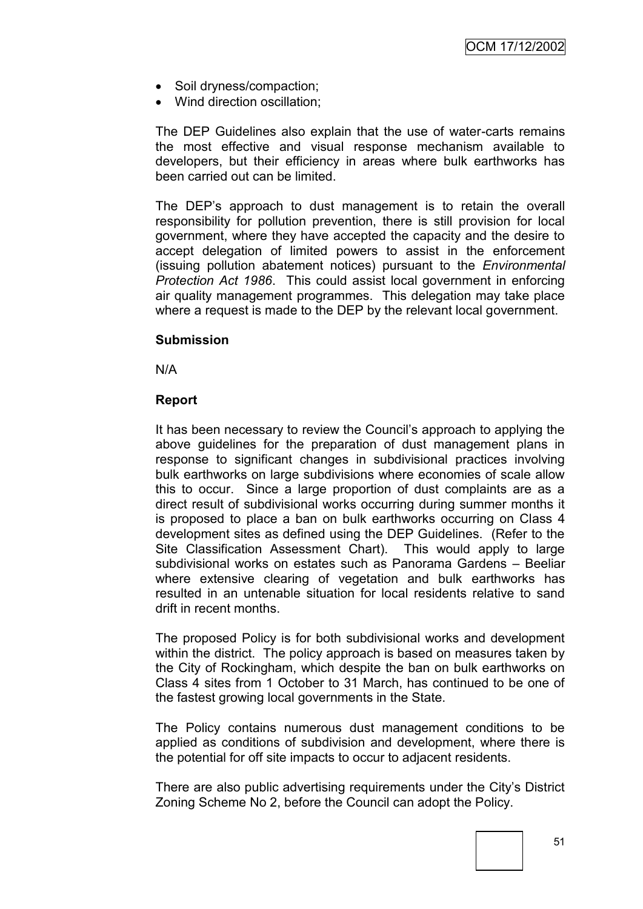- Soil dryness/compaction;
- Wind direction oscillation:

The DEP Guidelines also explain that the use of water-carts remains the most effective and visual response mechanism available to developers, but their efficiency in areas where bulk earthworks has been carried out can be limited.

The DEP's approach to dust management is to retain the overall responsibility for pollution prevention, there is still provision for local government, where they have accepted the capacity and the desire to accept delegation of limited powers to assist in the enforcement (issuing pollution abatement notices) pursuant to the *Environmental Protection Act 1986*. This could assist local government in enforcing air quality management programmes. This delegation may take place where a request is made to the DEP by the relevant local government.

#### **Submission**

N/A

#### **Report**

It has been necessary to review the Council"s approach to applying the above guidelines for the preparation of dust management plans in response to significant changes in subdivisional practices involving bulk earthworks on large subdivisions where economies of scale allow this to occur. Since a large proportion of dust complaints are as a direct result of subdivisional works occurring during summer months it is proposed to place a ban on bulk earthworks occurring on Class 4 development sites as defined using the DEP Guidelines. (Refer to the Site Classification Assessment Chart). This would apply to large subdivisional works on estates such as Panorama Gardens – Beeliar where extensive clearing of vegetation and bulk earthworks has resulted in an untenable situation for local residents relative to sand drift in recent months.

The proposed Policy is for both subdivisional works and development within the district. The policy approach is based on measures taken by the City of Rockingham, which despite the ban on bulk earthworks on Class 4 sites from 1 October to 31 March, has continued to be one of the fastest growing local governments in the State.

The Policy contains numerous dust management conditions to be applied as conditions of subdivision and development, where there is the potential for off site impacts to occur to adjacent residents.

There are also public advertising requirements under the City"s District Zoning Scheme No 2, before the Council can adopt the Policy.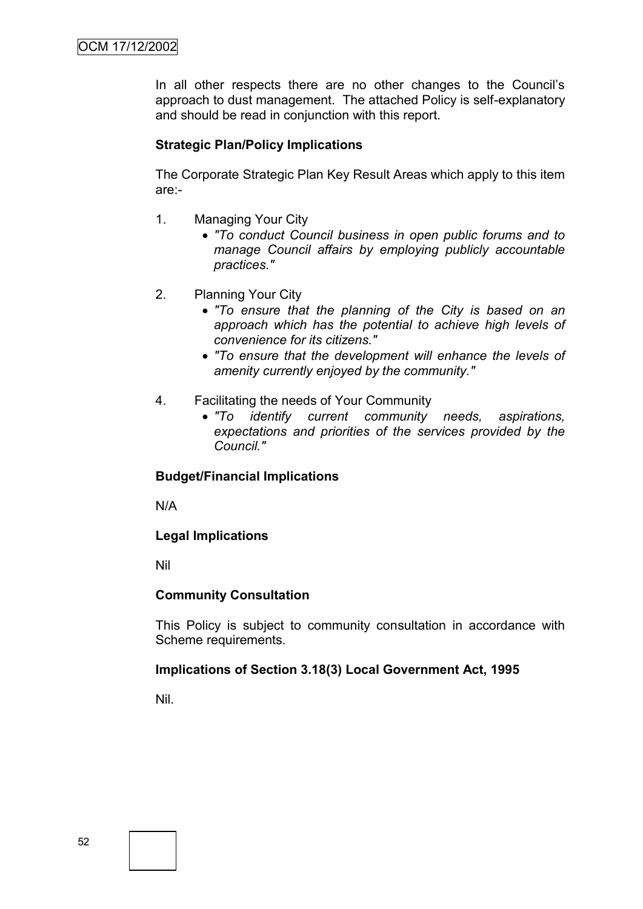In all other respects there are no other changes to the Council"s approach to dust management. The attached Policy is self-explanatory and should be read in conjunction with this report.

## **Strategic Plan/Policy Implications**

The Corporate Strategic Plan Key Result Areas which apply to this item are:-

- 1. Managing Your City
	- *"To conduct Council business in open public forums and to manage Council affairs by employing publicly accountable practices."*
- 2. Planning Your City
	- *"To ensure that the planning of the City is based on an approach which has the potential to achieve high levels of convenience for its citizens."*
	- *"To ensure that the development will enhance the levels of amenity currently enjoyed by the community."*
- 4. Facilitating the needs of Your Community
	- *"To identify current community needs, aspirations, expectations and priorities of the services provided by the Council."*

## **Budget/Financial Implications**

N/A

## **Legal Implications**

Nil

## **Community Consultation**

This Policy is subject to community consultation in accordance with Scheme requirements.

## **Implications of Section 3.18(3) Local Government Act, 1995**

Nil.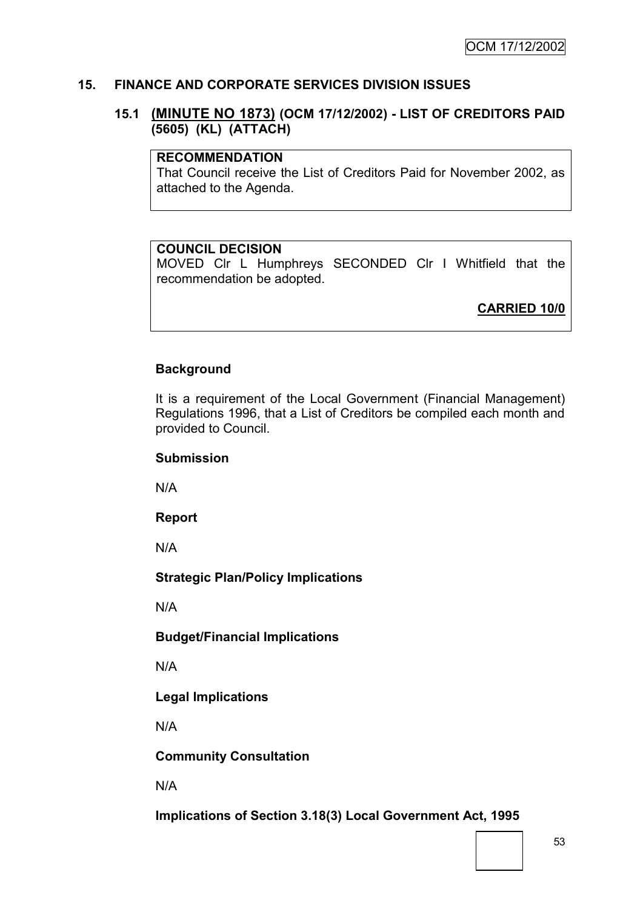## **15. FINANCE AND CORPORATE SERVICES DIVISION ISSUES**

## **15.1 (MINUTE NO 1873) (OCM 17/12/2002) - LIST OF CREDITORS PAID (5605) (KL) (ATTACH)**

#### **RECOMMENDATION**

That Council receive the List of Creditors Paid for November 2002, as attached to the Agenda.

#### **COUNCIL DECISION**

MOVED Clr L Humphreys SECONDED Clr I Whitfield that the recommendation be adopted.

**CARRIED 10/0**

#### **Background**

It is a requirement of the Local Government (Financial Management) Regulations 1996, that a List of Creditors be compiled each month and provided to Council.

#### **Submission**

N/A

#### **Report**

N/A

#### **Strategic Plan/Policy Implications**

N/A

#### **Budget/Financial Implications**

N/A

## **Legal Implications**

N/A

#### **Community Consultation**

N/A

## **Implications of Section 3.18(3) Local Government Act, 1995**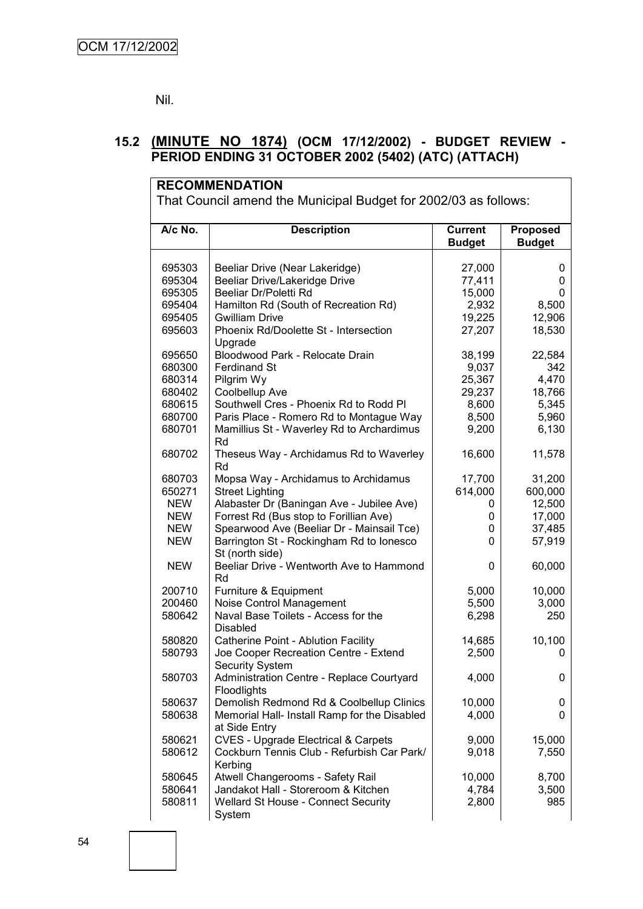Nil.

## **15.2 (MINUTE NO 1874) (OCM 17/12/2002) - BUDGET REVIEW - PERIOD ENDING 31 OCTOBER 2002 (5402) (ATC) (ATTACH)**

| <b>RECOMMENDATION</b>                                           |                                                                 |                                 |                                  |  |
|-----------------------------------------------------------------|-----------------------------------------------------------------|---------------------------------|----------------------------------|--|
| That Council amend the Municipal Budget for 2002/03 as follows: |                                                                 |                                 |                                  |  |
| A/c No.                                                         | <b>Description</b>                                              | <b>Current</b><br><b>Budget</b> | <b>Proposed</b><br><b>Budget</b> |  |
|                                                                 |                                                                 |                                 |                                  |  |
| 695303<br>695304                                                | Beeliar Drive (Near Lakeridge)<br>Beeliar Drive/Lakeridge Drive | 27,000<br>77,411                | 0<br>0                           |  |
| 695305                                                          | Beeliar Dr/Poletti Rd                                           | 15,000                          | 0                                |  |
| 695404                                                          | Hamilton Rd (South of Recreation Rd)                            | 2,932                           | 8,500                            |  |
| 695405                                                          | <b>Gwilliam Drive</b>                                           | 19,225                          | 12,906                           |  |
| 695603                                                          | Phoenix Rd/Doolette St - Intersection                           | 27,207                          | 18,530                           |  |
|                                                                 | Upgrade                                                         |                                 |                                  |  |
| 695650                                                          | Bloodwood Park - Relocate Drain                                 | 38,199                          | 22,584                           |  |
| 680300                                                          | <b>Ferdinand St</b>                                             | 9,037                           | 342                              |  |
| 680314                                                          | Pilgrim Wy                                                      | 25,367                          | 4,470                            |  |
| 680402                                                          | Coolbellup Ave                                                  | 29,237                          | 18,766                           |  |
| 680615                                                          | Southwell Cres - Phoenix Rd to Rodd Pl                          | 8,600                           | 5,345                            |  |
| 680700                                                          | Paris Place - Romero Rd to Montague Way                         | 8,500                           | 5,960                            |  |
| 680701                                                          | Mamillius St - Waverley Rd to Archardimus<br>Rd                 | 9,200                           | 6,130                            |  |
| 680702                                                          | Theseus Way - Archidamus Rd to Waverley<br>Rd                   | 16,600                          | 11,578                           |  |
| 680703                                                          | Mopsa Way - Archidamus to Archidamus                            | 17,700                          | 31,200                           |  |
| 650271                                                          | <b>Street Lighting</b>                                          | 614,000                         | 600,000                          |  |
| <b>NEW</b>                                                      | Alabaster Dr (Baningan Ave - Jubilee Ave)                       | 0                               | 12,500                           |  |
| <b>NEW</b>                                                      | Forrest Rd (Bus stop to Forillian Ave)                          | 0                               | 17,000                           |  |
| <b>NEW</b>                                                      | Spearwood Ave (Beeliar Dr - Mainsail Tce)                       | 0                               | 37,485                           |  |
| <b>NEW</b>                                                      | Barrington St - Rockingham Rd to lonesco<br>St (north side)     | 0                               | 57,919                           |  |
| <b>NEW</b>                                                      | Beeliar Drive - Wentworth Ave to Hammond<br>Rd                  | 0                               | 60,000                           |  |
| 200710                                                          | Furniture & Equipment                                           | 5,000                           | 10,000                           |  |
| 200460                                                          | Noise Control Management                                        | 5,500                           | 3,000                            |  |
| 580642                                                          | Naval Base Toilets - Access for the<br><b>Disabled</b>          | 6,298                           | 250                              |  |
| 580820                                                          | Catherine Point - Ablution Facility                             | 14,685                          | 10,100                           |  |
| 580793                                                          | Joe Cooper Recreation Centre - Extend<br><b>Security System</b> | 2,500                           | 0                                |  |
| 580703                                                          | Administration Centre - Replace Courtyard<br>Floodlights        | 4,000                           | 0                                |  |
| 580637                                                          | Demolish Redmond Rd & Coolbellup Clinics                        | 10,000                          | 0                                |  |
| 580638                                                          | Memorial Hall- Install Ramp for the Disabled<br>at Side Entry   | 4,000                           | 0                                |  |
| 580621                                                          | <b>CVES - Upgrade Electrical &amp; Carpets</b>                  | 9,000                           | 15,000                           |  |
| 580612                                                          | Cockburn Tennis Club - Refurbish Car Park/<br>Kerbing           | 9,018                           | 7,550                            |  |
| 580645                                                          | Atwell Changerooms - Safety Rail                                | 10,000                          | 8,700                            |  |
| 580641                                                          | Jandakot Hall - Storeroom & Kitchen                             | 4,784                           | 3,500                            |  |
| 580811                                                          | Wellard St House - Connect Security<br>System                   | 2,800                           | 985                              |  |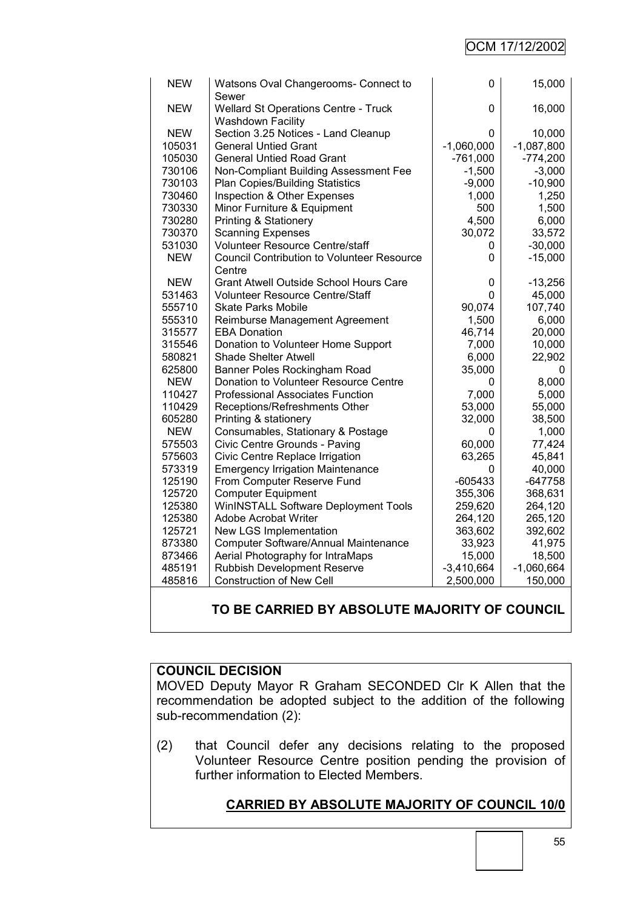## OCM 17/12/2002

| <b>NEW</b> | Watsons Oval Changerooms- Connect to<br>Sewer                    | 0            | 15,000       |
|------------|------------------------------------------------------------------|--------------|--------------|
| <b>NEW</b> | <b>Wellard St Operations Centre - Truck</b><br>Washdown Facility | 0            | 16,000       |
| <b>NEW</b> | Section 3.25 Notices - Land Cleanup                              | 0            | 10,000       |
| 105031     | <b>General Untied Grant</b>                                      | $-1,060,000$ | $-1,087,800$ |
| 105030     | <b>General Untied Road Grant</b>                                 | $-761,000$   | $-774,200$   |
| 730106     | Non-Compliant Building Assessment Fee                            | $-1,500$     | $-3,000$     |
| 730103     | <b>Plan Copies/Building Statistics</b>                           | $-9,000$     | $-10,900$    |
| 730460     | <b>Inspection &amp; Other Expenses</b>                           | 1,000        | 1,250        |
| 730330     | Minor Furniture & Equipment                                      | 500          | 1,500        |
| 730280     | <b>Printing &amp; Stationery</b>                                 | 4,500        | 6,000        |
| 730370     | <b>Scanning Expenses</b>                                         | 30,072       | 33,572       |
| 531030     | <b>Volunteer Resource Centre/staff</b>                           | 0            | $-30,000$    |
| <b>NEW</b> | <b>Council Contribution to Volunteer Resource</b>                | 0            | $-15,000$    |
|            | Centre                                                           |              |              |
| <b>NEW</b> | <b>Grant Atwell Outside School Hours Care</b>                    | 0            | $-13,256$    |
| 531463     | <b>Volunteer Resource Centre/Staff</b>                           | 0            | 45,000       |
| 555710     | Skate Parks Mobile                                               | 90,074       | 107,740      |
| 555310     | Reimburse Management Agreement                                   | 1,500        | 6,000        |
| 315577     | <b>EBA Donation</b>                                              | 46,714       | 20,000       |
| 315546     | Donation to Volunteer Home Support                               | 7,000        | 10,000       |
| 580821     | <b>Shade Shelter Atwell</b>                                      | 6,000        | 22,902       |
| 625800     | Banner Poles Rockingham Road                                     | 35,000       | $\Omega$     |
| <b>NEW</b> | Donation to Volunteer Resource Centre                            | 0            | 8,000        |
| 110427     | <b>Professional Associates Function</b>                          | 7,000        | 5,000        |
| 110429     | Receptions/Refreshments Other                                    | 53,000       | 55,000       |
| 605280     | Printing & stationery                                            | 32,000       | 38,500       |
| <b>NEW</b> | Consumables, Stationary & Postage                                | 0            | 1,000        |
| 575503     | Civic Centre Grounds - Paving                                    | 60,000       | 77,424       |
| 575603     | Civic Centre Replace Irrigation                                  | 63,265       | 45,841       |
| 573319     | <b>Emergency Irrigation Maintenance</b>                          | 0            | 40,000       |
| 125190     | From Computer Reserve Fund                                       | $-605433$    | $-647758$    |
| 125720     | <b>Computer Equipment</b>                                        | 355,306      | 368,631      |
| 125380     | WinINSTALL Software Deployment Tools                             | 259,620      | 264,120      |
| 125380     | <b>Adobe Acrobat Writer</b>                                      | 264,120      | 265,120      |
| 125721     | New LGS Implementation                                           | 363,602      | 392,602      |
| 873380     | Computer Software/Annual Maintenance                             | 33,923       | 41,975       |
| 873466     | Aerial Photography for IntraMaps                                 | 15,000       | 18,500       |
| 485191     | <b>Rubbish Development Reserve</b>                               | $-3,410,664$ | $-1,060,664$ |
| 485816     | <b>Construction of New Cell</b>                                  | 2,500,000    | 150,000      |

# **TO BE CARRIED BY ABSOLUTE MAJORITY OF COUNCIL**

## **COUNCIL DECISION**

MOVED Deputy Mayor R Graham SECONDED Clr K Allen that the recommendation be adopted subject to the addition of the following sub-recommendation (2):

(2) that Council defer any decisions relating to the proposed Volunteer Resource Centre position pending the provision of further information to Elected Members.

# **CARRIED BY ABSOLUTE MAJORITY OF COUNCIL 10/0**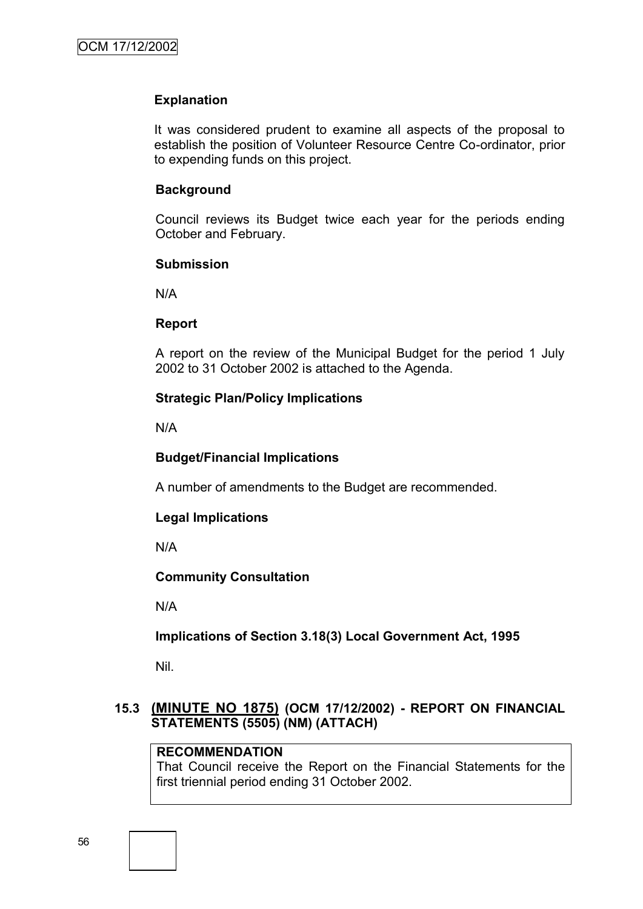## **Explanation**

It was considered prudent to examine all aspects of the proposal to establish the position of Volunteer Resource Centre Co-ordinator, prior to expending funds on this project.

#### **Background**

Council reviews its Budget twice each year for the periods ending October and February.

#### **Submission**

N/A

## **Report**

A report on the review of the Municipal Budget for the period 1 July 2002 to 31 October 2002 is attached to the Agenda.

## **Strategic Plan/Policy Implications**

N/A

## **Budget/Financial Implications**

A number of amendments to the Budget are recommended.

## **Legal Implications**

N/A

## **Community Consultation**

N/A

# **Implications of Section 3.18(3) Local Government Act, 1995**

Nil.

# **15.3 (MINUTE NO 1875) (OCM 17/12/2002) - REPORT ON FINANCIAL STATEMENTS (5505) (NM) (ATTACH)**

# **RECOMMENDATION**

That Council receive the Report on the Financial Statements for the first triennial period ending 31 October 2002.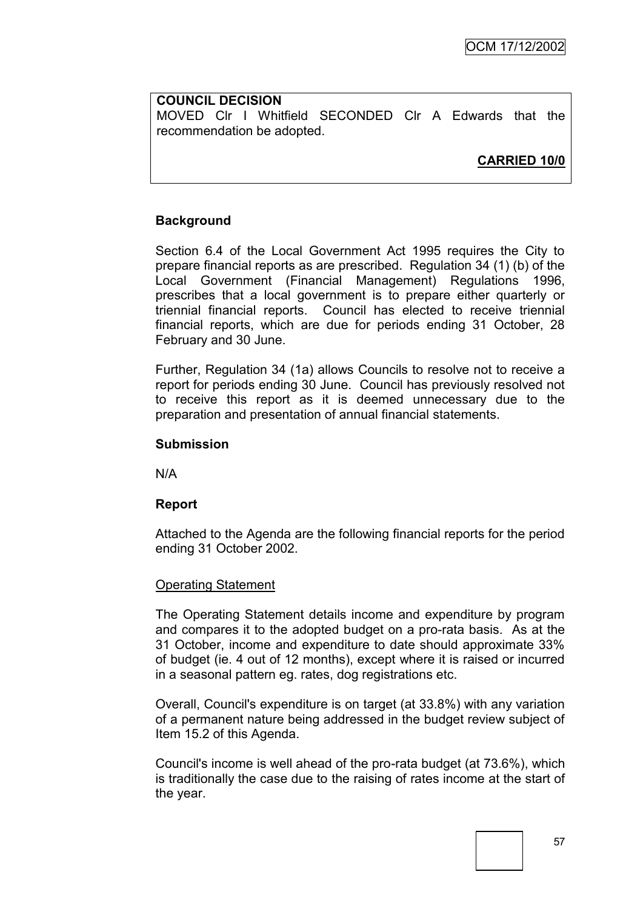# **COUNCIL DECISION**

MOVED Clr I Whitfield SECONDED Clr A Edwards that the recommendation be adopted.

**CARRIED 10/0**

# **Background**

Section 6.4 of the Local Government Act 1995 requires the City to prepare financial reports as are prescribed. Regulation 34 (1) (b) of the Local Government (Financial Management) Regulations 1996, prescribes that a local government is to prepare either quarterly or triennial financial reports. Council has elected to receive triennial financial reports, which are due for periods ending 31 October, 28 February and 30 June.

Further, Regulation 34 (1a) allows Councils to resolve not to receive a report for periods ending 30 June. Council has previously resolved not to receive this report as it is deemed unnecessary due to the preparation and presentation of annual financial statements.

## **Submission**

N/A

## **Report**

Attached to the Agenda are the following financial reports for the period ending 31 October 2002.

## Operating Statement

The Operating Statement details income and expenditure by program and compares it to the adopted budget on a pro-rata basis. As at the 31 October, income and expenditure to date should approximate 33% of budget (ie. 4 out of 12 months), except where it is raised or incurred in a seasonal pattern eg. rates, dog registrations etc.

Overall, Council's expenditure is on target (at 33.8%) with any variation of a permanent nature being addressed in the budget review subject of Item 15.2 of this Agenda.

Council's income is well ahead of the pro-rata budget (at 73.6%), which is traditionally the case due to the raising of rates income at the start of the year.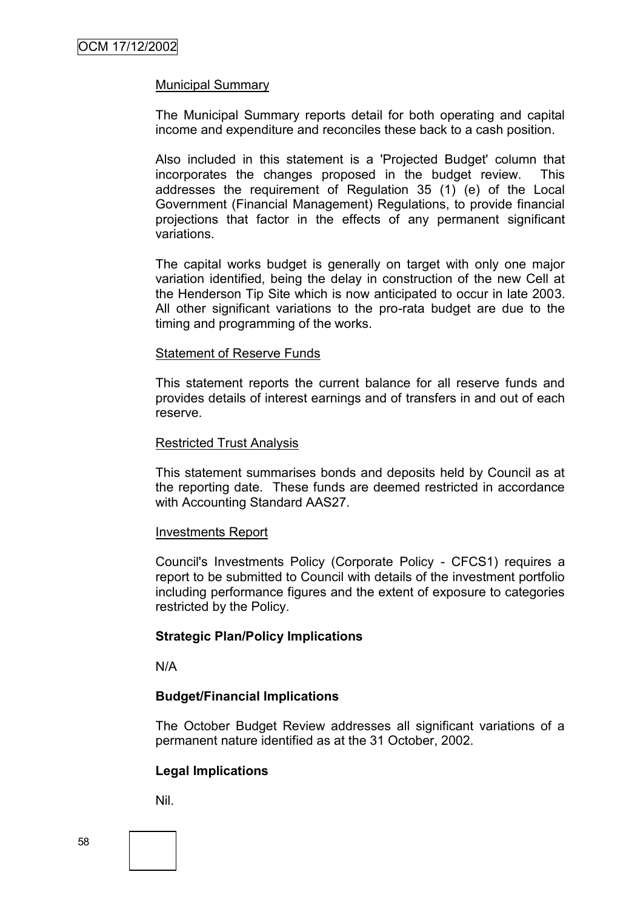## Municipal Summary

The Municipal Summary reports detail for both operating and capital income and expenditure and reconciles these back to a cash position.

Also included in this statement is a 'Projected Budget' column that incorporates the changes proposed in the budget review. This addresses the requirement of Regulation 35 (1) (e) of the Local Government (Financial Management) Regulations, to provide financial projections that factor in the effects of any permanent significant variations.

The capital works budget is generally on target with only one major variation identified, being the delay in construction of the new Cell at the Henderson Tip Site which is now anticipated to occur in late 2003. All other significant variations to the pro-rata budget are due to the timing and programming of the works.

#### Statement of Reserve Funds

This statement reports the current balance for all reserve funds and provides details of interest earnings and of transfers in and out of each reserve.

#### Restricted Trust Analysis

This statement summarises bonds and deposits held by Council as at the reporting date. These funds are deemed restricted in accordance with Accounting Standard AAS27.

#### Investments Report

Council's Investments Policy (Corporate Policy - CFCS1) requires a report to be submitted to Council with details of the investment portfolio including performance figures and the extent of exposure to categories restricted by the Policy.

#### **Strategic Plan/Policy Implications**

N/A

#### **Budget/Financial Implications**

The October Budget Review addresses all significant variations of a permanent nature identified as at the 31 October, 2002.

#### **Legal Implications**

Nil.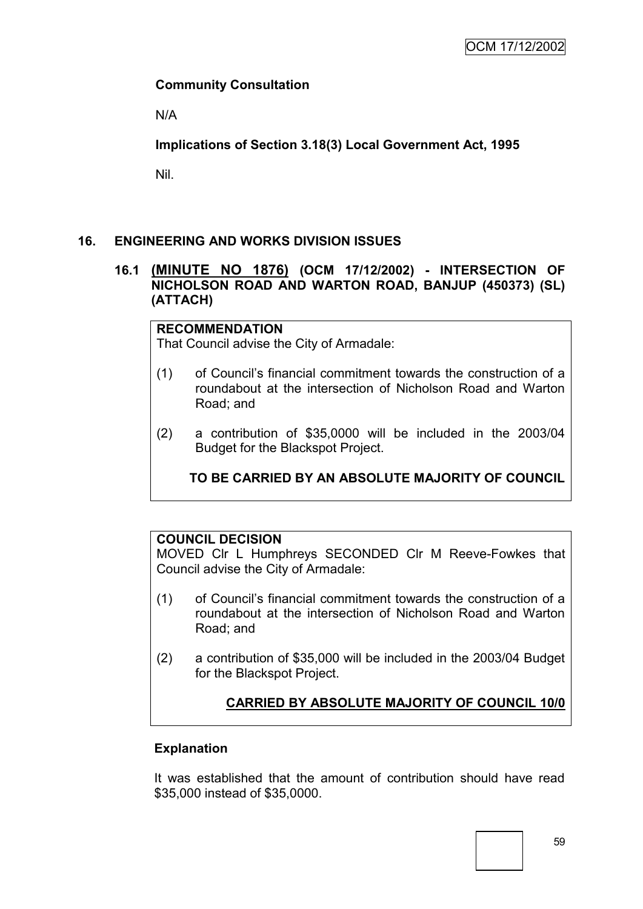## **Community Consultation**

N/A

**Implications of Section 3.18(3) Local Government Act, 1995**

Nil.

# **16. ENGINEERING AND WORKS DIVISION ISSUES**

## **16.1 (MINUTE NO 1876) (OCM 17/12/2002) - INTERSECTION OF NICHOLSON ROAD AND WARTON ROAD, BANJUP (450373) (SL) (ATTACH)**

## **RECOMMENDATION**

That Council advise the City of Armadale:

- (1) of Council"s financial commitment towards the construction of a roundabout at the intersection of Nicholson Road and Warton Road; and
- (2) a contribution of \$35,0000 will be included in the 2003/04 Budget for the Blackspot Project.

# **TO BE CARRIED BY AN ABSOLUTE MAJORITY OF COUNCIL**

# **COUNCIL DECISION**

MOVED Clr L Humphreys SECONDED Clr M Reeve-Fowkes that Council advise the City of Armadale:

- (1) of Council"s financial commitment towards the construction of a roundabout at the intersection of Nicholson Road and Warton Road; and
- (2) a contribution of \$35,000 will be included in the 2003/04 Budget for the Blackspot Project.

# **CARRIED BY ABSOLUTE MAJORITY OF COUNCIL 10/0**

## **Explanation**

It was established that the amount of contribution should have read \$35,000 instead of \$35,0000.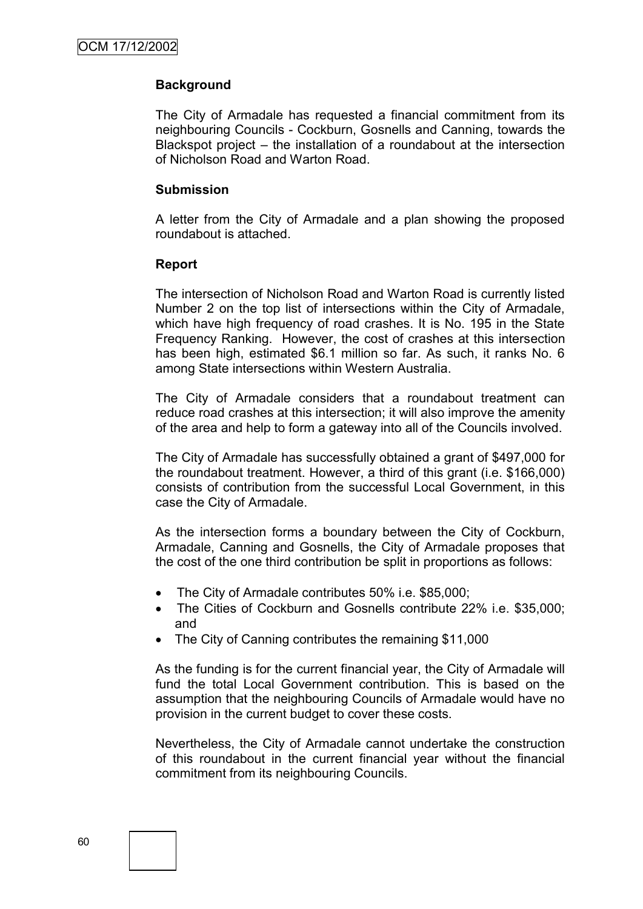## **Background**

The City of Armadale has requested a financial commitment from its neighbouring Councils - Cockburn, Gosnells and Canning, towards the Blackspot project – the installation of a roundabout at the intersection of Nicholson Road and Warton Road.

#### **Submission**

A letter from the City of Armadale and a plan showing the proposed roundabout is attached.

#### **Report**

The intersection of Nicholson Road and Warton Road is currently listed Number 2 on the top list of intersections within the City of Armadale, which have high frequency of road crashes. It is No. 195 in the State Frequency Ranking. However, the cost of crashes at this intersection has been high, estimated \$6.1 million so far. As such, it ranks No. 6 among State intersections within Western Australia.

The City of Armadale considers that a roundabout treatment can reduce road crashes at this intersection; it will also improve the amenity of the area and help to form a gateway into all of the Councils involved.

The City of Armadale has successfully obtained a grant of \$497,000 for the roundabout treatment. However, a third of this grant (i.e. \$166,000) consists of contribution from the successful Local Government, in this case the City of Armadale.

As the intersection forms a boundary between the City of Cockburn, Armadale, Canning and Gosnells, the City of Armadale proposes that the cost of the one third contribution be split in proportions as follows:

- The City of Armadale contributes 50% i.e. \$85,000;
- The Cities of Cockburn and Gosnells contribute 22% i.e. \$35,000; and
- The City of Canning contributes the remaining \$11,000

As the funding is for the current financial year, the City of Armadale will fund the total Local Government contribution. This is based on the assumption that the neighbouring Councils of Armadale would have no provision in the current budget to cover these costs.

Nevertheless, the City of Armadale cannot undertake the construction of this roundabout in the current financial year without the financial commitment from its neighbouring Councils.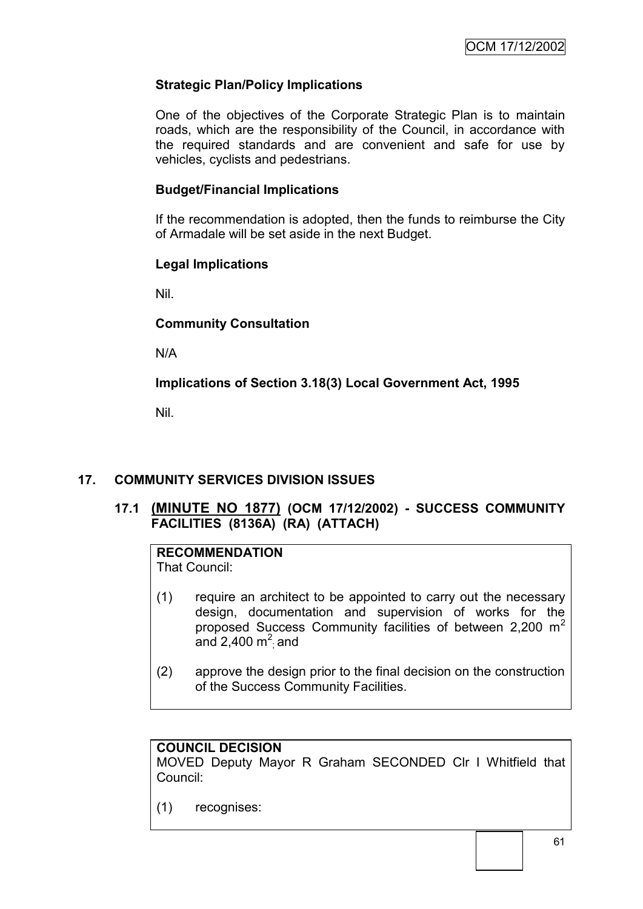## **Strategic Plan/Policy Implications**

One of the objectives of the Corporate Strategic Plan is to maintain roads, which are the responsibility of the Council, in accordance with the required standards and are convenient and safe for use by vehicles, cyclists and pedestrians.

## **Budget/Financial Implications**

If the recommendation is adopted, then the funds to reimburse the City of Armadale will be set aside in the next Budget.

## **Legal Implications**

Nil.

## **Community Consultation**

N/A

**Implications of Section 3.18(3) Local Government Act, 1995**

Nil.

# **17. COMMUNITY SERVICES DIVISION ISSUES**

# **17.1 (MINUTE NO 1877) (OCM 17/12/2002) - SUCCESS COMMUNITY FACILITIES (8136A) (RA) (ATTACH)**

#### **RECOMMENDATION** That Council:

- (1) require an architect to be appointed to carry out the necessary design, documentation and supervision of works for the proposed Success Community facilities of between 2,200 m<sup>2</sup> and 2,400  $\textsf{m}^2$  and
- (2) approve the design prior to the final decision on the construction of the Success Community Facilities.

# **COUNCIL DECISION**

MOVED Deputy Mayor R Graham SECONDED Clr I Whitfield that Council:

(1) recognises: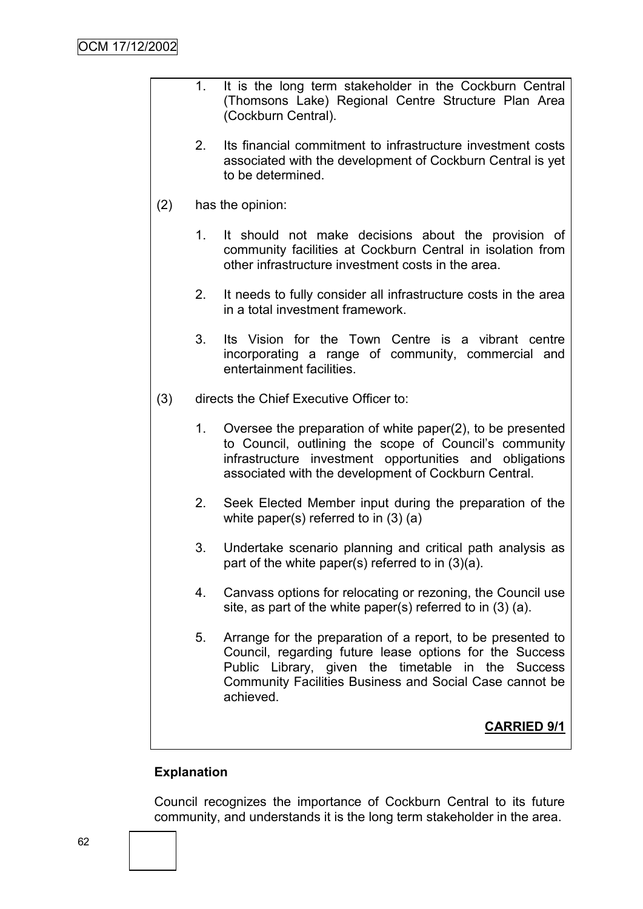1. It is the long term stakeholder in the Cockburn Central (Thomsons Lake) Regional Centre Structure Plan Area (Cockburn Central). 2. Its financial commitment to infrastructure investment costs associated with the development of Cockburn Central is yet to be determined. (2) has the opinion: 1. It should not make decisions about the provision of community facilities at Cockburn Central in isolation from other infrastructure investment costs in the area. 2. It needs to fully consider all infrastructure costs in the area in a total investment framework. 3. Its Vision for the Town Centre is a vibrant centre incorporating a range of community, commercial and entertainment facilities. (3) directs the Chief Executive Officer to: 1. Oversee the preparation of white paper(2), to be presented to Council, outlining the scope of Council's community infrastructure investment opportunities and obligations associated with the development of Cockburn Central. 2. Seek Elected Member input during the preparation of the white paper(s) referred to in (3) (a) 3. Undertake scenario planning and critical path analysis as part of the white paper(s) referred to in (3)(a). 4. Canvass options for relocating or rezoning, the Council use site, as part of the white paper(s) referred to in (3) (a). 5. Arrange for the preparation of a report, to be presented to Council, regarding future lease options for the Success Public Library, given the timetable in the Success Community Facilities Business and Social Case cannot be achieved. **CARRIED 9/1**

# **Explanation**

Council recognizes the importance of Cockburn Central to its future community, and understands it is the long term stakeholder in the area.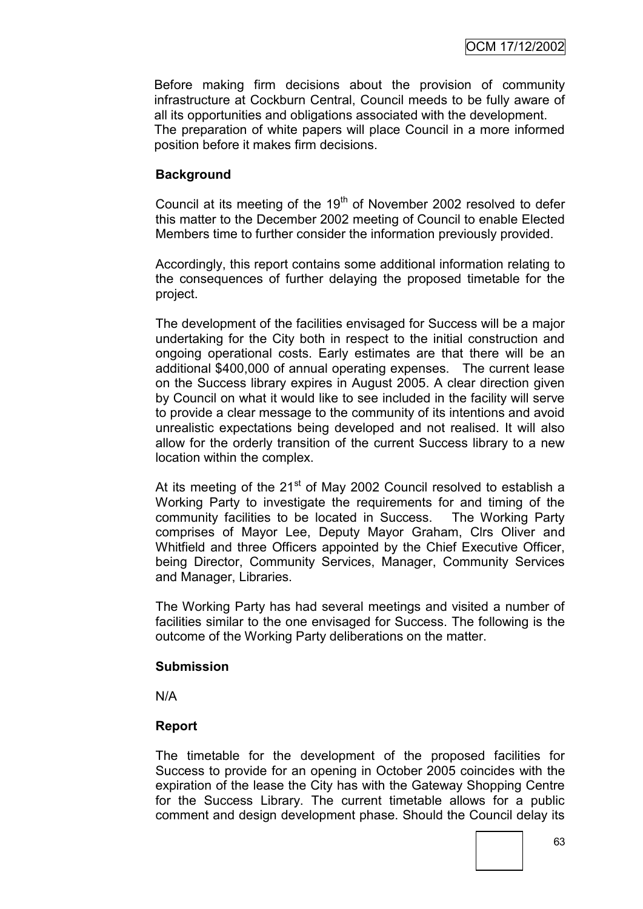Before making firm decisions about the provision of community infrastructure at Cockburn Central, Council meeds to be fully aware of all its opportunities and obligations associated with the development. The preparation of white papers will place Council in a more informed position before it makes firm decisions.

## **Background**

Council at its meeting of the  $19<sup>th</sup>$  of November 2002 resolved to defer this matter to the December 2002 meeting of Council to enable Elected Members time to further consider the information previously provided.

Accordingly, this report contains some additional information relating to the consequences of further delaying the proposed timetable for the project.

The development of the facilities envisaged for Success will be a major undertaking for the City both in respect to the initial construction and ongoing operational costs. Early estimates are that there will be an additional \$400,000 of annual operating expenses. The current lease on the Success library expires in August 2005. A clear direction given by Council on what it would like to see included in the facility will serve to provide a clear message to the community of its intentions and avoid unrealistic expectations being developed and not realised. It will also allow for the orderly transition of the current Success library to a new location within the complex.

At its meeting of the 21<sup>st</sup> of May 2002 Council resolved to establish a Working Party to investigate the requirements for and timing of the community facilities to be located in Success. The Working Party comprises of Mayor Lee, Deputy Mayor Graham, Clrs Oliver and Whitfield and three Officers appointed by the Chief Executive Officer, being Director, Community Services, Manager, Community Services and Manager, Libraries.

The Working Party has had several meetings and visited a number of facilities similar to the one envisaged for Success. The following is the outcome of the Working Party deliberations on the matter.

## **Submission**

N/A

## **Report**

The timetable for the development of the proposed facilities for Success to provide for an opening in October 2005 coincides with the expiration of the lease the City has with the Gateway Shopping Centre for the Success Library. The current timetable allows for a public comment and design development phase. Should the Council delay its

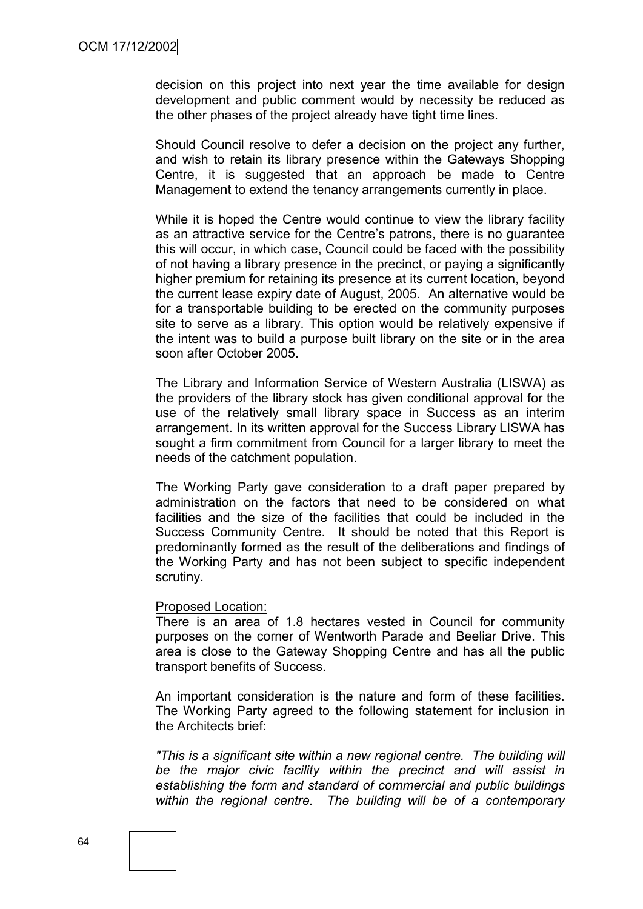decision on this project into next year the time available for design development and public comment would by necessity be reduced as the other phases of the project already have tight time lines.

Should Council resolve to defer a decision on the project any further, and wish to retain its library presence within the Gateways Shopping Centre, it is suggested that an approach be made to Centre Management to extend the tenancy arrangements currently in place.

While it is hoped the Centre would continue to view the library facility as an attractive service for the Centre"s patrons, there is no guarantee this will occur, in which case, Council could be faced with the possibility of not having a library presence in the precinct, or paying a significantly higher premium for retaining its presence at its current location, beyond the current lease expiry date of August, 2005. An alternative would be for a transportable building to be erected on the community purposes site to serve as a library. This option would be relatively expensive if the intent was to build a purpose built library on the site or in the area soon after October 2005.

The Library and Information Service of Western Australia (LISWA) as the providers of the library stock has given conditional approval for the use of the relatively small library space in Success as an interim arrangement. In its written approval for the Success Library LISWA has sought a firm commitment from Council for a larger library to meet the needs of the catchment population.

The Working Party gave consideration to a draft paper prepared by administration on the factors that need to be considered on what facilities and the size of the facilities that could be included in the Success Community Centre. It should be noted that this Report is predominantly formed as the result of the deliberations and findings of the Working Party and has not been subject to specific independent scrutiny.

#### Proposed Location:

There is an area of 1.8 hectares vested in Council for community purposes on the corner of Wentworth Parade and Beeliar Drive. This area is close to the Gateway Shopping Centre and has all the public transport benefits of Success.

An important consideration is the nature and form of these facilities. The Working Party agreed to the following statement for inclusion in the Architects brief:

*"This is a significant site within a new regional centre. The building will be the major civic facility within the precinct and will assist in establishing the form and standard of commercial and public buildings within the regional centre. The building will be of a contemporary*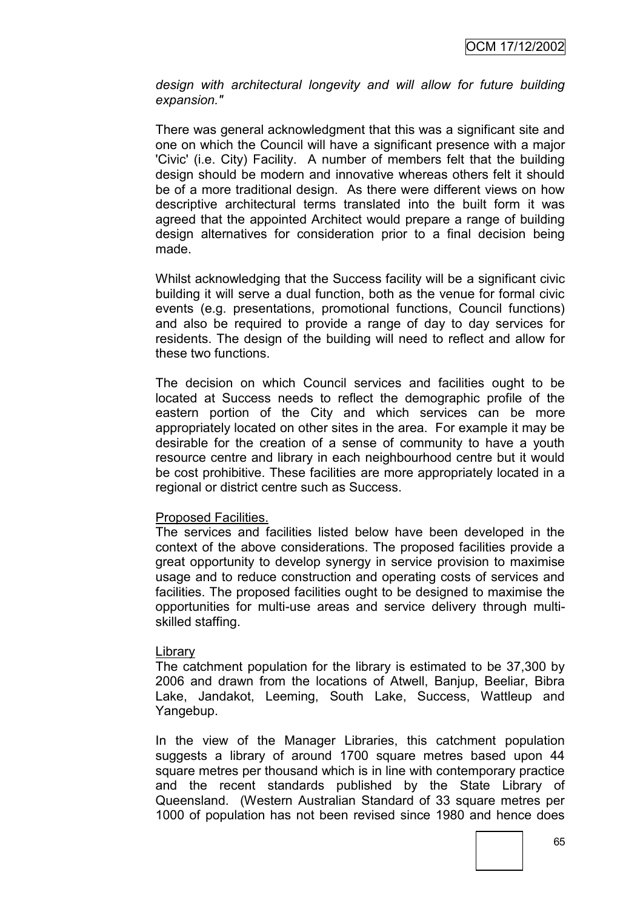*design with architectural longevity and will allow for future building expansion."*

There was general acknowledgment that this was a significant site and one on which the Council will have a significant presence with a major 'Civic' (i.e. City) Facility. A number of members felt that the building design should be modern and innovative whereas others felt it should be of a more traditional design. As there were different views on how descriptive architectural terms translated into the built form it was agreed that the appointed Architect would prepare a range of building design alternatives for consideration prior to a final decision being made.

Whilst acknowledging that the Success facility will be a significant civic building it will serve a dual function, both as the venue for formal civic events (e.g. presentations, promotional functions, Council functions) and also be required to provide a range of day to day services for residents. The design of the building will need to reflect and allow for these two functions.

The decision on which Council services and facilities ought to be located at Success needs to reflect the demographic profile of the eastern portion of the City and which services can be more appropriately located on other sites in the area. For example it may be desirable for the creation of a sense of community to have a youth resource centre and library in each neighbourhood centre but it would be cost prohibitive. These facilities are more appropriately located in a regional or district centre such as Success.

#### Proposed Facilities.

The services and facilities listed below have been developed in the context of the above considerations. The proposed facilities provide a great opportunity to develop synergy in service provision to maximise usage and to reduce construction and operating costs of services and facilities. The proposed facilities ought to be designed to maximise the opportunities for multi-use areas and service delivery through multiskilled staffing.

## Library

The catchment population for the library is estimated to be 37,300 by 2006 and drawn from the locations of Atwell, Banjup, Beeliar, Bibra Lake, Jandakot, Leeming, South Lake, Success, Wattleup and Yangebup.

In the view of the Manager Libraries, this catchment population suggests a library of around 1700 square metres based upon 44 square metres per thousand which is in line with contemporary practice and the recent standards published by the State Library of Queensland. (Western Australian Standard of 33 square metres per 1000 of population has not been revised since 1980 and hence does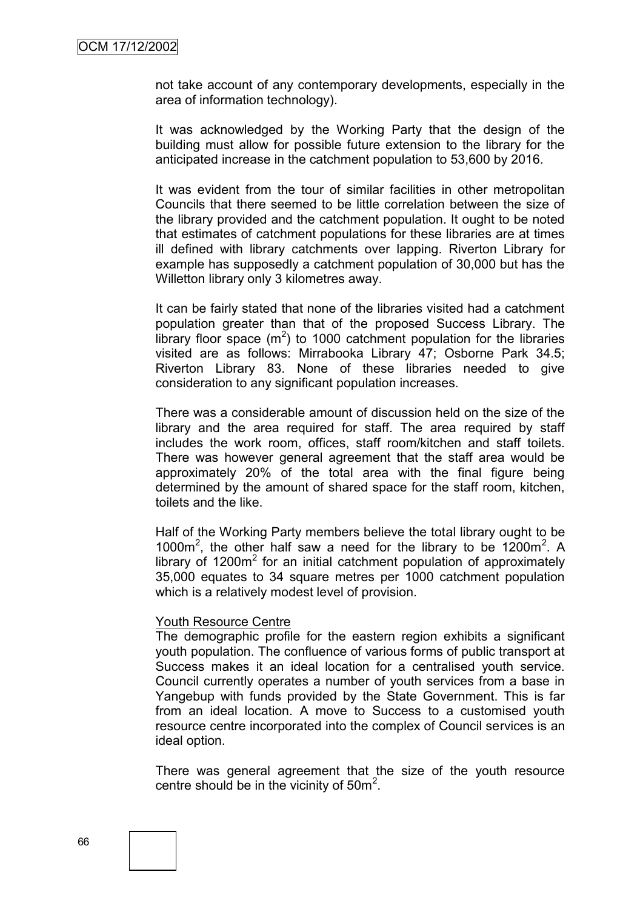not take account of any contemporary developments, especially in the area of information technology).

It was acknowledged by the Working Party that the design of the building must allow for possible future extension to the library for the anticipated increase in the catchment population to 53,600 by 2016.

It was evident from the tour of similar facilities in other metropolitan Councils that there seemed to be little correlation between the size of the library provided and the catchment population. It ought to be noted that estimates of catchment populations for these libraries are at times ill defined with library catchments over lapping. Riverton Library for example has supposedly a catchment population of 30,000 but has the Willetton library only 3 kilometres away.

It can be fairly stated that none of the libraries visited had a catchment population greater than that of the proposed Success Library. The library floor space  $(m^2)$  to 1000 catchment population for the libraries visited are as follows: Mirrabooka Library 47; Osborne Park 34.5; Riverton Library 83. None of these libraries needed to give consideration to any significant population increases.

There was a considerable amount of discussion held on the size of the library and the area required for staff. The area required by staff includes the work room, offices, staff room/kitchen and staff toilets. There was however general agreement that the staff area would be approximately 20% of the total area with the final figure being determined by the amount of shared space for the staff room, kitchen, toilets and the like.

Half of the Working Party members believe the total library ought to be 1000 $m^2$ , the other half saw a need for the library to be 1200 $m^2$ . A library of 1200 $m<sup>2</sup>$  for an initial catchment population of approximately 35,000 equates to 34 square metres per 1000 catchment population which is a relatively modest level of provision.

#### Youth Resource Centre

The demographic profile for the eastern region exhibits a significant youth population. The confluence of various forms of public transport at Success makes it an ideal location for a centralised youth service. Council currently operates a number of youth services from a base in Yangebup with funds provided by the State Government. This is far from an ideal location. A move to Success to a customised youth resource centre incorporated into the complex of Council services is an ideal option.

There was general agreement that the size of the youth resource centre should be in the vicinity of  $50m^2$ .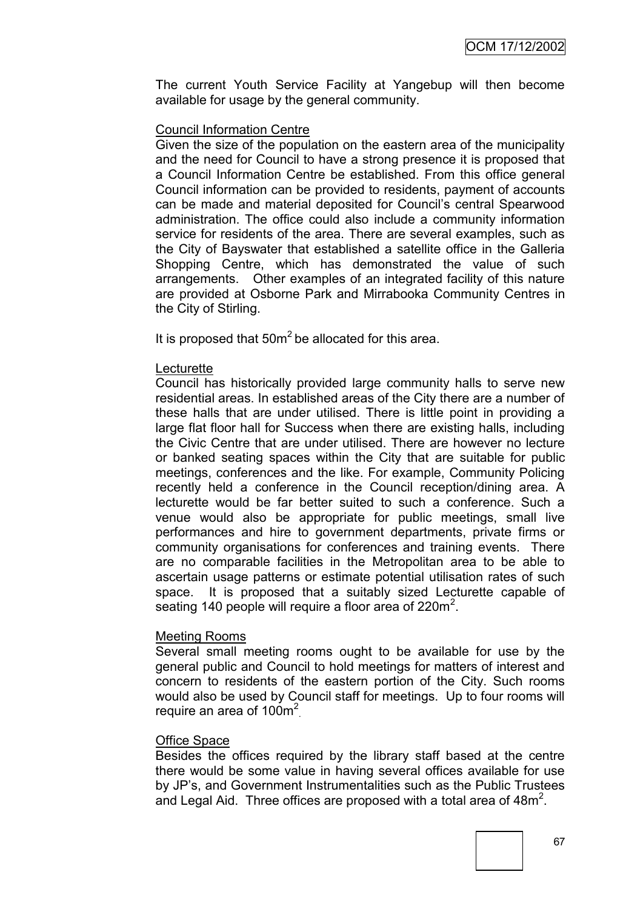The current Youth Service Facility at Yangebup will then become available for usage by the general community.

#### Council Information Centre

Given the size of the population on the eastern area of the municipality and the need for Council to have a strong presence it is proposed that a Council Information Centre be established. From this office general Council information can be provided to residents, payment of accounts can be made and material deposited for Council"s central Spearwood administration. The office could also include a community information service for residents of the area. There are several examples, such as the City of Bayswater that established a satellite office in the Galleria Shopping Centre, which has demonstrated the value of such arrangements. Other examples of an integrated facility of this nature are provided at Osborne Park and Mirrabooka Community Centres in the City of Stirling.

It is proposed that  $50m^2$  be allocated for this area.

#### **Lecturette**

Council has historically provided large community halls to serve new residential areas. In established areas of the City there are a number of these halls that are under utilised. There is little point in providing a large flat floor hall for Success when there are existing halls, including the Civic Centre that are under utilised. There are however no lecture or banked seating spaces within the City that are suitable for public meetings, conferences and the like. For example, Community Policing recently held a conference in the Council reception/dining area. A lecturette would be far better suited to such a conference. Such a venue would also be appropriate for public meetings, small live performances and hire to government departments, private firms or community organisations for conferences and training events. There are no comparable facilities in the Metropolitan area to be able to ascertain usage patterns or estimate potential utilisation rates of such space. It is proposed that a suitably sized Lecturette capable of seating 140 people will require a floor area of 220 $m^2$ .

#### Meeting Rooms

Several small meeting rooms ought to be available for use by the general public and Council to hold meetings for matters of interest and concern to residents of the eastern portion of the City. Such rooms would also be used by Council staff for meetings. Up to four rooms will require an area of  $100m^2$ 

#### Office Space

Besides the offices required by the library staff based at the centre there would be some value in having several offices available for use by JP"s, and Government Instrumentalities such as the Public Trustees and Legal Aid. Three offices are proposed with a total area of  $48m^2$ .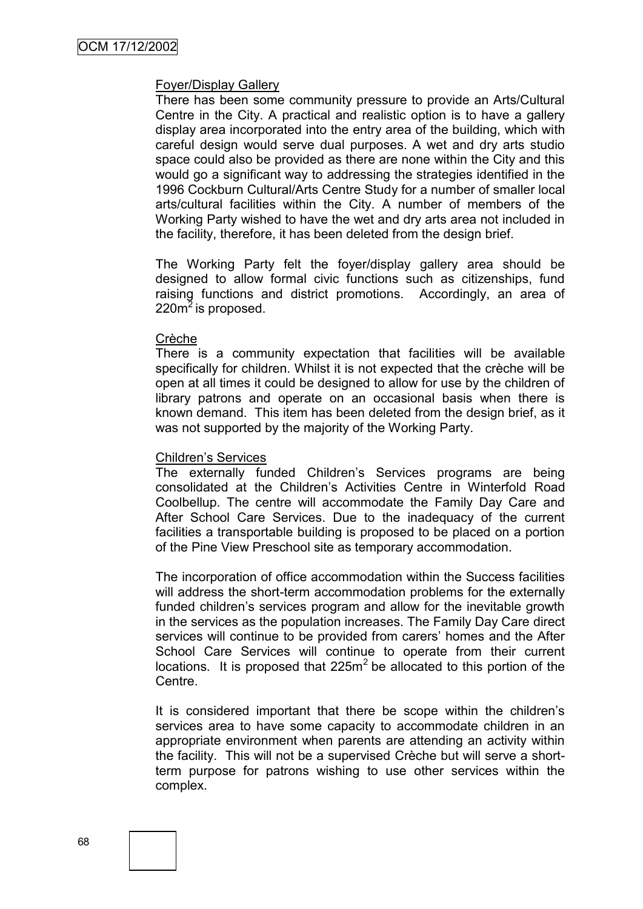#### Foyer/Display Gallery

There has been some community pressure to provide an Arts/Cultural Centre in the City. A practical and realistic option is to have a gallery display area incorporated into the entry area of the building, which with careful design would serve dual purposes. A wet and dry arts studio space could also be provided as there are none within the City and this would go a significant way to addressing the strategies identified in the 1996 Cockburn Cultural/Arts Centre Study for a number of smaller local arts/cultural facilities within the City. A number of members of the Working Party wished to have the wet and dry arts area not included in the facility, therefore, it has been deleted from the design brief.

The Working Party felt the foyer/display gallery area should be designed to allow formal civic functions such as citizenships, fund raising functions and district promotions. Accordingly, an area of  $220m^2$  is proposed.

#### Crèche

There is a community expectation that facilities will be available specifically for children. Whilst it is not expected that the crèche will be open at all times it could be designed to allow for use by the children of library patrons and operate on an occasional basis when there is known demand. This item has been deleted from the design brief, as it was not supported by the majority of the Working Party.

#### Children"s Services

The externally funded Children"s Services programs are being consolidated at the Children"s Activities Centre in Winterfold Road Coolbellup. The centre will accommodate the Family Day Care and After School Care Services. Due to the inadequacy of the current facilities a transportable building is proposed to be placed on a portion of the Pine View Preschool site as temporary accommodation.

The incorporation of office accommodation within the Success facilities will address the short-term accommodation problems for the externally funded children's services program and allow for the inevitable growth in the services as the population increases. The Family Day Care direct services will continue to be provided from carers' homes and the After School Care Services will continue to operate from their current locations. It is proposed that  $225m^2$  be allocated to this portion of the Centre.

It is considered important that there be scope within the children's services area to have some capacity to accommodate children in an appropriate environment when parents are attending an activity within the facility. This will not be a supervised Crèche but will serve a shortterm purpose for patrons wishing to use other services within the complex.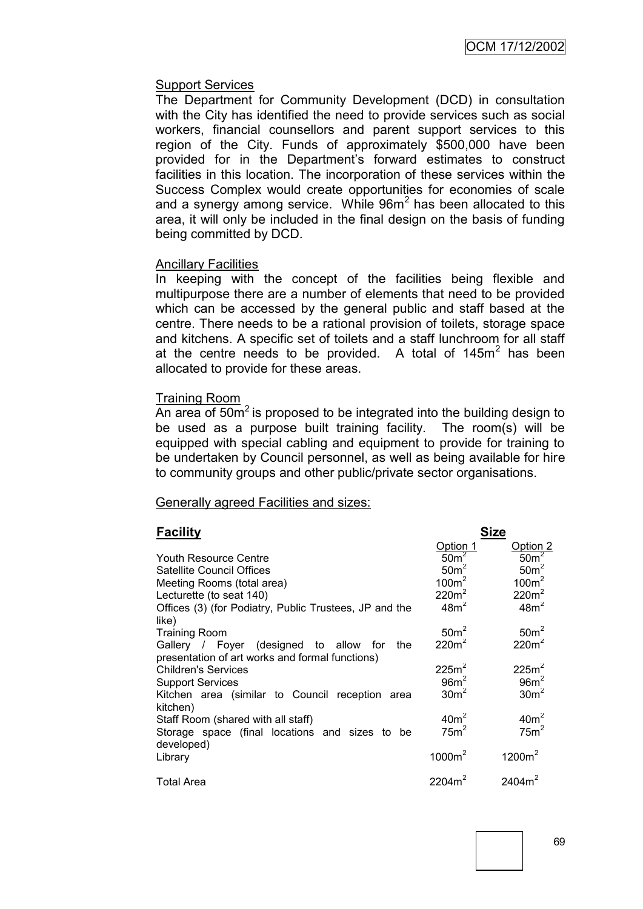## Support Services

The Department for Community Development (DCD) in consultation with the City has identified the need to provide services such as social workers, financial counsellors and parent support services to this region of the City. Funds of approximately \$500,000 have been provided for in the Department"s forward estimates to construct facilities in this location. The incorporation of these services within the Success Complex would create opportunities for economies of scale and a synergy among service. While  $96m<sup>2</sup>$  has been allocated to this area, it will only be included in the final design on the basis of funding being committed by DCD.

#### **Ancillary Facilities**

In keeping with the concept of the facilities being flexible and multipurpose there are a number of elements that need to be provided which can be accessed by the general public and staff based at the centre. There needs to be a rational provision of toilets, storage space and kitchens. A specific set of toilets and a staff lunchroom for all staff at the centre needs to be provided. A total of  $145m<sup>2</sup>$  has been allocated to provide for these areas.

#### Training Room

An area of  $50<sup>m²</sup>$  is proposed to be integrated into the building design to be used as a purpose built training facility. The room(s) will be equipped with special cabling and equipment to provide for training to be undertaken by Council personnel, as well as being available for hire to community groups and other public/private sector organisations.

#### Generally agreed Facilities and sizes:

#### **Facility Size** Option 1 Option 2 Youth Resource Centre 60m<sup>2</sup>  $50<sup>2</sup>$ Satellite Council Offices 50m<sup>2</sup><br>Meeting Rooms (total area) 50m<sup>2</sup> 100m<sup>2</sup>  $50m<sup>2</sup>$ Meeting Rooms (total area) 100m<sup>2</sup><br>Lecturette (to seat 140) 220m<sup>2</sup>  $100m<sup>2</sup>$ Lecturette (to seat 140)  $220m<sup>2</sup>$ Offices (3) (for Podiatry, Public Trustees, JP and the like)  $48m<sup>2</sup>$  $48m<sup>2</sup>$ Training Room  $50m^2$  $50<sup>2</sup>$ Gallery / Foyer (designed to allow for the presentation of art works and formal functions)  $220m<sup>2</sup>$  $220m<sup>2</sup>$ Children's Services 225m<sup>2</sup>  $225m<sup>2</sup>$ Support Services 96m<sup>2</sup>  $96m<sup>2</sup>$ Kitchen area (similar to Council reception area kitchen)  $30m<sup>2</sup>$  $30m<sup>2</sup>$ Staff Room (shared with all staff)  $40m^2$  $40m<sup>2</sup>$ Storage space (final locations and sizes to be developed)  $75m<sup>2</sup>$ 75m<sup>2</sup> Library 1000m<sup>2</sup>  $1200m<sup>2</sup>$ Total Area 2204m<sup>2</sup>  $2404m<sup>2</sup>$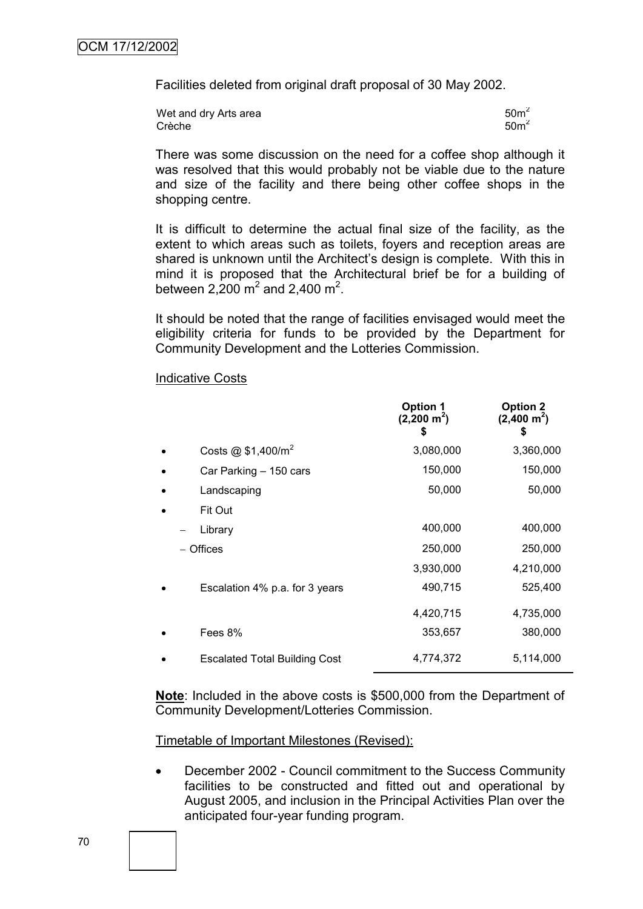Facilities deleted from original draft proposal of 30 May 2002.

| Wet and dry Arts area | 50 <sup>2</sup>  |
|-----------------------|------------------|
| Crèche                | 50 <sup>m²</sup> |

There was some discussion on the need for a coffee shop although it was resolved that this would probably not be viable due to the nature and size of the facility and there being other coffee shops in the shopping centre.

It is difficult to determine the actual final size of the facility, as the extent to which areas such as toilets, foyers and reception areas are shared is unknown until the Architect's design is complete. With this in mind it is proposed that the Architectural brief be for a building of between 2,200  $m^2$  and 2,400  $m^2$ .

It should be noted that the range of facilities envisaged would meet the eligibility criteria for funds to be provided by the Department for Community Development and the Lotteries Commission.

#### Indicative Costs

|           |                                      | Option 1<br>$(2,200 \text{ m}^2)$<br>\$ | <b>Option 2</b><br>$(2,400 \text{ m}^2)$<br>\$ |
|-----------|--------------------------------------|-----------------------------------------|------------------------------------------------|
|           | Costs @ $$1,400/m^2$                 | 3,080,000                               | 3,360,000                                      |
|           | Car Parking - 150 cars               | 150,000                                 | 150,000                                        |
|           | Landscaping                          | 50,000                                  | 50,000                                         |
|           | Fit Out                              |                                         |                                                |
|           | Library                              | 400,000                                 | 400,000                                        |
| – Offices |                                      | 250,000                                 | 250,000                                        |
|           |                                      | 3,930,000                               | 4,210,000                                      |
|           | Escalation 4% p.a. for 3 years       | 490,715                                 | 525,400                                        |
|           |                                      | 4,420,715                               | 4,735,000                                      |
|           | Fees 8%                              | 353,657                                 | 380,000                                        |
|           | <b>Escalated Total Building Cost</b> | 4,774,372                               | 5,114,000                                      |

**Note**: Included in the above costs is \$500,000 from the Department of Community Development/Lotteries Commission.

#### Timetable of Important Milestones (Revised):

 December 2002 - Council commitment to the Success Community facilities to be constructed and fitted out and operational by August 2005, and inclusion in the Principal Activities Plan over the anticipated four-year funding program.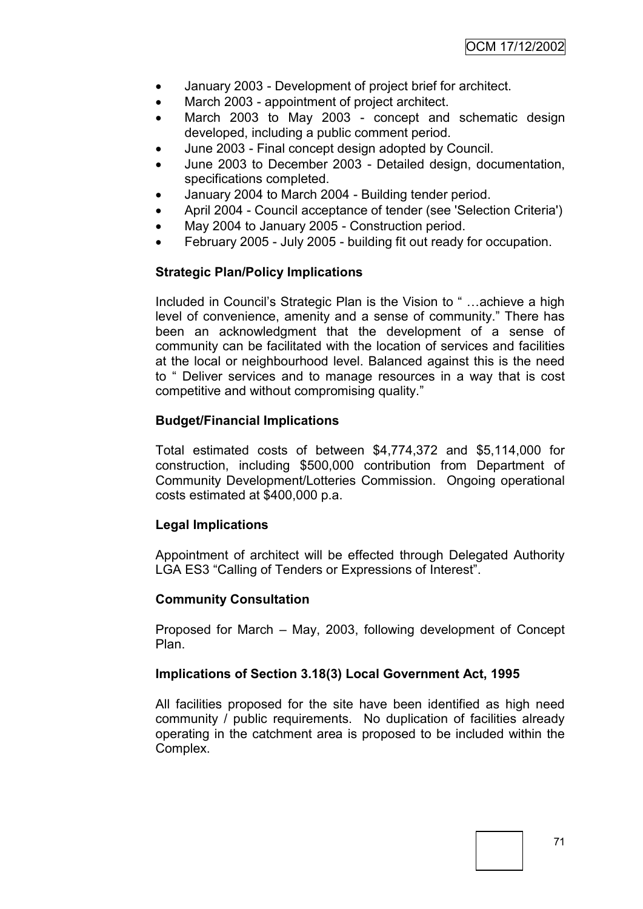- January 2003 Development of project brief for architect.
- March 2003 appointment of project architect.
- March 2003 to May 2003 concept and schematic design developed, including a public comment period.
- June 2003 Final concept design adopted by Council.
- June 2003 to December 2003 Detailed design, documentation, specifications completed.
- January 2004 to March 2004 Building tender period.
- April 2004 Council acceptance of tender (see 'Selection Criteria')
- May 2004 to January 2005 Construction period.
- February 2005 July 2005 building fit out ready for occupation.

## **Strategic Plan/Policy Implications**

Included in Council"s Strategic Plan is the Vision to " …achieve a high level of convenience, amenity and a sense of community." There has been an acknowledgment that the development of a sense of community can be facilitated with the location of services and facilities at the local or neighbourhood level. Balanced against this is the need to " Deliver services and to manage resources in a way that is cost competitive and without compromising quality."

## **Budget/Financial Implications**

Total estimated costs of between \$4,774,372 and \$5,114,000 for construction, including \$500,000 contribution from Department of Community Development/Lotteries Commission. Ongoing operational costs estimated at \$400,000 p.a.

## **Legal Implications**

Appointment of architect will be effected through Delegated Authority LGA ES3 "Calling of Tenders or Expressions of Interest".

## **Community Consultation**

Proposed for March – May, 2003, following development of Concept Plan.

## **Implications of Section 3.18(3) Local Government Act, 1995**

All facilities proposed for the site have been identified as high need community / public requirements. No duplication of facilities already operating in the catchment area is proposed to be included within the Complex.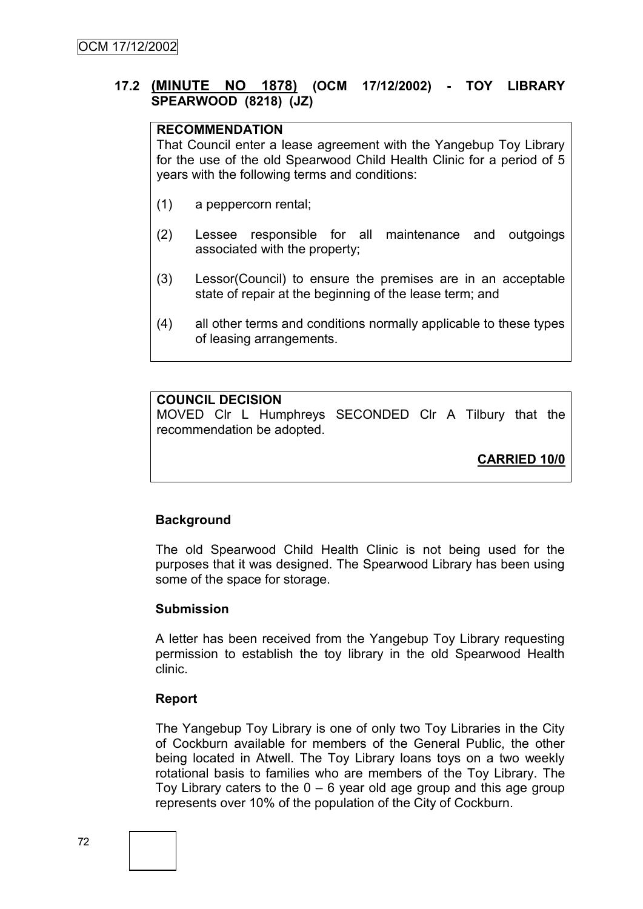# **17.2 (MINUTE NO 1878) (OCM 17/12/2002) - TOY LIBRARY SPEARWOOD (8218) (JZ)**

## **RECOMMENDATION**

That Council enter a lease agreement with the Yangebup Toy Library for the use of the old Spearwood Child Health Clinic for a period of 5 years with the following terms and conditions:

- (1) a peppercorn rental;
- (2) Lessee responsible for all maintenance and outgoings associated with the property;
- (3) Lessor(Council) to ensure the premises are in an acceptable state of repair at the beginning of the lease term; and
- (4) all other terms and conditions normally applicable to these types of leasing arrangements.

#### **COUNCIL DECISION**

MOVED Clr L Humphreys SECONDED Clr A Tilbury that the recommendation be adopted.

# **CARRIED 10/0**

#### **Background**

The old Spearwood Child Health Clinic is not being used for the purposes that it was designed. The Spearwood Library has been using some of the space for storage.

#### **Submission**

A letter has been received from the Yangebup Toy Library requesting permission to establish the toy library in the old Spearwood Health clinic.

#### **Report**

The Yangebup Toy Library is one of only two Toy Libraries in the City of Cockburn available for members of the General Public, the other being located in Atwell. The Toy Library loans toys on a two weekly rotational basis to families who are members of the Toy Library. The Toy Library caters to the  $0 - 6$  year old age group and this age group represents over 10% of the population of the City of Cockburn.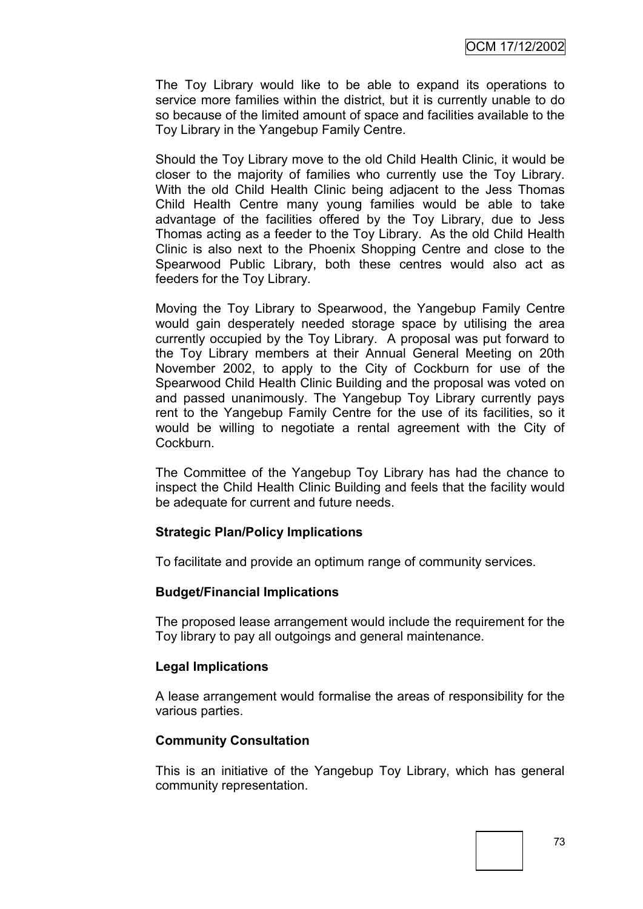The Toy Library would like to be able to expand its operations to service more families within the district, but it is currently unable to do so because of the limited amount of space and facilities available to the Toy Library in the Yangebup Family Centre.

Should the Toy Library move to the old Child Health Clinic, it would be closer to the majority of families who currently use the Toy Library. With the old Child Health Clinic being adjacent to the Jess Thomas Child Health Centre many young families would be able to take advantage of the facilities offered by the Toy Library, due to Jess Thomas acting as a feeder to the Toy Library. As the old Child Health Clinic is also next to the Phoenix Shopping Centre and close to the Spearwood Public Library, both these centres would also act as feeders for the Toy Library.

Moving the Toy Library to Spearwood, the Yangebup Family Centre would gain desperately needed storage space by utilising the area currently occupied by the Toy Library. A proposal was put forward to the Toy Library members at their Annual General Meeting on 20th November 2002, to apply to the City of Cockburn for use of the Spearwood Child Health Clinic Building and the proposal was voted on and passed unanimously. The Yangebup Toy Library currently pays rent to the Yangebup Family Centre for the use of its facilities, so it would be willing to negotiate a rental agreement with the City of Cockburn.

The Committee of the Yangebup Toy Library has had the chance to inspect the Child Health Clinic Building and feels that the facility would be adequate for current and future needs.

#### **Strategic Plan/Policy Implications**

To facilitate and provide an optimum range of community services.

#### **Budget/Financial Implications**

The proposed lease arrangement would include the requirement for the Toy library to pay all outgoings and general maintenance.

#### **Legal Implications**

A lease arrangement would formalise the areas of responsibility for the various parties.

#### **Community Consultation**

This is an initiative of the Yangebup Toy Library, which has general community representation.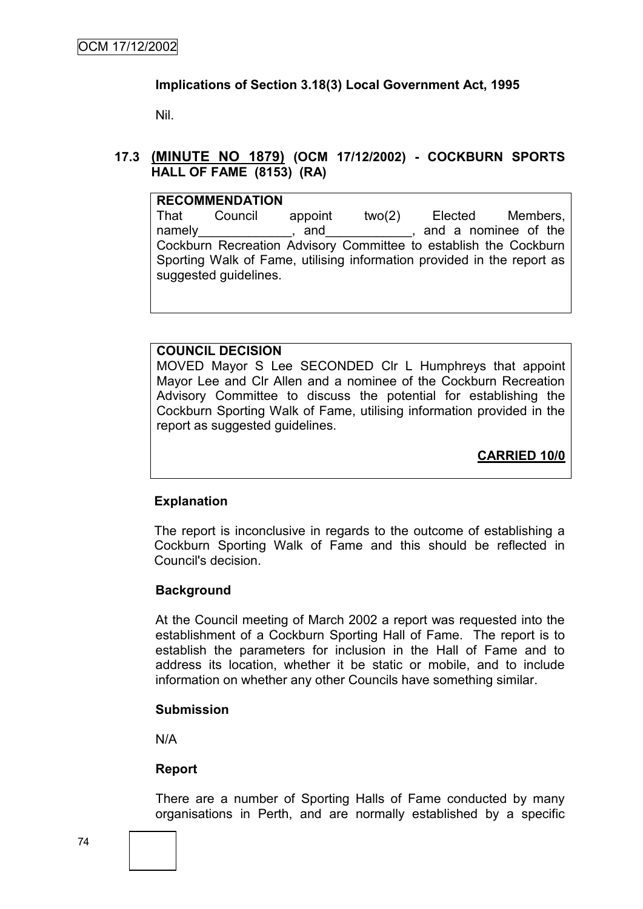## **Implications of Section 3.18(3) Local Government Act, 1995**

Nil.

## **17.3 (MINUTE NO 1879) (OCM 17/12/2002) - COCKBURN SPORTS HALL OF FAME (8153) (RA)**

| <b>RECOMMENDATION</b>                                                                           |                                                                                                                                                                                                                                |         |        |                  |                      |  |  |  |  |
|-------------------------------------------------------------------------------------------------|--------------------------------------------------------------------------------------------------------------------------------------------------------------------------------------------------------------------------------|---------|--------|------------------|----------------------|--|--|--|--|
| That                                                                                            | Council                                                                                                                                                                                                                        | appoint | two(2) | Elected Members, |                      |  |  |  |  |
|                                                                                                 | namely and and annual namely and and annual structure of the structure of the structure of the structure of the structure of the structure of the structure of the structure of the structure of the structure of the structur |         |        |                  | and a nominee of the |  |  |  |  |
| Cockburn Recreation Advisory Committee to establish the Cockburn                                |                                                                                                                                                                                                                                |         |        |                  |                      |  |  |  |  |
| Sporting Walk of Fame, utilising information provided in the report as<br>suggested guidelines. |                                                                                                                                                                                                                                |         |        |                  |                      |  |  |  |  |

## **COUNCIL DECISION**

MOVED Mayor S Lee SECONDED Clr L Humphreys that appoint Mayor Lee and Clr Allen and a nominee of the Cockburn Recreation Advisory Committee to discuss the potential for establishing the Cockburn Sporting Walk of Fame, utilising information provided in the report as suggested guidelines.

**CARRIED 10/0**

## **Explanation**

The report is inconclusive in regards to the outcome of establishing a Cockburn Sporting Walk of Fame and this should be reflected in Council's decision.

## **Background**

At the Council meeting of March 2002 a report was requested into the establishment of a Cockburn Sporting Hall of Fame. The report is to establish the parameters for inclusion in the Hall of Fame and to address its location, whether it be static or mobile, and to include information on whether any other Councils have something similar.

#### **Submission**

N/A

## **Report**

There are a number of Sporting Halls of Fame conducted by many organisations in Perth, and are normally established by a specific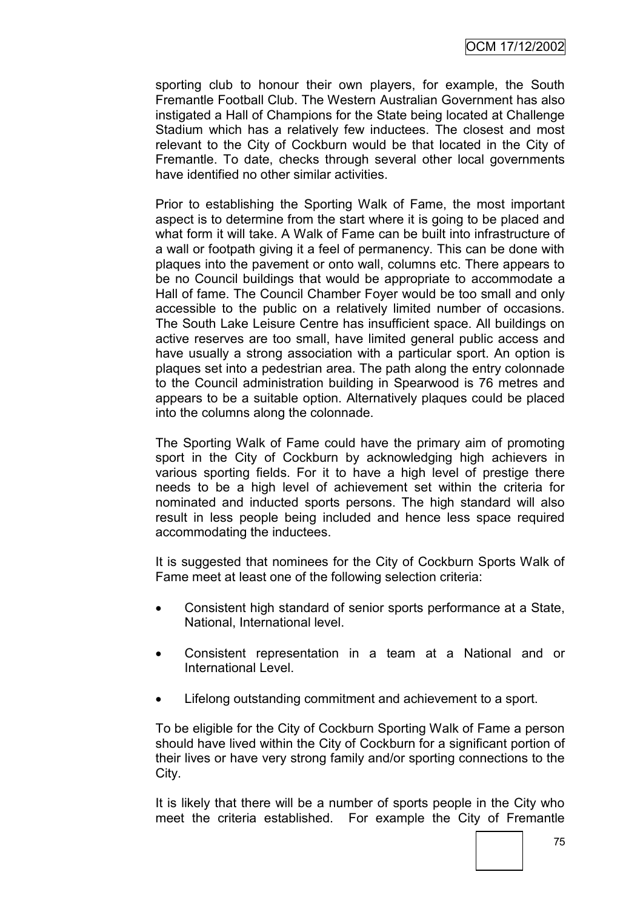sporting club to honour their own players, for example, the South Fremantle Football Club. The Western Australian Government has also instigated a Hall of Champions for the State being located at Challenge Stadium which has a relatively few inductees. The closest and most relevant to the City of Cockburn would be that located in the City of Fremantle. To date, checks through several other local governments have identified no other similar activities.

Prior to establishing the Sporting Walk of Fame, the most important aspect is to determine from the start where it is going to be placed and what form it will take. A Walk of Fame can be built into infrastructure of a wall or footpath giving it a feel of permanency. This can be done with plaques into the pavement or onto wall, columns etc. There appears to be no Council buildings that would be appropriate to accommodate a Hall of fame. The Council Chamber Foyer would be too small and only accessible to the public on a relatively limited number of occasions. The South Lake Leisure Centre has insufficient space. All buildings on active reserves are too small, have limited general public access and have usually a strong association with a particular sport. An option is plaques set into a pedestrian area. The path along the entry colonnade to the Council administration building in Spearwood is 76 metres and appears to be a suitable option. Alternatively plaques could be placed into the columns along the colonnade.

The Sporting Walk of Fame could have the primary aim of promoting sport in the City of Cockburn by acknowledging high achievers in various sporting fields. For it to have a high level of prestige there needs to be a high level of achievement set within the criteria for nominated and inducted sports persons. The high standard will also result in less people being included and hence less space required accommodating the inductees.

It is suggested that nominees for the City of Cockburn Sports Walk of Fame meet at least one of the following selection criteria:

- Consistent high standard of senior sports performance at a State, National, International level.
- Consistent representation in a team at a National and or International Level.
- Lifelong outstanding commitment and achievement to a sport.

To be eligible for the City of Cockburn Sporting Walk of Fame a person should have lived within the City of Cockburn for a significant portion of their lives or have very strong family and/or sporting connections to the City.

It is likely that there will be a number of sports people in the City who meet the criteria established. For example the City of Fremantle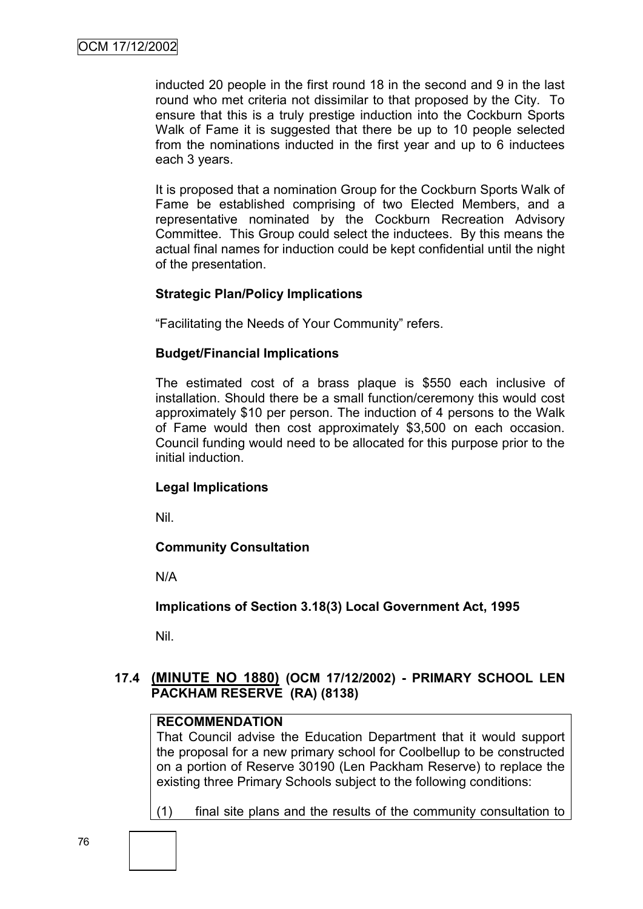inducted 20 people in the first round 18 in the second and 9 in the last round who met criteria not dissimilar to that proposed by the City. To ensure that this is a truly prestige induction into the Cockburn Sports Walk of Fame it is suggested that there be up to 10 people selected from the nominations inducted in the first year and up to 6 inductees each 3 years.

It is proposed that a nomination Group for the Cockburn Sports Walk of Fame be established comprising of two Elected Members, and a representative nominated by the Cockburn Recreation Advisory Committee. This Group could select the inductees. By this means the actual final names for induction could be kept confidential until the night of the presentation.

## **Strategic Plan/Policy Implications**

"Facilitating the Needs of Your Community" refers.

## **Budget/Financial Implications**

The estimated cost of a brass plaque is \$550 each inclusive of installation. Should there be a small function/ceremony this would cost approximately \$10 per person. The induction of 4 persons to the Walk of Fame would then cost approximately \$3,500 on each occasion. Council funding would need to be allocated for this purpose prior to the initial induction.

# **Legal Implications**

Nil.

## **Community Consultation**

N/A

## **Implications of Section 3.18(3) Local Government Act, 1995**

Nil.

## **17.4 (MINUTE NO 1880) (OCM 17/12/2002) - PRIMARY SCHOOL LEN PACKHAM RESERVE (RA) (8138)**

## **RECOMMENDATION**

That Council advise the Education Department that it would support the proposal for a new primary school for Coolbellup to be constructed on a portion of Reserve 30190 (Len Packham Reserve) to replace the existing three Primary Schools subject to the following conditions:

(1) final site plans and the results of the community consultation to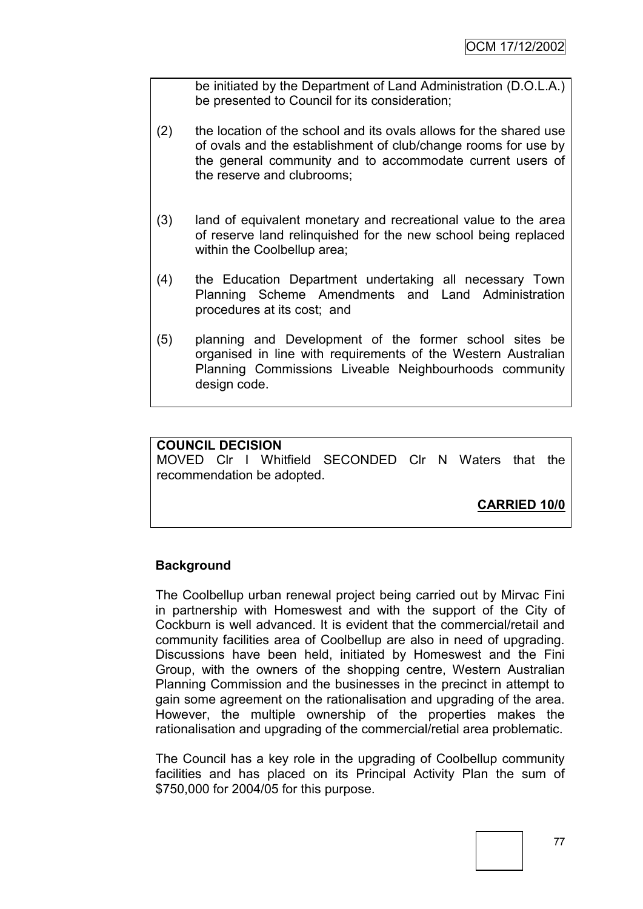be initiated by the Department of Land Administration (D.O.L.A.) be presented to Council for its consideration;

- (2) the location of the school and its ovals allows for the shared use of ovals and the establishment of club/change rooms for use by the general community and to accommodate current users of the reserve and clubrooms;
- (3) land of equivalent monetary and recreational value to the area of reserve land relinquished for the new school being replaced within the Coolbellup area;
- (4) the Education Department undertaking all necessary Town Planning Scheme Amendments and Land Administration procedures at its cost; and
- (5) planning and Development of the former school sites be organised in line with requirements of the Western Australian Planning Commissions Liveable Neighbourhoods community design code.

## **COUNCIL DECISION**

MOVED Clr I Whitfield SECONDED Clr N Waters that the recommendation be adopted.

**CARRIED 10/0**

## **Background**

The Coolbellup urban renewal project being carried out by Mirvac Fini in partnership with Homeswest and with the support of the City of Cockburn is well advanced. It is evident that the commercial/retail and community facilities area of Coolbellup are also in need of upgrading. Discussions have been held, initiated by Homeswest and the Fini Group, with the owners of the shopping centre, Western Australian Planning Commission and the businesses in the precinct in attempt to gain some agreement on the rationalisation and upgrading of the area. However, the multiple ownership of the properties makes the rationalisation and upgrading of the commercial/retial area problematic.

The Council has a key role in the upgrading of Coolbellup community facilities and has placed on its Principal Activity Plan the sum of \$750,000 for 2004/05 for this purpose.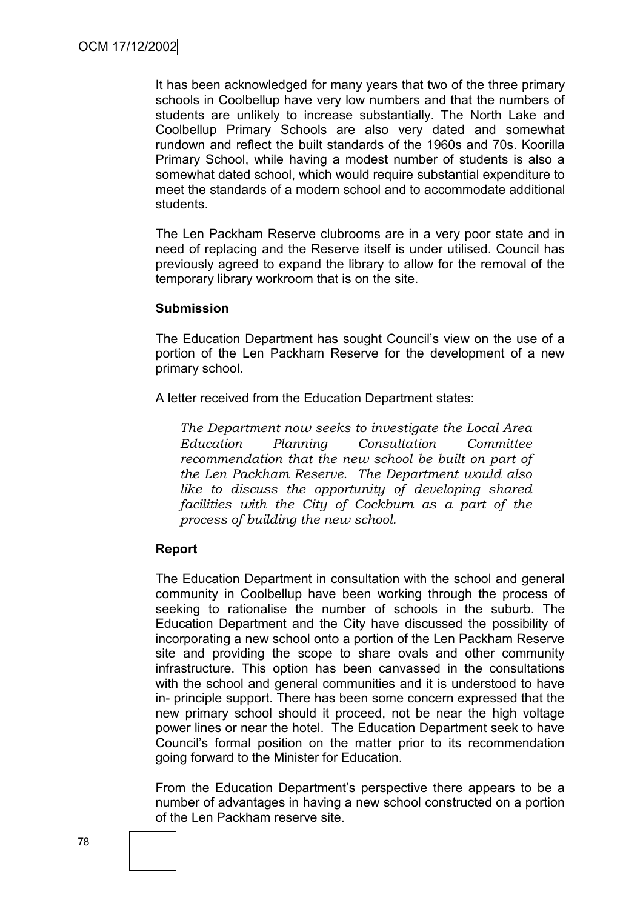It has been acknowledged for many years that two of the three primary schools in Coolbellup have very low numbers and that the numbers of students are unlikely to increase substantially. The North Lake and Coolbellup Primary Schools are also very dated and somewhat rundown and reflect the built standards of the 1960s and 70s. Koorilla Primary School, while having a modest number of students is also a somewhat dated school, which would require substantial expenditure to meet the standards of a modern school and to accommodate additional students.

The Len Packham Reserve clubrooms are in a very poor state and in need of replacing and the Reserve itself is under utilised. Council has previously agreed to expand the library to allow for the removal of the temporary library workroom that is on the site.

#### **Submission**

The Education Department has sought Council's view on the use of a portion of the Len Packham Reserve for the development of a new primary school.

A letter received from the Education Department states:

*The Department now seeks to investigate the Local Area Education Planning Consultation Committee recommendation that the new school be built on part of the Len Packham Reserve. The Department would also like to discuss the opportunity of developing shared facilities with the City of Cockburn as a part of the process of building the new school.*

## **Report**

The Education Department in consultation with the school and general community in Coolbellup have been working through the process of seeking to rationalise the number of schools in the suburb. The Education Department and the City have discussed the possibility of incorporating a new school onto a portion of the Len Packham Reserve site and providing the scope to share ovals and other community infrastructure. This option has been canvassed in the consultations with the school and general communities and it is understood to have in- principle support. There has been some concern expressed that the new primary school should it proceed, not be near the high voltage power lines or near the hotel. The Education Department seek to have Council"s formal position on the matter prior to its recommendation going forward to the Minister for Education.

From the Education Department's perspective there appears to be a number of advantages in having a new school constructed on a portion of the Len Packham reserve site.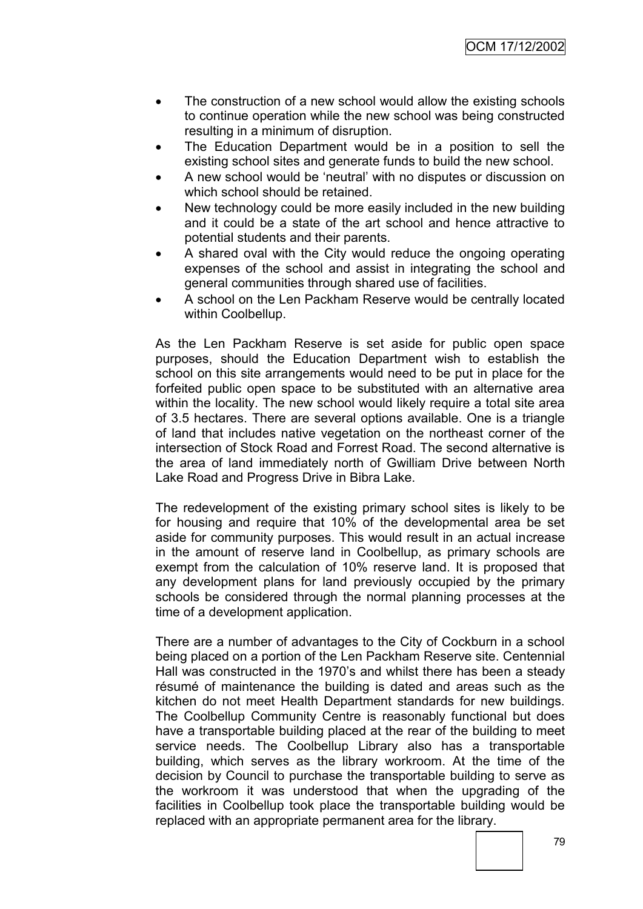OCM 17/12/2002

- The construction of a new school would allow the existing schools to continue operation while the new school was being constructed resulting in a minimum of disruption.
- The Education Department would be in a position to sell the existing school sites and generate funds to build the new school.
- A new school would be "neutral" with no disputes or discussion on which school should be retained.
- New technology could be more easily included in the new building and it could be a state of the art school and hence attractive to potential students and their parents.
- A shared oval with the City would reduce the ongoing operating expenses of the school and assist in integrating the school and general communities through shared use of facilities.
- A school on the Len Packham Reserve would be centrally located within Coolbellup.

As the Len Packham Reserve is set aside for public open space purposes, should the Education Department wish to establish the school on this site arrangements would need to be put in place for the forfeited public open space to be substituted with an alternative area within the locality. The new school would likely require a total site area of 3.5 hectares. There are several options available. One is a triangle of land that includes native vegetation on the northeast corner of the intersection of Stock Road and Forrest Road. The second alternative is the area of land immediately north of Gwilliam Drive between North Lake Road and Progress Drive in Bibra Lake.

The redevelopment of the existing primary school sites is likely to be for housing and require that 10% of the developmental area be set aside for community purposes. This would result in an actual increase in the amount of reserve land in Coolbellup, as primary schools are exempt from the calculation of 10% reserve land. It is proposed that any development plans for land previously occupied by the primary schools be considered through the normal planning processes at the time of a development application.

There are a number of advantages to the City of Cockburn in a school being placed on a portion of the Len Packham Reserve site. Centennial Hall was constructed in the 1970"s and whilst there has been a steady résumé of maintenance the building is dated and areas such as the kitchen do not meet Health Department standards for new buildings. The Coolbellup Community Centre is reasonably functional but does have a transportable building placed at the rear of the building to meet service needs. The Coolbellup Library also has a transportable building, which serves as the library workroom. At the time of the decision by Council to purchase the transportable building to serve as the workroom it was understood that when the upgrading of the facilities in Coolbellup took place the transportable building would be replaced with an appropriate permanent area for the library.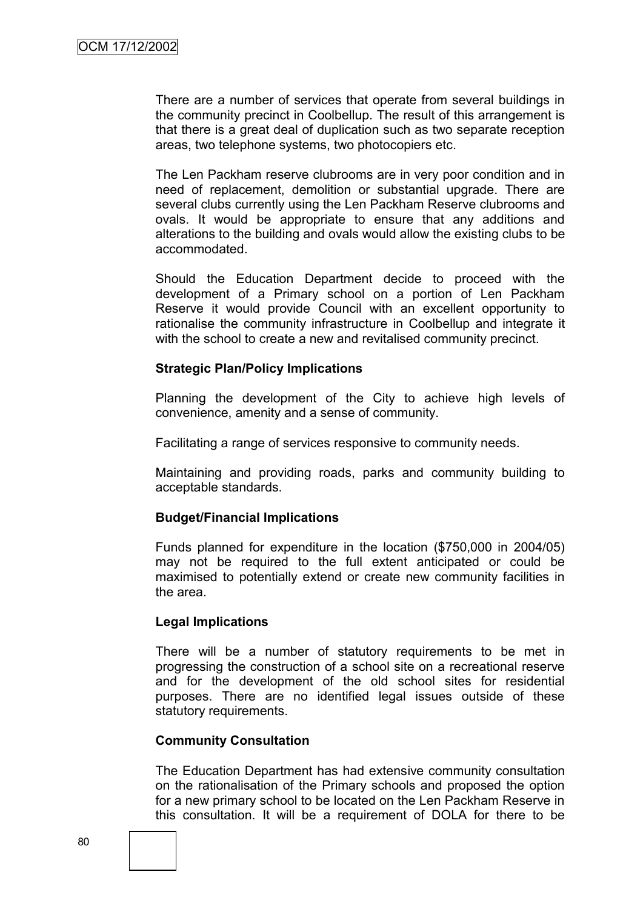There are a number of services that operate from several buildings in the community precinct in Coolbellup. The result of this arrangement is that there is a great deal of duplication such as two separate reception areas, two telephone systems, two photocopiers etc.

The Len Packham reserve clubrooms are in very poor condition and in need of replacement, demolition or substantial upgrade. There are several clubs currently using the Len Packham Reserve clubrooms and ovals. It would be appropriate to ensure that any additions and alterations to the building and ovals would allow the existing clubs to be accommodated.

Should the Education Department decide to proceed with the development of a Primary school on a portion of Len Packham Reserve it would provide Council with an excellent opportunity to rationalise the community infrastructure in Coolbellup and integrate it with the school to create a new and revitalised community precinct.

## **Strategic Plan/Policy Implications**

Planning the development of the City to achieve high levels of convenience, amenity and a sense of community.

Facilitating a range of services responsive to community needs.

Maintaining and providing roads, parks and community building to acceptable standards.

## **Budget/Financial Implications**

Funds planned for expenditure in the location (\$750,000 in 2004/05) may not be required to the full extent anticipated or could be maximised to potentially extend or create new community facilities in the area.

## **Legal Implications**

There will be a number of statutory requirements to be met in progressing the construction of a school site on a recreational reserve and for the development of the old school sites for residential purposes. There are no identified legal issues outside of these statutory requirements.

## **Community Consultation**

The Education Department has had extensive community consultation on the rationalisation of the Primary schools and proposed the option for a new primary school to be located on the Len Packham Reserve in this consultation. It will be a requirement of DOLA for there to be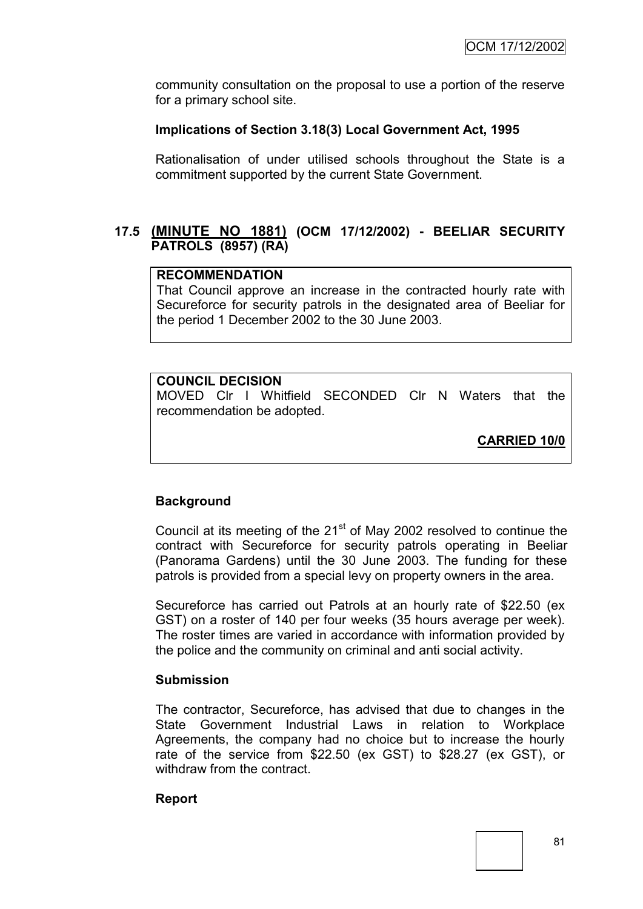community consultation on the proposal to use a portion of the reserve for a primary school site.

## **Implications of Section 3.18(3) Local Government Act, 1995**

Rationalisation of under utilised schools throughout the State is a commitment supported by the current State Government.

## **17.5 (MINUTE NO 1881) (OCM 17/12/2002) - BEELIAR SECURITY PATROLS (8957) (RA)**

#### **RECOMMENDATION**

That Council approve an increase in the contracted hourly rate with Secureforce for security patrols in the designated area of Beeliar for the period 1 December 2002 to the 30 June 2003.

#### **COUNCIL DECISION**

MOVED Clr I Whitfield SECONDED Clr N Waters that the recommendation be adopted.

**CARRIED 10/0**

#### **Background**

Council at its meeting of the  $21<sup>st</sup>$  of May 2002 resolved to continue the contract with Secureforce for security patrols operating in Beeliar (Panorama Gardens) until the 30 June 2003. The funding for these patrols is provided from a special levy on property owners in the area.

Secureforce has carried out Patrols at an hourly rate of \$22.50 (ex GST) on a roster of 140 per four weeks (35 hours average per week). The roster times are varied in accordance with information provided by the police and the community on criminal and anti social activity.

#### **Submission**

The contractor, Secureforce, has advised that due to changes in the State Government Industrial Laws in relation to Workplace Agreements, the company had no choice but to increase the hourly rate of the service from \$22.50 (ex GST) to \$28.27 (ex GST), or withdraw from the contract.

#### **Report**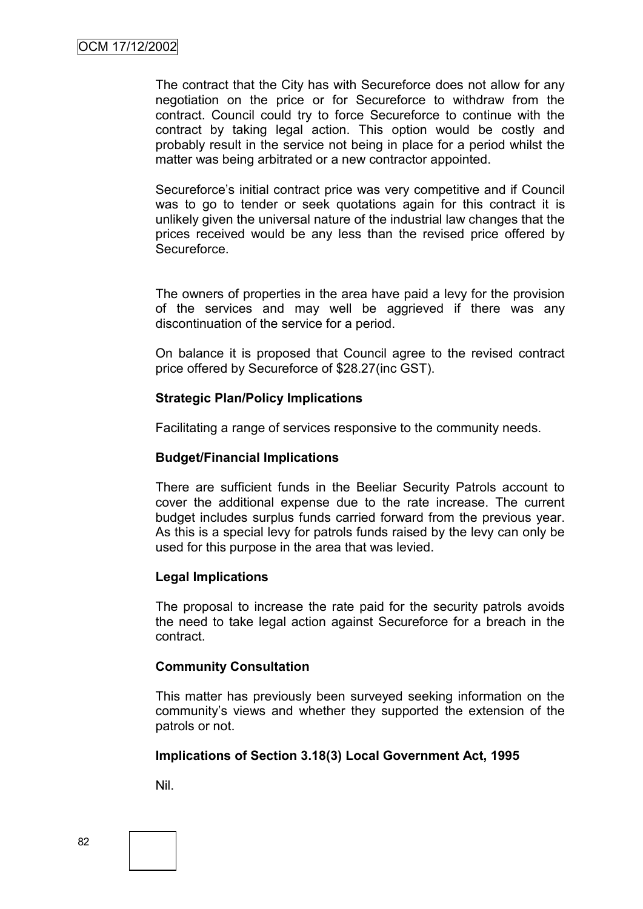The contract that the City has with Secureforce does not allow for any negotiation on the price or for Secureforce to withdraw from the contract. Council could try to force Secureforce to continue with the contract by taking legal action. This option would be costly and probably result in the service not being in place for a period whilst the matter was being arbitrated or a new contractor appointed.

Secureforce's initial contract price was very competitive and if Council was to go to tender or seek quotations again for this contract it is unlikely given the universal nature of the industrial law changes that the prices received would be any less than the revised price offered by **Secureforce** 

The owners of properties in the area have paid a levy for the provision of the services and may well be aggrieved if there was any discontinuation of the service for a period.

On balance it is proposed that Council agree to the revised contract price offered by Secureforce of \$28.27(inc GST).

#### **Strategic Plan/Policy Implications**

Facilitating a range of services responsive to the community needs.

#### **Budget/Financial Implications**

There are sufficient funds in the Beeliar Security Patrols account to cover the additional expense due to the rate increase. The current budget includes surplus funds carried forward from the previous year. As this is a special levy for patrols funds raised by the levy can only be used for this purpose in the area that was levied.

#### **Legal Implications**

The proposal to increase the rate paid for the security patrols avoids the need to take legal action against Secureforce for a breach in the contract.

#### **Community Consultation**

This matter has previously been surveyed seeking information on the community"s views and whether they supported the extension of the patrols or not.

#### **Implications of Section 3.18(3) Local Government Act, 1995**

Nil.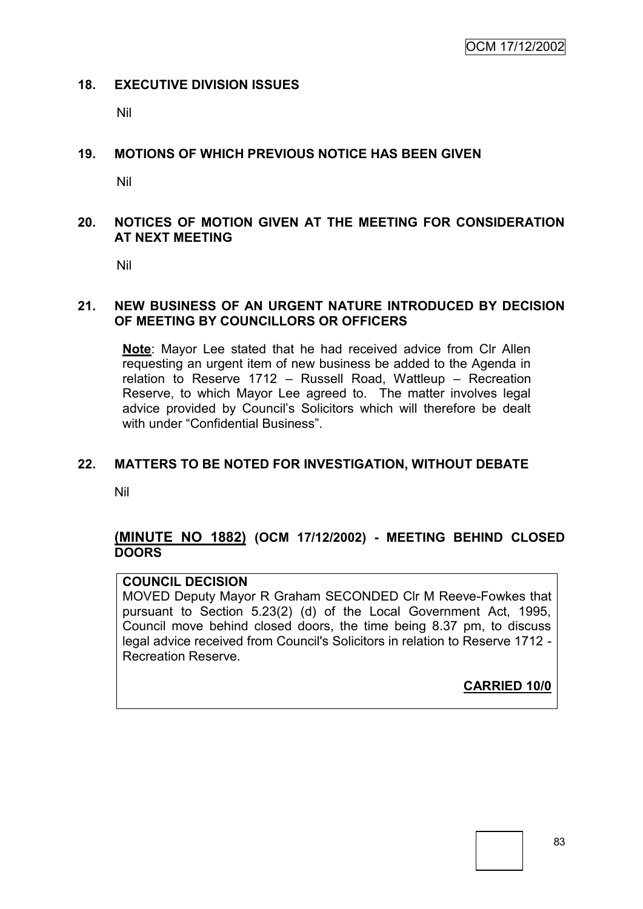## **18. EXECUTIVE DIVISION ISSUES**

Nil

## **19. MOTIONS OF WHICH PREVIOUS NOTICE HAS BEEN GIVEN**

Nil

## **20. NOTICES OF MOTION GIVEN AT THE MEETING FOR CONSIDERATION AT NEXT MEETING**

Nil

#### **21. NEW BUSINESS OF AN URGENT NATURE INTRODUCED BY DECISION OF MEETING BY COUNCILLORS OR OFFICERS**

**Note**: Mayor Lee stated that he had received advice from Clr Allen requesting an urgent item of new business be added to the Agenda in relation to Reserve 1712 – Russell Road, Wattleup – Recreation Reserve, to which Mayor Lee agreed to. The matter involves legal advice provided by Council"s Solicitors which will therefore be dealt with under "Confidential Business".

## **22. MATTERS TO BE NOTED FOR INVESTIGATION, WITHOUT DEBATE**

Nil

## **(MINUTE NO 1882) (OCM 17/12/2002) - MEETING BEHIND CLOSED DOORS**

## **COUNCIL DECISION**

MOVED Deputy Mayor R Graham SECONDED Clr M Reeve-Fowkes that pursuant to Section 5.23(2) (d) of the Local Government Act, 1995, Council move behind closed doors, the time being 8.37 pm, to discuss legal advice received from Council's Solicitors in relation to Reserve 1712 - Recreation Reserve.

**CARRIED 10/0**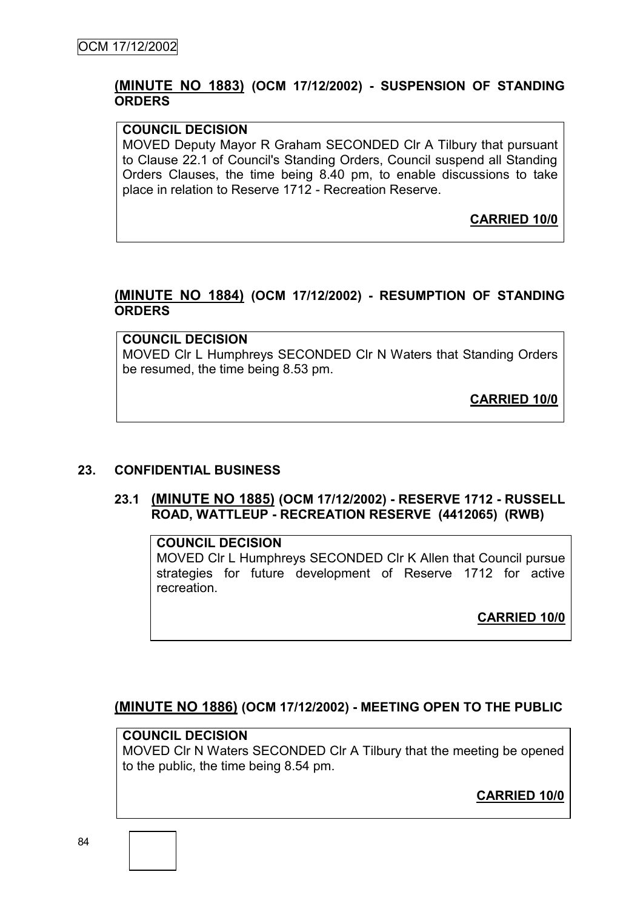## **(MINUTE NO 1883) (OCM 17/12/2002) - SUSPENSION OF STANDING ORDERS**

## **COUNCIL DECISION**

MOVED Deputy Mayor R Graham SECONDED Clr A Tilbury that pursuant to Clause 22.1 of Council's Standing Orders, Council suspend all Standing Orders Clauses, the time being 8.40 pm, to enable discussions to take place in relation to Reserve 1712 - Recreation Reserve.

**CARRIED 10/0**

## **(MINUTE NO 1884) (OCM 17/12/2002) - RESUMPTION OF STANDING ORDERS**

**COUNCIL DECISION**

MOVED Clr L Humphreys SECONDED Clr N Waters that Standing Orders be resumed, the time being 8.53 pm.

**CARRIED 10/0**

#### **23. CONFIDENTIAL BUSINESS**

#### **23.1 (MINUTE NO 1885) (OCM 17/12/2002) - RESERVE 1712 - RUSSELL ROAD, WATTLEUP - RECREATION RESERVE (4412065) (RWB)**

## **COUNCIL DECISION**

MOVED Clr L Humphreys SECONDED Clr K Allen that Council pursue strategies for future development of Reserve 1712 for active recreation.

**CARRIED 10/0**

## **(MINUTE NO 1886) (OCM 17/12/2002) - MEETING OPEN TO THE PUBLIC**

## **COUNCIL DECISION**

MOVED Clr N Waters SECONDED Clr A Tilbury that the meeting be opened to the public, the time being 8.54 pm.

**CARRIED 10/0**